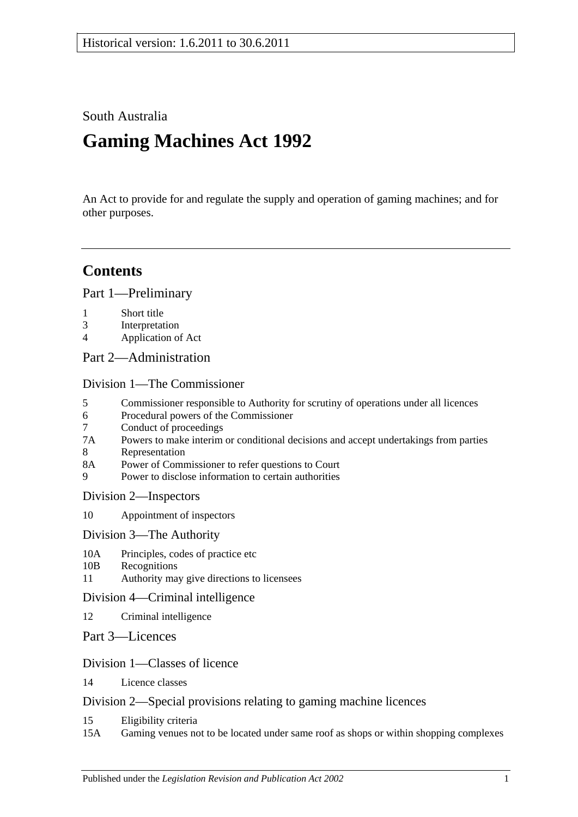South Australia

# **Gaming Machines Act 1992**

An Act to provide for and regulate the supply and operation of gaming machines; and for other purposes.

# **Contents**

[Part 1—Preliminary](#page-4-0)

- 1 [Short title](#page-4-1)
- 3 [Interpretation](#page-4-2)
- 4 [Application of Act](#page-7-0)
- [Part 2—Administration](#page-8-0)

[Division 1—The Commissioner](#page-8-1)

- 5 [Commissioner responsible to Authority for scrutiny of operations under all licences](#page-8-2)
- 6 [Procedural powers of the Commissioner](#page-8-3)
- 7 [Conduct of proceedings](#page-9-0)<br>7A Powers to make interim
- [Powers to make interim or conditional decisions and accept undertakings from parties](#page-9-1)
- 8 [Representation](#page-9-2)<br>8A Power of Comm
- [Power of Commissioner to refer questions to Court](#page-10-0)
- 9 [Power to disclose information to certain authorities](#page-10-1)

[Division 2—Inspectors](#page-10-2)

- 10 [Appointment of inspectors](#page-10-3)
- [Division 3—The Authority](#page-11-0)
- 10A [Principles, codes of practice etc](#page-11-1)
- 10B [Recognitions](#page-12-0)
- 11 [Authority may give directions](#page-13-0) to licensees

### [Division 4—Criminal intelligence](#page-13-1)

- 12 [Criminal intelligence](#page-13-2)
- [Part 3—Licences](#page-14-0)

### [Division 1—Classes of licence](#page-14-1)

14 [Licence classes](#page-14-2)

### [Division 2—Special provisions relating to gaming machine licences](#page-15-0)

- 15 [Eligibility criteria](#page-15-1)
- 15A [Gaming venues not to be located under same roof as shops or within shopping complexes](#page-17-0)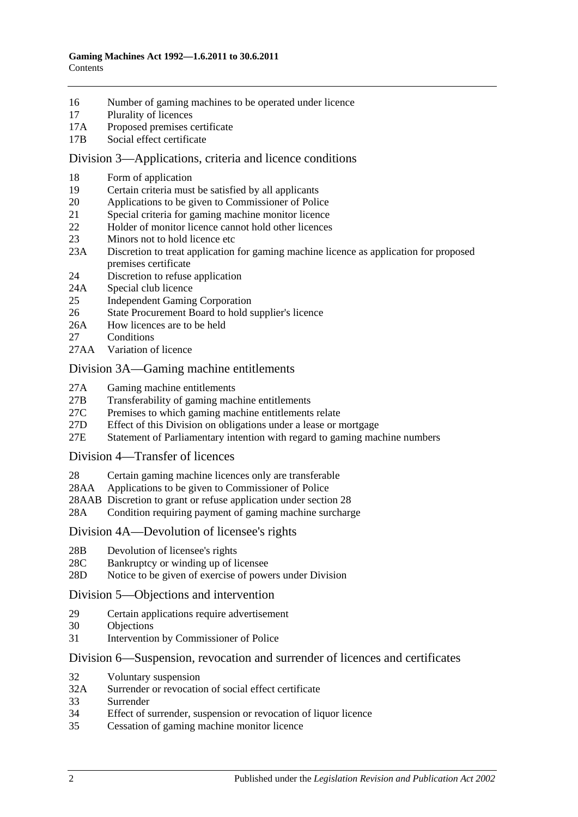- 16 [Number of gaming machines to be operated under licence](#page-18-0)
- 17 [Plurality of licences](#page-18-1)
- 17A [Proposed premises certificate](#page-18-2)
- 17B [Social effect certificate](#page-19-0)

#### [Division 3—Applications, criteria and licence conditions](#page-20-0)

- 18 [Form of application](#page-20-1)<br>19 Certain criteria must
- [Certain criteria must be satisfied by all applicants](#page-21-0)
- 20 [Applications to be given to Commissioner of Police](#page-21-1)
- 21 [Special criteria for gaming machine monitor licence](#page-21-2)
- 22 [Holder of monitor licence cannot hold other licences](#page-21-3)
- 23 [Minors not to hold licence etc](#page-21-4)
- 23A [Discretion to treat application for gaming machine licence as application for proposed](#page-22-0)  [premises certificate](#page-22-0)
- 24 [Discretion to refuse application](#page-22-1)
- 24A [Special club licence](#page-22-2)
- 25 [Independent Gaming Corporation](#page-23-0)
- 26 [State Procurement Board to hold supplier's licence](#page-23-1)
- 26A [How licences are to be held](#page-23-2)
- 27 [Conditions](#page-24-0)
- 27AA [Variation of licence](#page-24-1)

#### [Division 3A—Gaming machine entitlements](#page-25-0)

- 27A [Gaming machine entitlements](#page-25-1)
- 27B [Transferability of gaming machine entitlements](#page-26-0)
- 27C [Premises to which gaming machine entitlements relate](#page-28-0)
- 27D [Effect of this Division on obligations under a lease or mortgage](#page-29-0)
- 27E [Statement of Parliamentary intention with regard to gaming machine numbers](#page-29-1)

#### [Division 4—Transfer of licences](#page-29-2)

- 28 [Certain gaming machine licences only are transferable](#page-29-3)
- 28AA [Applications to be given to Commissioner of Police](#page-30-0)
- 28AAB [Discretion to grant or refuse application under section](#page-31-0) 28
- 28A [Condition requiring payment of gaming machine surcharge](#page-31-1)

#### [Division 4A—Devolution of licensee's rights](#page-31-2)

- 28B [Devolution of licensee's rights](#page-31-3)
- 28C [Bankruptcy or winding up of licensee](#page-32-0)
- 28D [Notice to be given of exercise of powers under Division](#page-32-1)

#### [Division 5—Objections and intervention](#page-32-2)

- 29 [Certain applications require advertisement](#page-32-3)
- 30 [Objections](#page-33-0)
- 31 [Intervention by Commissioner of Police](#page-34-0)

#### [Division 6—Suspension, revocation and surrender of licences and certificates](#page-34-1)

- 32 [Voluntary suspension](#page-34-2)
- 32A [Surrender or revocation of social effect certificate](#page-34-3)
- 33 [Surrender](#page-34-4)
- 34 [Effect of surrender, suspension or revocation of liquor licence](#page-35-0)
- 35 [Cessation of gaming machine monitor licence](#page-35-1)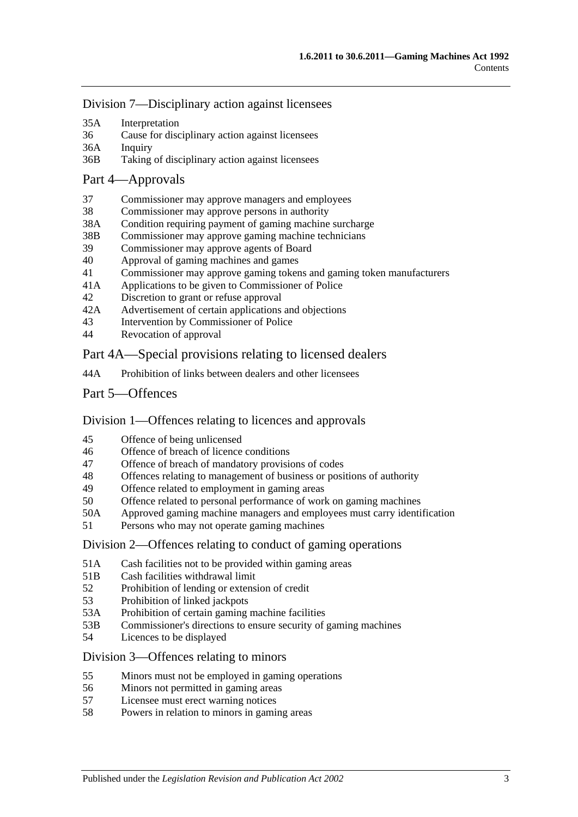[Division 7—Disciplinary action against licensees](#page-35-2)

- 35A [Interpretation](#page-35-3)
- 36 [Cause for disciplinary action against licensees](#page-35-4)
- 36A [Inquiry](#page-36-0)
- 36B Taking [of disciplinary action against licensees](#page-36-1)

#### [Part 4—Approvals](#page-37-0)

- 37 [Commissioner may approve managers and employees](#page-37-1)
- 38 [Commissioner may approve persons in authority](#page-37-2)
- 38A [Condition requiring payment of gaming machine surcharge](#page-38-0)
- 38B [Commissioner may approve gaming machine technicians](#page-38-1)
- 39 [Commissioner may approve agents of Board](#page-38-2)<br>40 Approval of gaming machines and games
- 40 [Approval of gaming machines and games](#page-38-3)
- 41 [Commissioner may approve gaming tokens and gaming token manufacturers](#page-39-0)
- 41A [Applications to be given to Commissioner of Police](#page-39-1)
- 42 [Discretion to grant or refuse approval](#page-39-2)
- 42A [Advertisement of certain applications and objections](#page-40-0)
- 43 [Intervention by Commissioner of Police](#page-40-1)
- 44 [Revocation of approval](#page-40-2)

### [Part 4A—Special provisions relating to licensed dealers](#page-41-0)

- 44A [Prohibition of links between dealers and other licensees](#page-41-1)
- [Part 5—Offences](#page-42-0)

### [Division 1—Offences relating to licences and approvals](#page-42-1)

- 45 [Offence of being unlicensed](#page-42-2)
- 46 [Offence of breach of licence conditions](#page-42-3)
- 47 [Offence of breach of mandatory provisions of codes](#page-43-0)
- 48 [Offences relating to management of business or positions of authority](#page-43-1)<br>49 Offence related to employment in gaming areas
- [Offence related to employment in gaming areas](#page-43-2)
- 50 [Offence related to personal performance of work on gaming machines](#page-44-0)
- 50A [Approved gaming machine managers and employees must carry identification](#page-44-1)
- 51 [Persons who may not operate gaming machines](#page-44-2)

#### [Division 2—Offences relating to conduct of gaming operations](#page-45-0)

- 51A [Cash facilities not to be provided within gaming areas](#page-45-1)
- 51B [Cash facilities withdrawal limit](#page-46-0)
- 52 [Prohibition of lending or extension of credit](#page-46-1)
- 53 [Prohibition of linked jackpots](#page-47-0)
- 53A [Prohibition of certain gaming machine facilities](#page-47-1)
- 53B [Commissioner's directions to ensure security of gaming machines](#page-48-0)
- 54 [Licences to be displayed](#page-48-1)

#### [Division 3—Offences relating to minors](#page-49-0)

- 55 [Minors must not be employed in gaming operations](#page-49-1)
- 56 [Minors not permitted in gaming areas](#page-49-2)
- 57 [Licensee must erect warning notices](#page-49-3)<br>58 Powers in relation to minors in gamin
- [Powers in relation to minors in gaming areas](#page-50-0)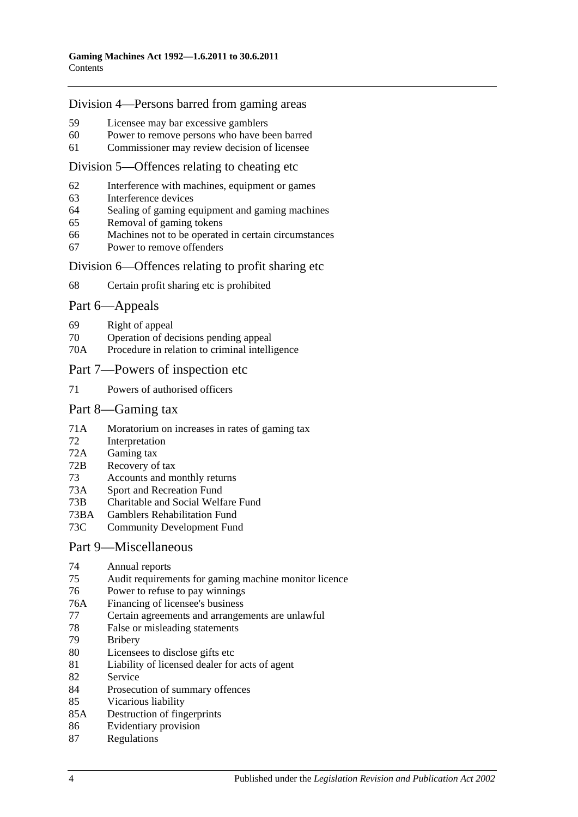#### [Division 4—Persons barred from gaming areas](#page-50-1)

- 59 [Licensee may bar excessive gamblers](#page-50-2)
- 60 [Power to remove persons who have been barred](#page-51-0)
- 61 [Commissioner may review decision of licensee](#page-51-1)

#### [Division 5—Offences relating to cheating etc](#page-51-2)

- 62 [Interference with machines, equipment or games](#page-51-3)
- 63 [Interference devices](#page-51-4)
- 64 [Sealing of gaming equipment and gaming machines](#page-51-5)
- 65 [Removal of gaming tokens](#page-52-0)
- 66 [Machines not to be operated in certain circumstances](#page-52-1)
- 67 [Power to remove offenders](#page-52-2)

#### [Division 6—Offences relating to profit sharing etc](#page-53-0)

68 [Certain profit sharing etc is prohibited](#page-53-1)

#### [Part 6—Appeals](#page-54-0)

- 69 [Right of appeal](#page-54-1)
- 70 [Operation of decisions pending appeal](#page-54-2)
- 70A [Procedure in relation to criminal intelligence](#page-55-0)

#### [Part 7—Powers of inspection etc](#page-55-1)

71 [Powers of authorised officers](#page-55-2)

#### [Part 8—Gaming tax](#page-57-0)

- 71A [Moratorium on increases in rates of gaming tax](#page-57-1)
- 72 [Interpretation](#page-57-2)
- 72A [Gaming tax](#page-60-0)
- 72B [Recovery of tax](#page-60-1)
- 73 [Accounts and monthly returns](#page-61-0)
- 73A [Sport and Recreation Fund](#page-62-0)
- 73B [Charitable and Social Welfare Fund](#page-62-1)
- 73BA [Gamblers Rehabilitation Fund](#page-62-2)
- 73C [Community Development Fund](#page-63-0)

#### [Part 9—Miscellaneous](#page-63-1)

- 74 [Annual reports](#page-63-2)<br>75 Audit requirem
- [Audit requirements for gaming machine monitor licence](#page-63-3)
- 76 [Power to refuse to pay winnings](#page-64-0)
- 76A [Financing of licensee's business](#page-64-1)
- 77 [Certain agreements and arrangements are unlawful](#page-65-0)
- 78 [False or misleading statements](#page-65-1)
- 79 [Bribery](#page-65-2)
- 80 [Licensees to disclose gifts etc](#page-66-0)
- 81 [Liability of licensed dealer for acts of agent](#page-66-1)
- 82 [Service](#page-66-2)
- 84 [Prosecution of summary offences](#page-66-3)
- 85 [Vicarious liability](#page-67-0)
- 85A [Destruction of fingerprints](#page-67-1)
- 86 [Evidentiary provision](#page-67-2)
- 87 [Regulations](#page-68-0)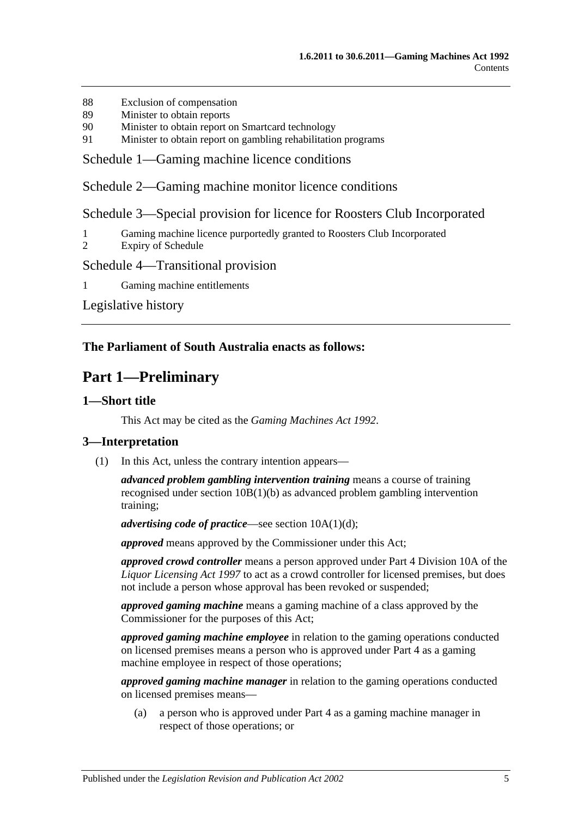- 88 [Exclusion of compensation](#page-69-0)
- 89 [Minister to obtain reports](#page-69-1)
- 90 [Minister to obtain report on Smartcard technology](#page-70-0)
- 91 [Minister to obtain report on gambling rehabilitation programs](#page-70-1)

[Schedule 1—Gaming machine licence conditions](#page-70-2)

[Schedule 2—Gaming machine monitor licence conditions](#page-71-0)

[Schedule 3—Special provision for licence for Roosters Club Incorporated](#page-72-0)

- 1 [Gaming machine licence purportedly granted to Roosters Club Incorporated](#page-72-1)
- 2 [Expiry of Schedule](#page-72-2)

### [Schedule 4—Transitional provision](#page-72-3)

1 [Gaming machine](#page-72-4) entitlements

[Legislative history](#page-73-0)

#### <span id="page-4-0"></span>**The Parliament of South Australia enacts as follows:**

# **Part 1—Preliminary**

#### <span id="page-4-1"></span>**1—Short title**

This Act may be cited as the *Gaming Machines Act 1992*.

### <span id="page-4-2"></span>**3—Interpretation**

(1) In this Act, unless the contrary intention appears—

*advanced problem gambling intervention training* means a course of training recognised under section [10B\(1\)\(b\)](#page-12-1) as advanced problem gambling intervention training;

*advertising code of practice*—see section [10A\(1\)\(d\);](#page-11-2)

*approved* means approved by the Commissioner under this Act;

*approved crowd controller* means a person approved under Part 4 Division 10A of the *[Liquor Licensing Act](http://www.legislation.sa.gov.au/index.aspx?action=legref&type=act&legtitle=Liquor%20Licensing%20Act%201997) 1997* to act as a crowd controller for licensed premises, but does not include a person whose approval has been revoked or suspended;

*approved gaming machine* means a gaming machine of a class approved by the Commissioner for the purposes of this Act;

*approved gaming machine employee* in relation to the gaming operations conducted on licensed premises means a person who is approved under [Part 4](#page-37-0) as a gaming machine employee in respect of those operations;

*approved gaming machine manager* in relation to the gaming operations conducted on licensed premises means—

(a) a person who is approved under [Part 4](#page-37-0) as a gaming machine manager in respect of those operations; or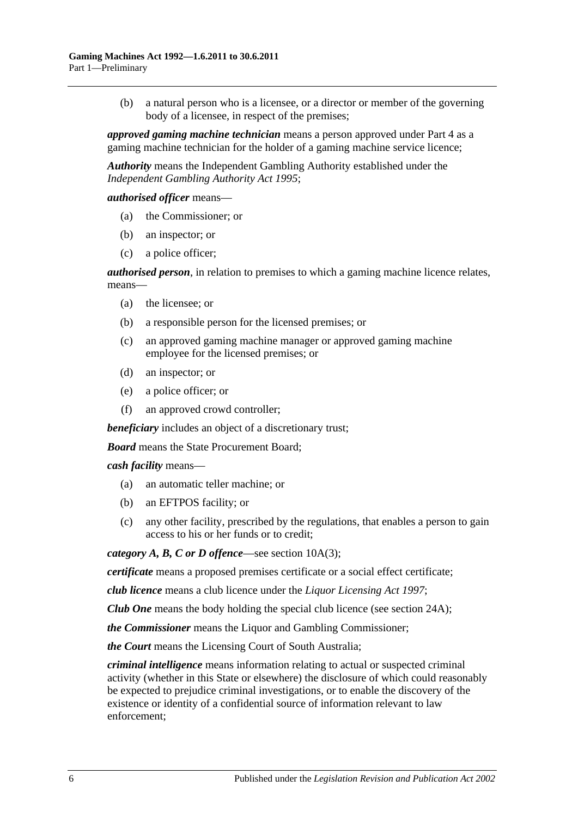(b) a natural person who is a licensee, or a director or member of the governing body of a licensee, in respect of the premises;

*approved gaming machine technician* means a person approved under [Part 4](#page-37-0) as a gaming machine technician for the holder of a gaming machine service licence;

*Authority* means the Independent Gambling Authority established under the *[Independent Gambling Authority Act](http://www.legislation.sa.gov.au/index.aspx?action=legref&type=act&legtitle=Independent%20Gambling%20Authority%20Act%201995) 1995*;

*authorised officer* means—

- (a) the Commissioner; or
- (b) an inspector; or
- (c) a police officer;

*authorised person*, in relation to premises to which a gaming machine licence relates, means—

- (a) the licensee; or
- (b) a responsible person for the licensed premises; or
- (c) an approved gaming machine manager or approved gaming machine employee for the licensed premises; or
- (d) an inspector; or
- (e) a police officer; or
- (f) an approved crowd controller;

*beneficiary* includes an object of a discretionary trust;

*Board* means the State Procurement Board;

*cash facility* means—

- (a) an automatic teller machine; or
- (b) an EFTPOS facility; or
- (c) any other facility, prescribed by the regulations, that enables a person to gain access to his or her funds or to credit;

*category A, B, C or D offence*—see section [10A\(3\);](#page-11-3)

*certificate* means a proposed premises certificate or a social effect certificate;

*club licence* means a club licence under the *[Liquor Licensing Act](http://www.legislation.sa.gov.au/index.aspx?action=legref&type=act&legtitle=Liquor%20Licensing%20Act%201997) 1997*;

*Club One* means the body holding the special club licence (see [section](#page-22-2) 24A);

*the Commissioner* means the Liquor and Gambling Commissioner;

*the Court* means the Licensing Court of South Australia;

*criminal intelligence* means information relating to actual or suspected criminal activity (whether in this State or elsewhere) the disclosure of which could reasonably be expected to prejudice criminal investigations, or to enable the discovery of the existence or identity of a confidential source of information relevant to law enforcement;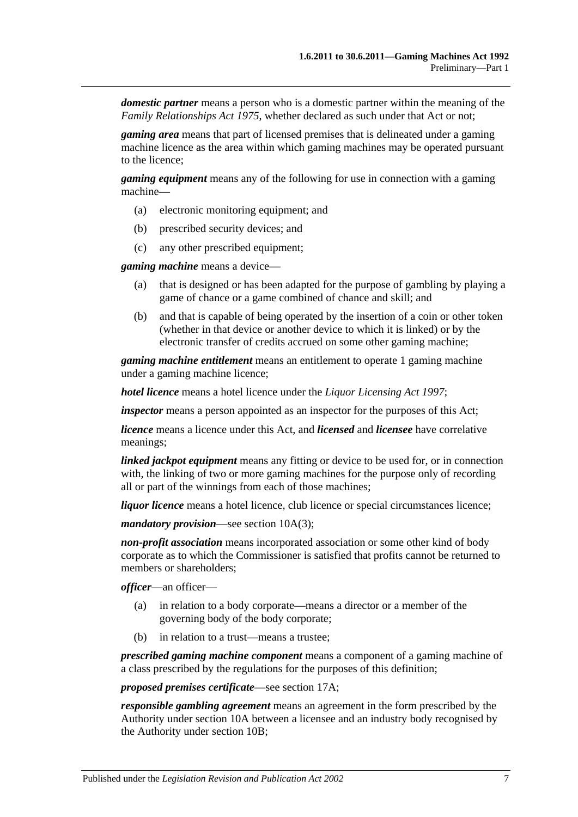*domestic partner* means a person who is a domestic partner within the meaning of the *[Family Relationships Act](http://www.legislation.sa.gov.au/index.aspx?action=legref&type=act&legtitle=Family%20Relationships%20Act%201975) 1975*, whether declared as such under that Act or not;

*gaming area* means that part of licensed premises that is delineated under a gaming machine licence as the area within which gaming machines may be operated pursuant to the licence;

*gaming equipment* means any of the following for use in connection with a gaming machine—

- (a) electronic monitoring equipment; and
- (b) prescribed security devices; and
- (c) any other prescribed equipment;

*gaming machine* means a device—

- (a) that is designed or has been adapted for the purpose of gambling by playing a game of chance or a game combined of chance and skill; and
- (b) and that is capable of being operated by the insertion of a coin or other token (whether in that device or another device to which it is linked) or by the electronic transfer of credits accrued on some other gaming machine;

*gaming machine entitlement* means an entitlement to operate 1 gaming machine under a gaming machine licence;

*hotel licence* means a hotel licence under the *[Liquor Licensing](http://www.legislation.sa.gov.au/index.aspx?action=legref&type=act&legtitle=Liquor%20Licensing%20Act%201997) Act 1997*;

*inspector* means a person appointed as an inspector for the purposes of this Act;

*licence* means a licence under this Act, and *licensed* and *licensee* have correlative meanings;

*linked jackpot equipment* means any fitting or device to be used for, or in connection with, the linking of two or more gaming machines for the purpose only of recording all or part of the winnings from each of those machines;

*liquor licence* means a hotel licence, club licence or special circumstances licence;

*mandatory provision*—see section [10A\(3\);](#page-11-3)

*non-profit association* means incorporated association or some other kind of body corporate as to which the Commissioner is satisfied that profits cannot be returned to members or shareholders;

*officer*—an officer—

- (a) in relation to a body corporate—means a director or a member of the governing body of the body corporate;
- (b) in relation to a trust—means a trustee;

*prescribed gaming machine component* means a component of a gaming machine of a class prescribed by the regulations for the purposes of this definition;

#### *proposed premises certificate*—see [section](#page-18-2) 17A;

*responsible gambling agreement* means an agreement in the form prescribed by the Authority under [section](#page-11-1) 10A between a licensee and an industry body recognised by the Authority under [section](#page-12-0) 10B;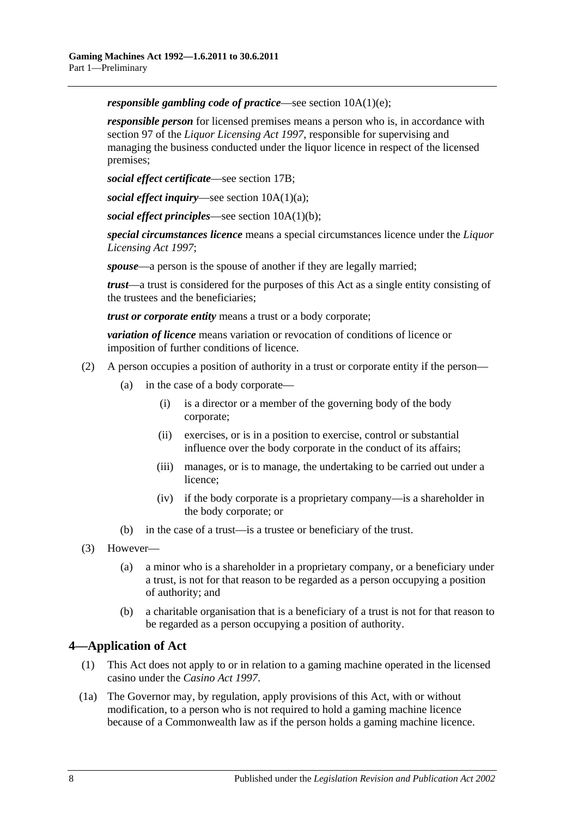*responsible gambling code of practice*—see section [10A\(1\)\(e\);](#page-11-4)

*responsible person* for licensed premises means a person who is, in accordance with section 97 of the *[Liquor Licensing Act](http://www.legislation.sa.gov.au/index.aspx?action=legref&type=act&legtitle=Liquor%20Licensing%20Act%201997) 1997*, responsible for supervising and managing the business conducted under the liquor licence in respect of the licensed premises;

*social effect certificate*—see [section](#page-19-0) 17B;

*social effect inquiry*—see section [10A\(1\)\(a\);](#page-11-5)

*social effect principles*—see section [10A\(1\)\(b\);](#page-11-6)

*special circumstances licence* means a special circumstances licence under the *[Liquor](http://www.legislation.sa.gov.au/index.aspx?action=legref&type=act&legtitle=Liquor%20Licensing%20Act%201997)  [Licensing Act](http://www.legislation.sa.gov.au/index.aspx?action=legref&type=act&legtitle=Liquor%20Licensing%20Act%201997) 1997*;

*spouse*—a person is the spouse of another if they are legally married;

*trust*—a trust is considered for the purposes of this Act as a single entity consisting of the trustees and the beneficiaries;

*trust or corporate entity* means a trust or a body corporate;

*variation of licence* means variation or revocation of conditions of licence or imposition of further conditions of licence.

- (2) A person occupies a position of authority in a trust or corporate entity if the person—
	- (a) in the case of a body corporate—
		- (i) is a director or a member of the governing body of the body corporate;
		- (ii) exercises, or is in a position to exercise, control or substantial influence over the body corporate in the conduct of its affairs;
		- (iii) manages, or is to manage, the undertaking to be carried out under a licence;
		- (iv) if the body corporate is a proprietary company—is a shareholder in the body corporate; or
	- (b) in the case of a trust—is a trustee or beneficiary of the trust.
- (3) However—
	- (a) a minor who is a shareholder in a proprietary company, or a beneficiary under a trust, is not for that reason to be regarded as a person occupying a position of authority; and
	- (b) a charitable organisation that is a beneficiary of a trust is not for that reason to be regarded as a person occupying a position of authority.

# <span id="page-7-0"></span>**4—Application of Act**

- (1) This Act does not apply to or in relation to a gaming machine operated in the licensed casino under the *[Casino Act](http://www.legislation.sa.gov.au/index.aspx?action=legref&type=act&legtitle=Casino%20Act%201997) 1997*.
- (1a) The Governor may, by regulation, apply provisions of this Act, with or without modification, to a person who is not required to hold a gaming machine licence because of a Commonwealth law as if the person holds a gaming machine licence.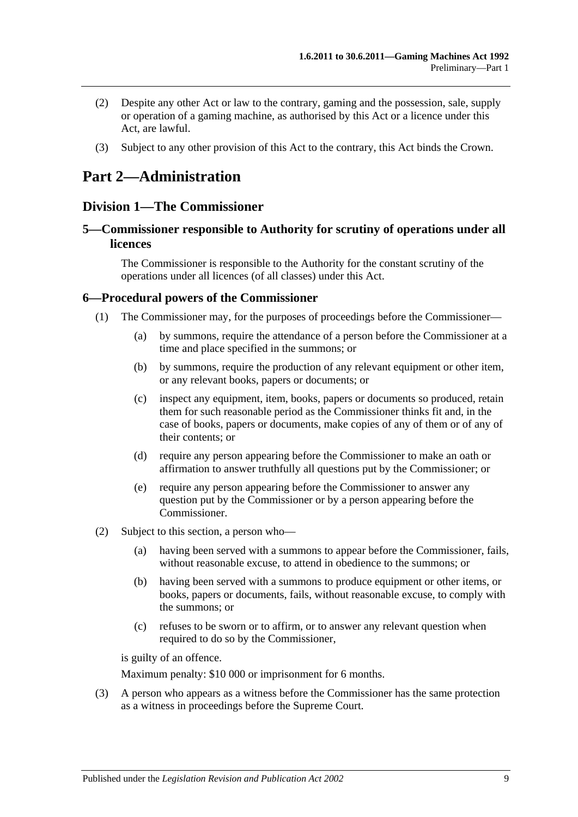- (2) Despite any other Act or law to the contrary, gaming and the possession, sale, supply or operation of a gaming machine, as authorised by this Act or a licence under this Act, are lawful.
- (3) Subject to any other provision of this Act to the contrary, this Act binds the Crown.

# <span id="page-8-0"></span>**Part 2—Administration**

# <span id="page-8-1"></span>**Division 1—The Commissioner**

### <span id="page-8-2"></span>**5—Commissioner responsible to Authority for scrutiny of operations under all licences**

The Commissioner is responsible to the Authority for the constant scrutiny of the operations under all licences (of all classes) under this Act.

#### <span id="page-8-3"></span>**6—Procedural powers of the Commissioner**

- (1) The Commissioner may, for the purposes of proceedings before the Commissioner—
	- (a) by summons, require the attendance of a person before the Commissioner at a time and place specified in the summons; or
	- (b) by summons, require the production of any relevant equipment or other item, or any relevant books, papers or documents; or
	- (c) inspect any equipment, item, books, papers or documents so produced, retain them for such reasonable period as the Commissioner thinks fit and, in the case of books, papers or documents, make copies of any of them or of any of their contents; or
	- (d) require any person appearing before the Commissioner to make an oath or affirmation to answer truthfully all questions put by the Commissioner; or
	- (e) require any person appearing before the Commissioner to answer any question put by the Commissioner or by a person appearing before the Commissioner.
- (2) Subject to this section, a person who—
	- (a) having been served with a summons to appear before the Commissioner, fails, without reasonable excuse, to attend in obedience to the summons; or
	- (b) having been served with a summons to produce equipment or other items, or books, papers or documents, fails, without reasonable excuse, to comply with the summons; or
	- (c) refuses to be sworn or to affirm, or to answer any relevant question when required to do so by the Commissioner,

is guilty of an offence.

Maximum penalty: \$10 000 or imprisonment for 6 months.

(3) A person who appears as a witness before the Commissioner has the same protection as a witness in proceedings before the Supreme Court.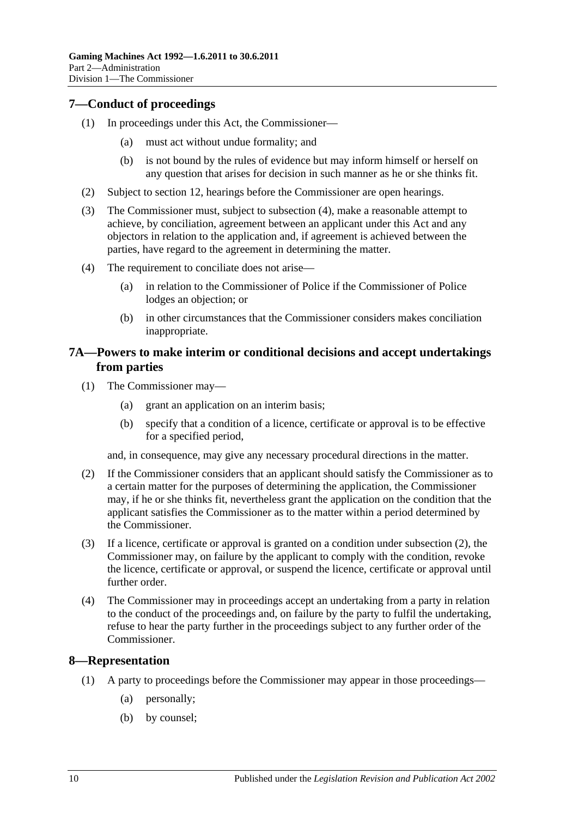# <span id="page-9-0"></span>**7—Conduct of proceedings**

- (1) In proceedings under this Act, the Commissioner—
	- (a) must act without undue formality; and
	- (b) is not bound by the rules of evidence but may inform himself or herself on any question that arises for decision in such manner as he or she thinks fit.
- (2) Subject to [section](#page-13-2) 12, hearings before the Commissioner are open hearings.
- (3) The Commissioner must, subject to [subsection](#page-9-3) (4), make a reasonable attempt to achieve, by conciliation, agreement between an applicant under this Act and any objectors in relation to the application and, if agreement is achieved between the parties, have regard to the agreement in determining the matter.
- <span id="page-9-3"></span>(4) The requirement to conciliate does not arise—
	- (a) in relation to the Commissioner of Police if the Commissioner of Police lodges an objection; or
	- (b) in other circumstances that the Commissioner considers makes conciliation inappropriate.

### <span id="page-9-1"></span>**7A—Powers to make interim or conditional decisions and accept undertakings from parties**

- (1) The Commissioner may—
	- (a) grant an application on an interim basis;
	- (b) specify that a condition of a licence, certificate or approval is to be effective for a specified period,

and, in consequence, may give any necessary procedural directions in the matter.

- <span id="page-9-4"></span>(2) If the Commissioner considers that an applicant should satisfy the Commissioner as to a certain matter for the purposes of determining the application, the Commissioner may, if he or she thinks fit, nevertheless grant the application on the condition that the applicant satisfies the Commissioner as to the matter within a period determined by the Commissioner.
- (3) If a licence, certificate or approval is granted on a condition under [subsection](#page-9-4) (2), the Commissioner may, on failure by the applicant to comply with the condition, revoke the licence, certificate or approval, or suspend the licence, certificate or approval until further order.
- (4) The Commissioner may in proceedings accept an undertaking from a party in relation to the conduct of the proceedings and, on failure by the party to fulfil the undertaking, refuse to hear the party further in the proceedings subject to any further order of the Commissioner.

### <span id="page-9-2"></span>**8—Representation**

- (1) A party to proceedings before the Commissioner may appear in those proceedings—
	- (a) personally;
	- (b) by counsel;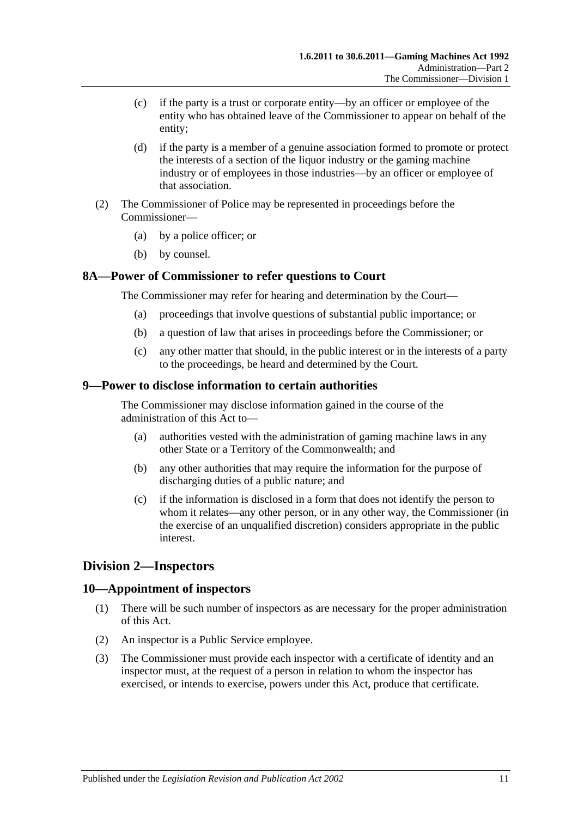- (c) if the party is a trust or corporate entity—by an officer or employee of the entity who has obtained leave of the Commissioner to appear on behalf of the entity;
- (d) if the party is a member of a genuine association formed to promote or protect the interests of a section of the liquor industry or the gaming machine industry or of employees in those industries—by an officer or employee of that association.
- (2) The Commissioner of Police may be represented in proceedings before the Commissioner—
	- (a) by a police officer; or
	- (b) by counsel.

### <span id="page-10-0"></span>**8A—Power of Commissioner to refer questions to Court**

The Commissioner may refer for hearing and determination by the Court—

- (a) proceedings that involve questions of substantial public importance; or
- (b) a question of law that arises in proceedings before the Commissioner; or
- (c) any other matter that should, in the public interest or in the interests of a party to the proceedings, be heard and determined by the Court.

#### <span id="page-10-1"></span>**9—Power to disclose information to certain authorities**

The Commissioner may disclose information gained in the course of the administration of this Act to—

- (a) authorities vested with the administration of gaming machine laws in any other State or a Territory of the Commonwealth; and
- (b) any other authorities that may require the information for the purpose of discharging duties of a public nature; and
- (c) if the information is disclosed in a form that does not identify the person to whom it relates—any other person, or in any other way, the Commissioner (in the exercise of an unqualified discretion) considers appropriate in the public interest.

# <span id="page-10-2"></span>**Division 2—Inspectors**

### <span id="page-10-3"></span>**10—Appointment of inspectors**

- (1) There will be such number of inspectors as are necessary for the proper administration of this Act.
- (2) An inspector is a Public Service employee.
- (3) The Commissioner must provide each inspector with a certificate of identity and an inspector must, at the request of a person in relation to whom the inspector has exercised, or intends to exercise, powers under this Act, produce that certificate.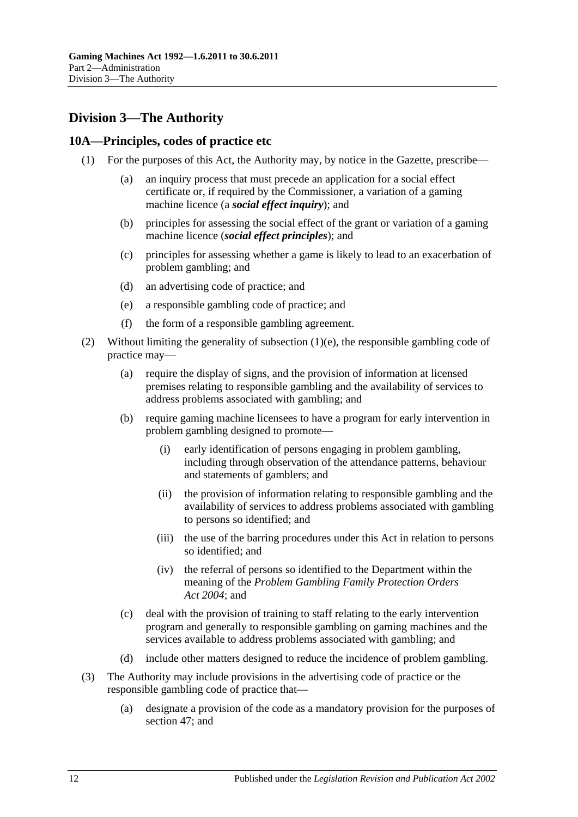# <span id="page-11-0"></span>**Division 3—The Authority**

# <span id="page-11-1"></span>**10A—Principles, codes of practice etc**

- <span id="page-11-6"></span><span id="page-11-5"></span>(1) For the purposes of this Act, the Authority may, by notice in the Gazette, prescribe—
	- (a) an inquiry process that must precede an application for a social effect certificate or, if required by the Commissioner, a variation of a gaming machine licence (a *social effect inquiry*); and
	- (b) principles for assessing the social effect of the grant or variation of a gaming machine licence (*social effect principles*); and
	- (c) principles for assessing whether a game is likely to lead to an exacerbation of problem gambling; and
	- (d) an advertising code of practice; and
	- (e) a responsible gambling code of practice; and
	- (f) the form of a responsible gambling agreement.
- <span id="page-11-4"></span><span id="page-11-2"></span>(2) Without limiting the generality of [subsection](#page-11-4)  $(1)(e)$ , the responsible gambling code of practice may—
	- (a) require the display of signs, and the provision of information at licensed premises relating to responsible gambling and the availability of services to address problems associated with gambling; and
	- (b) require gaming machine licensees to have a program for early intervention in problem gambling designed to promote—
		- (i) early identification of persons engaging in problem gambling, including through observation of the attendance patterns, behaviour and statements of gamblers; and
		- (ii) the provision of information relating to responsible gambling and the availability of services to address problems associated with gambling to persons so identified; and
		- (iii) the use of the barring procedures under this Act in relation to persons so identified; and
		- (iv) the referral of persons so identified to the Department within the meaning of the *[Problem Gambling Family Protection Orders](http://www.legislation.sa.gov.au/index.aspx?action=legref&type=act&legtitle=Problem%20Gambling%20Family%20Protection%20Orders%20Act%202004)  Act [2004](http://www.legislation.sa.gov.au/index.aspx?action=legref&type=act&legtitle=Problem%20Gambling%20Family%20Protection%20Orders%20Act%202004)*; and
	- (c) deal with the provision of training to staff relating to the early intervention program and generally to responsible gambling on gaming machines and the services available to address problems associated with gambling; and
	- (d) include other matters designed to reduce the incidence of problem gambling.
- <span id="page-11-3"></span>(3) The Authority may include provisions in the advertising code of practice or the responsible gambling code of practice that—
	- (a) designate a provision of the code as a mandatory provision for the purposes of [section](#page-43-0) 47; and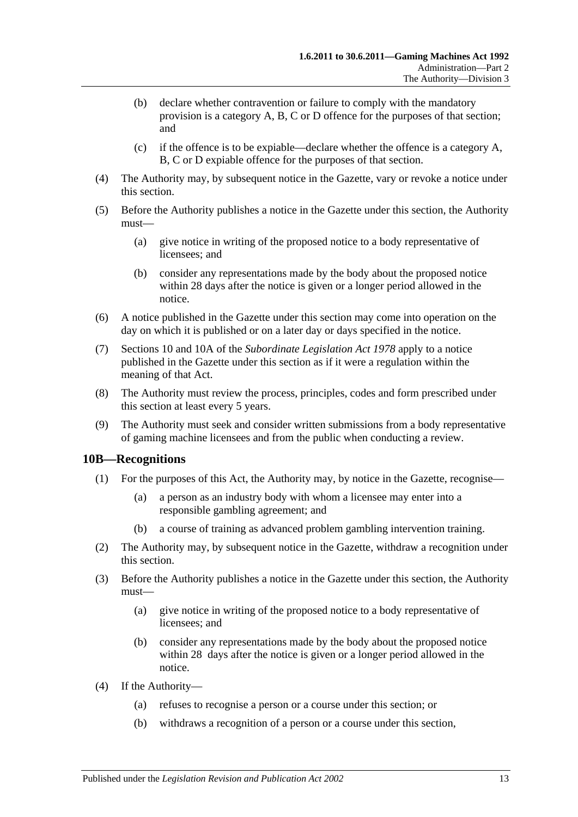- (b) declare whether contravention or failure to comply with the mandatory provision is a category A, B, C or D offence for the purposes of that section; and
- (c) if the offence is to be expiable—declare whether the offence is a category A, B, C or D expiable offence for the purposes of that section.
- (4) The Authority may, by subsequent notice in the Gazette, vary or revoke a notice under this section.
- (5) Before the Authority publishes a notice in the Gazette under this section, the Authority must—
	- (a) give notice in writing of the proposed notice to a body representative of licensees; and
	- (b) consider any representations made by the body about the proposed notice within 28 days after the notice is given or a longer period allowed in the notice.
- (6) A notice published in the Gazette under this section may come into operation on the day on which it is published or on a later day or days specified in the notice.
- (7) Sections 10 and 10A of the *[Subordinate Legislation Act](http://www.legislation.sa.gov.au/index.aspx?action=legref&type=act&legtitle=Subordinate%20Legislation%20Act%201978) 1978* apply to a notice published in the Gazette under this section as if it were a regulation within the meaning of that Act.
- (8) The Authority must review the process, principles, codes and form prescribed under this section at least every 5 years.
- (9) The Authority must seek and consider written submissions from a body representative of gaming machine licensees and from the public when conducting a review.

### <span id="page-12-0"></span>**10B—Recognitions**

- (1) For the purposes of this Act, the Authority may, by notice in the Gazette, recognise—
	- (a) a person as an industry body with whom a licensee may enter into a responsible gambling agreement; and
	- (b) a course of training as advanced problem gambling intervention training.
- <span id="page-12-1"></span>(2) The Authority may, by subsequent notice in the Gazette, withdraw a recognition under this section.
- (3) Before the Authority publishes a notice in the Gazette under this section, the Authority must—
	- (a) give notice in writing of the proposed notice to a body representative of licensees; and
	- (b) consider any representations made by the body about the proposed notice within 28 days after the notice is given or a longer period allowed in the notice.
- (4) If the Authority—
	- (a) refuses to recognise a person or a course under this section; or
	- (b) withdraws a recognition of a person or a course under this section,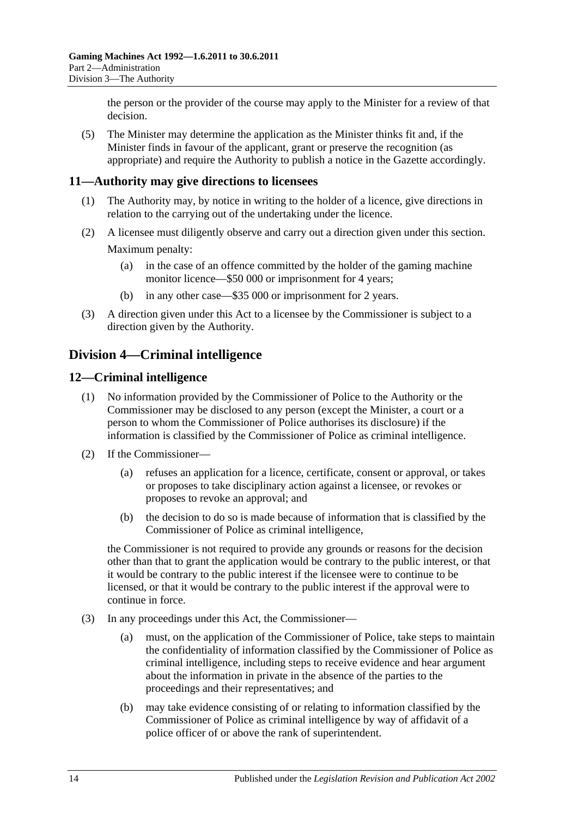the person or the provider of the course may apply to the Minister for a review of that decision.

(5) The Minister may determine the application as the Minister thinks fit and, if the Minister finds in favour of the applicant, grant or preserve the recognition (as appropriate) and require the Authority to publish a notice in the Gazette accordingly.

### <span id="page-13-0"></span>**11—Authority may give directions to licensees**

- (1) The Authority may, by notice in writing to the holder of a licence, give directions in relation to the carrying out of the undertaking under the licence.
- (2) A licensee must diligently observe and carry out a direction given under this section. Maximum penalty:
	- (a) in the case of an offence committed by the holder of the gaming machine monitor licence—\$50 000 or imprisonment for 4 years;
	- (b) in any other case—\$35 000 or imprisonment for 2 years.
- (3) A direction given under this Act to a licensee by the Commissioner is subject to a direction given by the Authority.

# <span id="page-13-1"></span>**Division 4—Criminal intelligence**

### <span id="page-13-2"></span>**12—Criminal intelligence**

- (1) No information provided by the Commissioner of Police to the Authority or the Commissioner may be disclosed to any person (except the Minister, a court or a person to whom the Commissioner of Police authorises its disclosure) if the information is classified by the Commissioner of Police as criminal intelligence.
- (2) If the Commissioner—
	- (a) refuses an application for a licence, certificate, consent or approval, or takes or proposes to take disciplinary action against a licensee, or revokes or proposes to revoke an approval; and
	- (b) the decision to do so is made because of information that is classified by the Commissioner of Police as criminal intelligence,

the Commissioner is not required to provide any grounds or reasons for the decision other than that to grant the application would be contrary to the public interest, or that it would be contrary to the public interest if the licensee were to continue to be licensed, or that it would be contrary to the public interest if the approval were to continue in force.

- (3) In any proceedings under this Act, the Commissioner—
	- (a) must, on the application of the Commissioner of Police, take steps to maintain the confidentiality of information classified by the Commissioner of Police as criminal intelligence, including steps to receive evidence and hear argument about the information in private in the absence of the parties to the proceedings and their representatives; and
	- (b) may take evidence consisting of or relating to information classified by the Commissioner of Police as criminal intelligence by way of affidavit of a police officer of or above the rank of superintendent.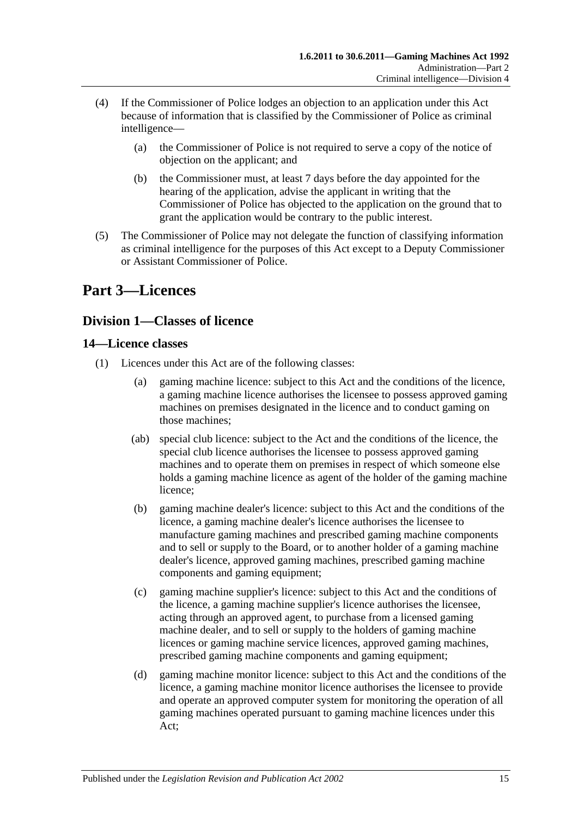- (4) If the Commissioner of Police lodges an objection to an application under this Act because of information that is classified by the Commissioner of Police as criminal intelligence—
	- (a) the Commissioner of Police is not required to serve a copy of the notice of objection on the applicant; and
	- (b) the Commissioner must, at least 7 days before the day appointed for the hearing of the application, advise the applicant in writing that the Commissioner of Police has objected to the application on the ground that to grant the application would be contrary to the public interest.
- (5) The Commissioner of Police may not delegate the function of classifying information as criminal intelligence for the purposes of this Act except to a Deputy Commissioner or Assistant Commissioner of Police.

# <span id="page-14-0"></span>**Part 3—Licences**

# <span id="page-14-1"></span>**Division 1—Classes of licence**

# <span id="page-14-2"></span>**14—Licence classes**

- (1) Licences under this Act are of the following classes:
	- (a) gaming machine licence: subject to this Act and the conditions of the licence, a gaming machine licence authorises the licensee to possess approved gaming machines on premises designated in the licence and to conduct gaming on those machines;
	- (ab) special club licence: subject to the Act and the conditions of the licence, the special club licence authorises the licensee to possess approved gaming machines and to operate them on premises in respect of which someone else holds a gaming machine licence as agent of the holder of the gaming machine licence;
	- (b) gaming machine dealer's licence: subject to this Act and the conditions of the licence, a gaming machine dealer's licence authorises the licensee to manufacture gaming machines and prescribed gaming machine components and to sell or supply to the Board, or to another holder of a gaming machine dealer's licence, approved gaming machines, prescribed gaming machine components and gaming equipment;
	- (c) gaming machine supplier's licence: subject to this Act and the conditions of the licence, a gaming machine supplier's licence authorises the licensee, acting through an approved agent, to purchase from a licensed gaming machine dealer, and to sell or supply to the holders of gaming machine licences or gaming machine service licences, approved gaming machines, prescribed gaming machine components and gaming equipment;
	- (d) gaming machine monitor licence: subject to this Act and the conditions of the licence, a gaming machine monitor licence authorises the licensee to provide and operate an approved computer system for monitoring the operation of all gaming machines operated pursuant to gaming machine licences under this Act;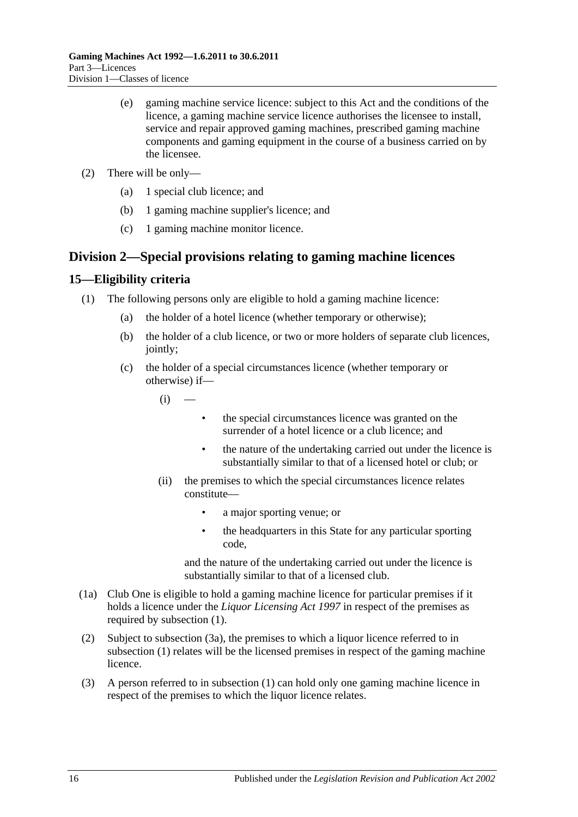- (e) gaming machine service licence: subject to this Act and the conditions of the licence, a gaming machine service licence authorises the licensee to install, service and repair approved gaming machines, prescribed gaming machine components and gaming equipment in the course of a business carried on by the licensee.
- (2) There will be only—
	- (a) 1 special club licence; and
	- (b) 1 gaming machine supplier's licence; and
	- (c) 1 gaming machine monitor licence.

# <span id="page-15-0"></span>**Division 2—Special provisions relating to gaming machine licences**

# <span id="page-15-2"></span><span id="page-15-1"></span>**15—Eligibility criteria**

- (1) The following persons only are eligible to hold a gaming machine licence:
	- (a) the holder of a hotel licence (whether temporary or otherwise);
	- (b) the holder of a club licence, or two or more holders of separate club licences, jointly;
	- (c) the holder of a special circumstances licence (whether temporary or otherwise) if—

 $(i)$  —

- the special circumstances licence was granted on the surrender of a hotel licence or a club licence; and
- the nature of the undertaking carried out under the licence is substantially similar to that of a licensed hotel or club; or
- (ii) the premises to which the special circumstances licence relates constitute—
	- a major sporting venue; or
	- the headquarters in this State for any particular sporting code,

and the nature of the undertaking carried out under the licence is substantially similar to that of a licensed club.

- (1a) Club One is eligible to hold a gaming machine licence for particular premises if it holds a licence under the *[Liquor Licensing Act](http://www.legislation.sa.gov.au/index.aspx?action=legref&type=act&legtitle=Liquor%20Licensing%20Act%201997) 1997* in respect of the premises as required by [subsection](#page-15-2) (1).
- (2) Subject to [subsection](#page-16-0) (3a), the premises to which a liquor licence referred to in [subsection](#page-15-2) (1) relates will be the licensed premises in respect of the gaming machine licence.
- (3) A person referred to in [subsection](#page-15-2) (1) can hold only one gaming machine licence in respect of the premises to which the liquor licence relates.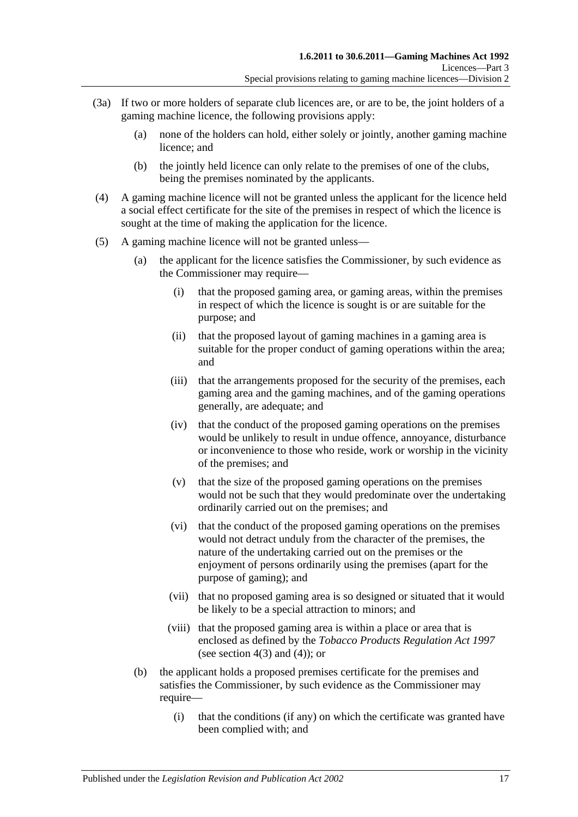- <span id="page-16-0"></span>(3a) If two or more holders of separate club licences are, or are to be, the joint holders of a gaming machine licence, the following provisions apply:
	- (a) none of the holders can hold, either solely or jointly, another gaming machine licence; and
	- (b) the jointly held licence can only relate to the premises of one of the clubs, being the premises nominated by the applicants.
- (4) A gaming machine licence will not be granted unless the applicant for the licence held a social effect certificate for the site of the premises in respect of which the licence is sought at the time of making the application for the licence.
- <span id="page-16-1"></span>(5) A gaming machine licence will not be granted unless—
	- (a) the applicant for the licence satisfies the Commissioner, by such evidence as the Commissioner may require—
		- (i) that the proposed gaming area, or gaming areas, within the premises in respect of which the licence is sought is or are suitable for the purpose; and
		- (ii) that the proposed layout of gaming machines in a gaming area is suitable for the proper conduct of gaming operations within the area; and
		- (iii) that the arrangements proposed for the security of the premises, each gaming area and the gaming machines, and of the gaming operations generally, are adequate; and
		- (iv) that the conduct of the proposed gaming operations on the premises would be unlikely to result in undue offence, annoyance, disturbance or inconvenience to those who reside, work or worship in the vicinity of the premises; and
		- (v) that the size of the proposed gaming operations on the premises would not be such that they would predominate over the undertaking ordinarily carried out on the premises; and
		- (vi) that the conduct of the proposed gaming operations on the premises would not detract unduly from the character of the premises, the nature of the undertaking carried out on the premises or the enjoyment of persons ordinarily using the premises (apart for the purpose of gaming); and
		- (vii) that no proposed gaming area is so designed or situated that it would be likely to be a special attraction to minors; and
		- (viii) that the proposed gaming area is within a place or area that is enclosed as defined by the *[Tobacco Products Regulation Act](http://www.legislation.sa.gov.au/index.aspx?action=legref&type=act&legtitle=Tobacco%20Products%20Regulation%20Act%201997) 1997* (see section  $4(3)$  and  $(4)$ ); or
	- (b) the applicant holds a proposed premises certificate for the premises and satisfies the Commissioner, by such evidence as the Commissioner may require—
		- (i) that the conditions (if any) on which the certificate was granted have been complied with; and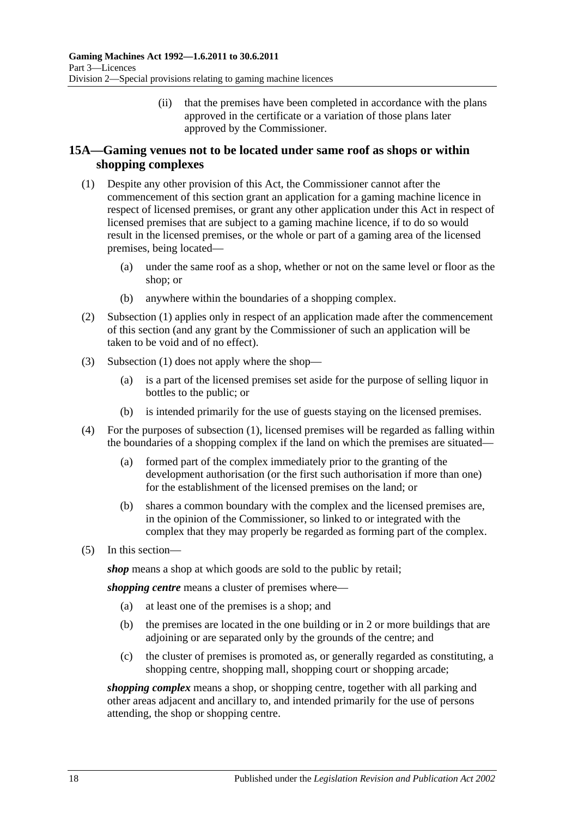(ii) that the premises have been completed in accordance with the plans approved in the certificate or a variation of those plans later approved by the Commissioner.

# <span id="page-17-0"></span>**15A—Gaming venues not to be located under same roof as shops or within shopping complexes**

- <span id="page-17-1"></span>(1) Despite any other provision of this Act, the Commissioner cannot after the commencement of this section grant an application for a gaming machine licence in respect of licensed premises, or grant any other application under this Act in respect of licensed premises that are subject to a gaming machine licence, if to do so would result in the licensed premises, or the whole or part of a gaming area of the licensed premises, being located—
	- (a) under the same roof as a shop, whether or not on the same level or floor as the shop; or
	- (b) anywhere within the boundaries of a shopping complex.
- (2) [Subsection](#page-17-1) (1) applies only in respect of an application made after the commencement of this section (and any grant by the Commissioner of such an application will be taken to be void and of no effect).
- (3) [Subsection](#page-17-1) (1) does not apply where the shop—
	- (a) is a part of the licensed premises set aside for the purpose of selling liquor in bottles to the public; or
	- (b) is intended primarily for the use of guests staying on the licensed premises.
- (4) For the purposes of [subsection](#page-17-1) (1), licensed premises will be regarded as falling within the boundaries of a shopping complex if the land on which the premises are situated—
	- (a) formed part of the complex immediately prior to the granting of the development authorisation (or the first such authorisation if more than one) for the establishment of the licensed premises on the land; or
	- (b) shares a common boundary with the complex and the licensed premises are, in the opinion of the Commissioner, so linked to or integrated with the complex that they may properly be regarded as forming part of the complex.
- (5) In this section—

*shop* means a shop at which goods are sold to the public by retail;

*shopping centre* means a cluster of premises where—

- (a) at least one of the premises is a shop; and
- (b) the premises are located in the one building or in 2 or more buildings that are adjoining or are separated only by the grounds of the centre; and
- (c) the cluster of premises is promoted as, or generally regarded as constituting, a shopping centre, shopping mall, shopping court or shopping arcade;

*shopping complex* means a shop, or shopping centre, together with all parking and other areas adjacent and ancillary to, and intended primarily for the use of persons attending, the shop or shopping centre.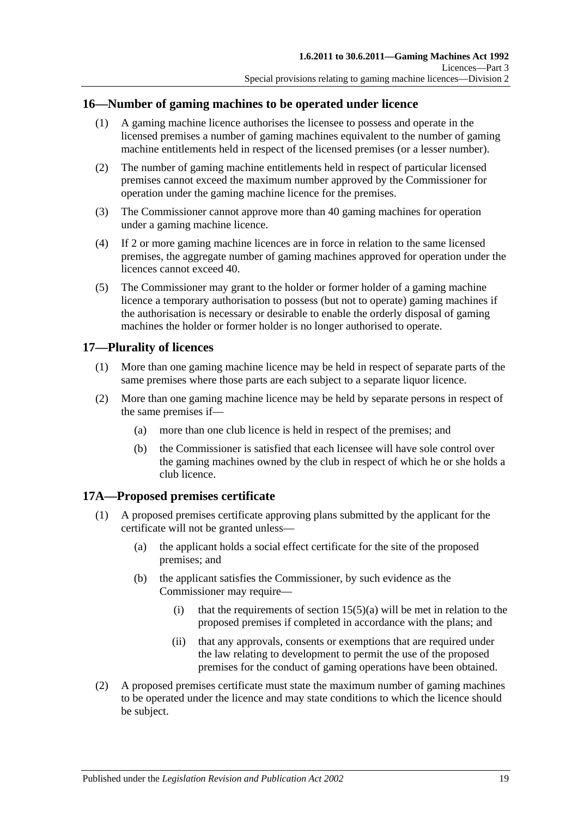### <span id="page-18-0"></span>**16—Number of gaming machines to be operated under licence**

- (1) A gaming machine licence authorises the licensee to possess and operate in the licensed premises a number of gaming machines equivalent to the number of gaming machine entitlements held in respect of the licensed premises (or a lesser number).
- (2) The number of gaming machine entitlements held in respect of particular licensed premises cannot exceed the maximum number approved by the Commissioner for operation under the gaming machine licence for the premises.
- (3) The Commissioner cannot approve more than 40 gaming machines for operation under a gaming machine licence.
- (4) If 2 or more gaming machine licences are in force in relation to the same licensed premises, the aggregate number of gaming machines approved for operation under the licences cannot exceed 40.
- (5) The Commissioner may grant to the holder or former holder of a gaming machine licence a temporary authorisation to possess (but not to operate) gaming machines if the authorisation is necessary or desirable to enable the orderly disposal of gaming machines the holder or former holder is no longer authorised to operate.

### <span id="page-18-1"></span>**17—Plurality of licences**

- (1) More than one gaming machine licence may be held in respect of separate parts of the same premises where those parts are each subject to a separate liquor licence.
- (2) More than one gaming machine licence may be held by separate persons in respect of the same premises if—
	- (a) more than one club licence is held in respect of the premises; and
	- (b) the Commissioner is satisfied that each licensee will have sole control over the gaming machines owned by the club in respect of which he or she holds a club licence.

# <span id="page-18-2"></span>**17A—Proposed premises certificate**

- (1) A proposed premises certificate approving plans submitted by the applicant for the certificate will not be granted unless—
	- (a) the applicant holds a social effect certificate for the site of the proposed premises; and
	- (b) the applicant satisfies the Commissioner, by such evidence as the Commissioner may require—
		- (i) that the requirements of section  $15(5)(a)$  will be met in relation to the proposed premises if completed in accordance with the plans; and
		- (ii) that any approvals, consents or exemptions that are required under the law relating to development to permit the use of the proposed premises for the conduct of gaming operations have been obtained.
- (2) A proposed premises certificate must state the maximum number of gaming machines to be operated under the licence and may state conditions to which the licence should be subject.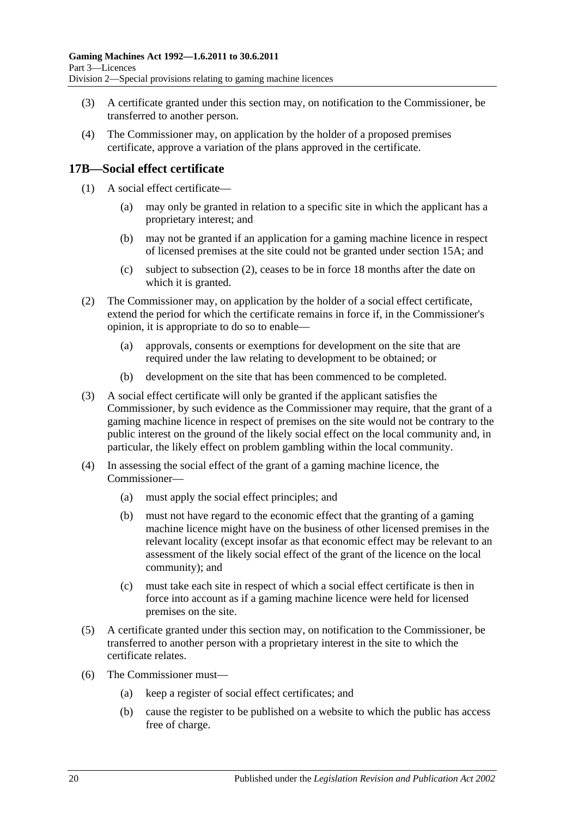- (3) A certificate granted under this section may, on notification to the Commissioner, be transferred to another person.
- (4) The Commissioner may, on application by the holder of a proposed premises certificate, approve a variation of the plans approved in the certificate.

# <span id="page-19-0"></span>**17B—Social effect certificate**

- (1) A social effect certificate
	- may only be granted in relation to a specific site in which the applicant has a proprietary interest; and
	- (b) may not be granted if an application for a gaming machine licence in respect of licensed premises at the site could not be granted under [section](#page-17-0) 15A; and
	- (c) subject to [subsection](#page-19-1) (2), ceases to be in force 18 months after the date on which it is granted.
- <span id="page-19-1"></span>(2) The Commissioner may, on application by the holder of a social effect certificate, extend the period for which the certificate remains in force if, in the Commissioner's opinion, it is appropriate to do so to enable—
	- (a) approvals, consents or exemptions for development on the site that are required under the law relating to development to be obtained; or
	- (b) development on the site that has been commenced to be completed.
- (3) A social effect certificate will only be granted if the applicant satisfies the Commissioner, by such evidence as the Commissioner may require, that the grant of a gaming machine licence in respect of premises on the site would not be contrary to the public interest on the ground of the likely social effect on the local community and, in particular, the likely effect on problem gambling within the local community.
- (4) In assessing the social effect of the grant of a gaming machine licence, the Commissioner—
	- (a) must apply the social effect principles; and
	- (b) must not have regard to the economic effect that the granting of a gaming machine licence might have on the business of other licensed premises in the relevant locality (except insofar as that economic effect may be relevant to an assessment of the likely social effect of the grant of the licence on the local community); and
	- (c) must take each site in respect of which a social effect certificate is then in force into account as if a gaming machine licence were held for licensed premises on the site.
- (5) A certificate granted under this section may, on notification to the Commissioner, be transferred to another person with a proprietary interest in the site to which the certificate relates.
- (6) The Commissioner must—
	- (a) keep a register of social effect certificates; and
	- (b) cause the register to be published on a website to which the public has access free of charge.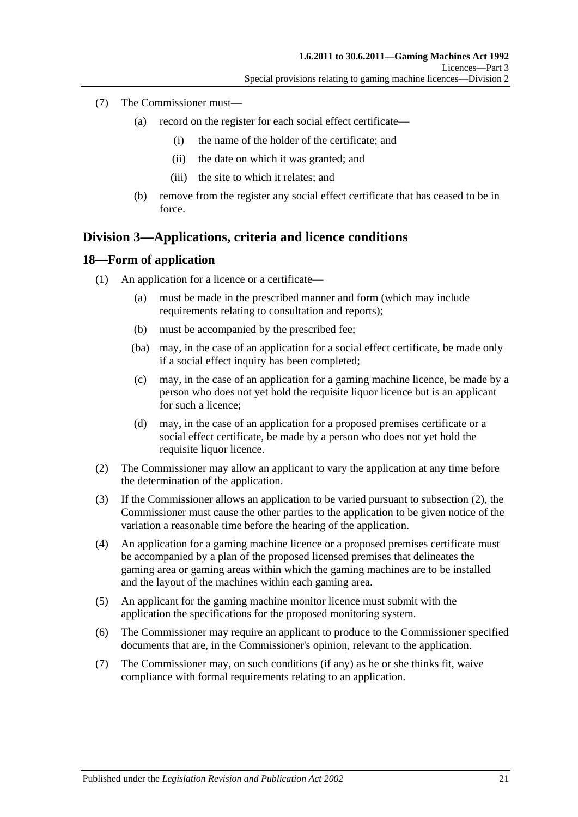- (7) The Commissioner must—
	- (a) record on the register for each social effect certificate—
		- (i) the name of the holder of the certificate; and
		- (ii) the date on which it was granted; and
		- (iii) the site to which it relates; and
	- (b) remove from the register any social effect certificate that has ceased to be in force.

# <span id="page-20-0"></span>**Division 3—Applications, criteria and licence conditions**

#### <span id="page-20-1"></span>**18—Form of application**

- (1) An application for a licence or a certificate—
	- (a) must be made in the prescribed manner and form (which may include requirements relating to consultation and reports);
	- (b) must be accompanied by the prescribed fee;
	- (ba) may, in the case of an application for a social effect certificate, be made only if a social effect inquiry has been completed;
	- (c) may, in the case of an application for a gaming machine licence, be made by a person who does not yet hold the requisite liquor licence but is an applicant for such a licence;
	- (d) may, in the case of an application for a proposed premises certificate or a social effect certificate, be made by a person who does not yet hold the requisite liquor licence.
- <span id="page-20-2"></span>(2) The Commissioner may allow an applicant to vary the application at any time before the determination of the application.
- (3) If the Commissioner allows an application to be varied pursuant to [subsection](#page-20-2) (2), the Commissioner must cause the other parties to the application to be given notice of the variation a reasonable time before the hearing of the application.
- (4) An application for a gaming machine licence or a proposed premises certificate must be accompanied by a plan of the proposed licensed premises that delineates the gaming area or gaming areas within which the gaming machines are to be installed and the layout of the machines within each gaming area.
- (5) An applicant for the gaming machine monitor licence must submit with the application the specifications for the proposed monitoring system.
- (6) The Commissioner may require an applicant to produce to the Commissioner specified documents that are, in the Commissioner's opinion, relevant to the application.
- (7) The Commissioner may, on such conditions (if any) as he or she thinks fit, waive compliance with formal requirements relating to an application.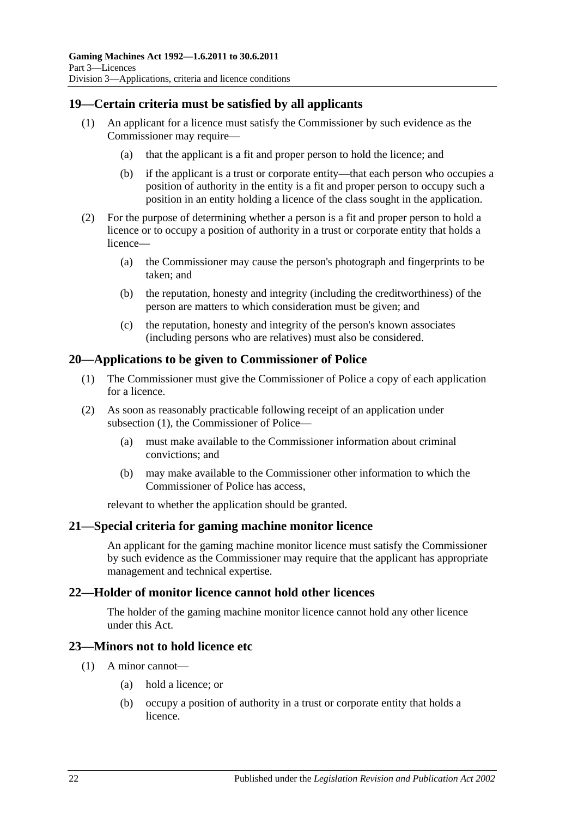# <span id="page-21-0"></span>**19—Certain criteria must be satisfied by all applicants**

- (1) An applicant for a licence must satisfy the Commissioner by such evidence as the Commissioner may require—
	- (a) that the applicant is a fit and proper person to hold the licence; and
	- (b) if the applicant is a trust or corporate entity—that each person who occupies a position of authority in the entity is a fit and proper person to occupy such a position in an entity holding a licence of the class sought in the application.
- (2) For the purpose of determining whether a person is a fit and proper person to hold a licence or to occupy a position of authority in a trust or corporate entity that holds a licence—
	- (a) the Commissioner may cause the person's photograph and fingerprints to be taken; and
	- (b) the reputation, honesty and integrity (including the creditworthiness) of the person are matters to which consideration must be given; and
	- (c) the reputation, honesty and integrity of the person's known associates (including persons who are relatives) must also be considered.

### <span id="page-21-5"></span><span id="page-21-1"></span>**20—Applications to be given to Commissioner of Police**

- (1) The Commissioner must give the Commissioner of Police a copy of each application for a licence.
- (2) As soon as reasonably practicable following receipt of an application under [subsection](#page-21-5) (1), the Commissioner of Police—
	- (a) must make available to the Commissioner information about criminal convictions; and
	- (b) may make available to the Commissioner other information to which the Commissioner of Police has access,

relevant to whether the application should be granted.

#### <span id="page-21-2"></span>**21—Special criteria for gaming machine monitor licence**

An applicant for the gaming machine monitor licence must satisfy the Commissioner by such evidence as the Commissioner may require that the applicant has appropriate management and technical expertise.

### <span id="page-21-3"></span>**22—Holder of monitor licence cannot hold other licences**

The holder of the gaming machine monitor licence cannot hold any other licence under this Act.

#### <span id="page-21-4"></span>**23—Minors not to hold licence etc**

- (1) A minor cannot—
	- (a) hold a licence; or
	- (b) occupy a position of authority in a trust or corporate entity that holds a licence.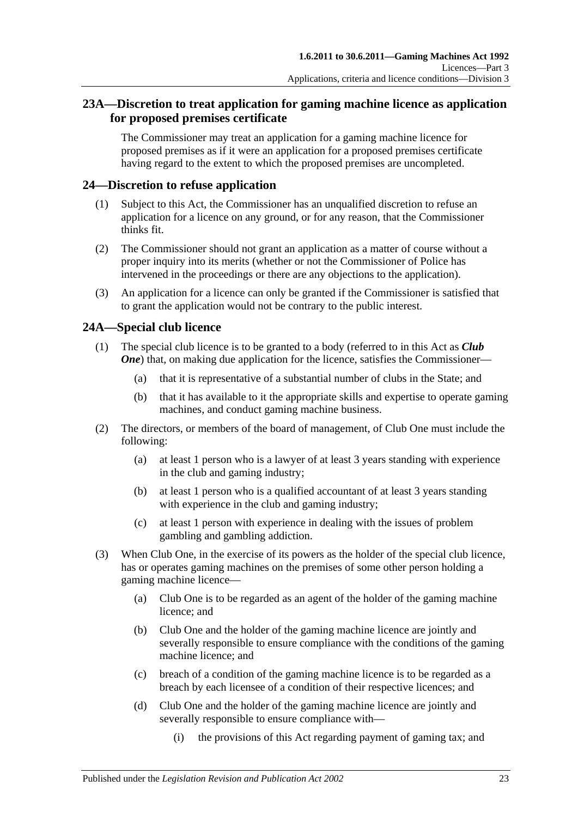# <span id="page-22-0"></span>**23A—Discretion to treat application for gaming machine licence as application for proposed premises certificate**

The Commissioner may treat an application for a gaming machine licence for proposed premises as if it were an application for a proposed premises certificate having regard to the extent to which the proposed premises are uncompleted.

# <span id="page-22-1"></span>**24—Discretion to refuse application**

- (1) Subject to this Act, the Commissioner has an unqualified discretion to refuse an application for a licence on any ground, or for any reason, that the Commissioner thinks fit.
- (2) The Commissioner should not grant an application as a matter of course without a proper inquiry into its merits (whether or not the Commissioner of Police has intervened in the proceedings or there are any objections to the application).
- (3) An application for a licence can only be granted if the Commissioner is satisfied that to grant the application would not be contrary to the public interest.

# <span id="page-22-2"></span>**24A—Special club licence**

- (1) The special club licence is to be granted to a body (referred to in this Act as *Club One*) that, on making due application for the licence, satisfies the Commissioner—
	- (a) that it is representative of a substantial number of clubs in the State; and
	- (b) that it has available to it the appropriate skills and expertise to operate gaming machines, and conduct gaming machine business.
- (2) The directors, or members of the board of management, of Club One must include the following:
	- (a) at least 1 person who is a lawyer of at least 3 years standing with experience in the club and gaming industry;
	- (b) at least 1 person who is a qualified accountant of at least 3 years standing with experience in the club and gaming industry;
	- (c) at least 1 person with experience in dealing with the issues of problem gambling and gambling addiction.
- (3) When Club One, in the exercise of its powers as the holder of the special club licence, has or operates gaming machines on the premises of some other person holding a gaming machine licence—
	- (a) Club One is to be regarded as an agent of the holder of the gaming machine licence; and
	- (b) Club One and the holder of the gaming machine licence are jointly and severally responsible to ensure compliance with the conditions of the gaming machine licence; and
	- (c) breach of a condition of the gaming machine licence is to be regarded as a breach by each licensee of a condition of their respective licences; and
	- (d) Club One and the holder of the gaming machine licence are jointly and severally responsible to ensure compliance with—
		- (i) the provisions of this Act regarding payment of gaming tax; and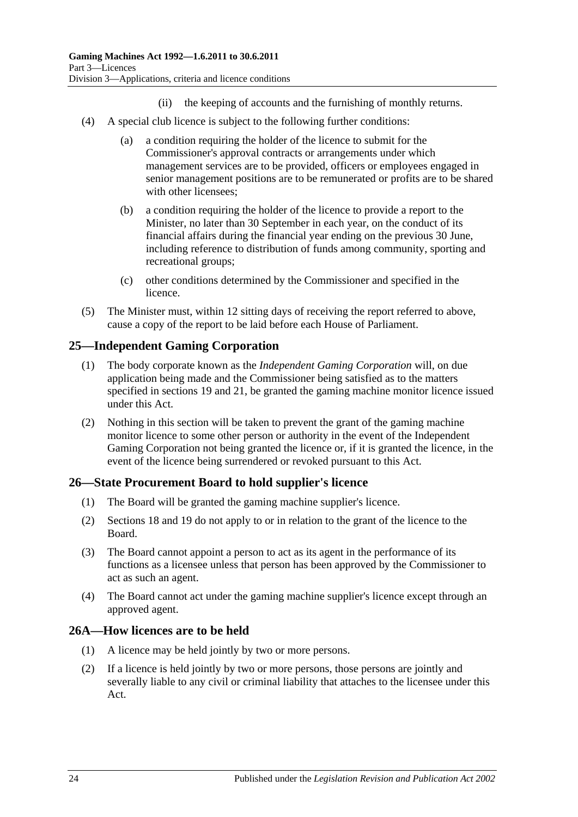- (ii) the keeping of accounts and the furnishing of monthly returns.
- (4) A special club licence is subject to the following further conditions:
	- (a) a condition requiring the holder of the licence to submit for the Commissioner's approval contracts or arrangements under which management services are to be provided, officers or employees engaged in senior management positions are to be remunerated or profits are to be shared with other licensees;
	- (b) a condition requiring the holder of the licence to provide a report to the Minister, no later than 30 September in each year, on the conduct of its financial affairs during the financial year ending on the previous 30 June, including reference to distribution of funds among community, sporting and recreational groups;
	- (c) other conditions determined by the Commissioner and specified in the licence.
- (5) The Minister must, within 12 sitting days of receiving the report referred to above, cause a copy of the report to be laid before each House of Parliament.

# <span id="page-23-0"></span>**25—Independent Gaming Corporation**

- (1) The body corporate known as the *Independent Gaming Corporation* will, on due application being made and the Commissioner being satisfied as to the matters specified in [sections](#page-21-0) 19 and [21,](#page-21-2) be granted the gaming machine monitor licence issued under this Act.
- (2) Nothing in this section will be taken to prevent the grant of the gaming machine monitor licence to some other person or authority in the event of the Independent Gaming Corporation not being granted the licence or, if it is granted the licence, in the event of the licence being surrendered or revoked pursuant to this Act.

### <span id="page-23-1"></span>**26—State Procurement Board to hold supplier's licence**

- (1) The Board will be granted the gaming machine supplier's licence.
- (2) [Sections](#page-20-1) 18 and [19](#page-21-0) do not apply to or in relation to the grant of the licence to the Board.
- (3) The Board cannot appoint a person to act as its agent in the performance of its functions as a licensee unless that person has been approved by the Commissioner to act as such an agent.
- (4) The Board cannot act under the gaming machine supplier's licence except through an approved agent.

### <span id="page-23-2"></span>**26A—How licences are to be held**

- (1) A licence may be held jointly by two or more persons.
- (2) If a licence is held jointly by two or more persons, those persons are jointly and severally liable to any civil or criminal liability that attaches to the licensee under this Act.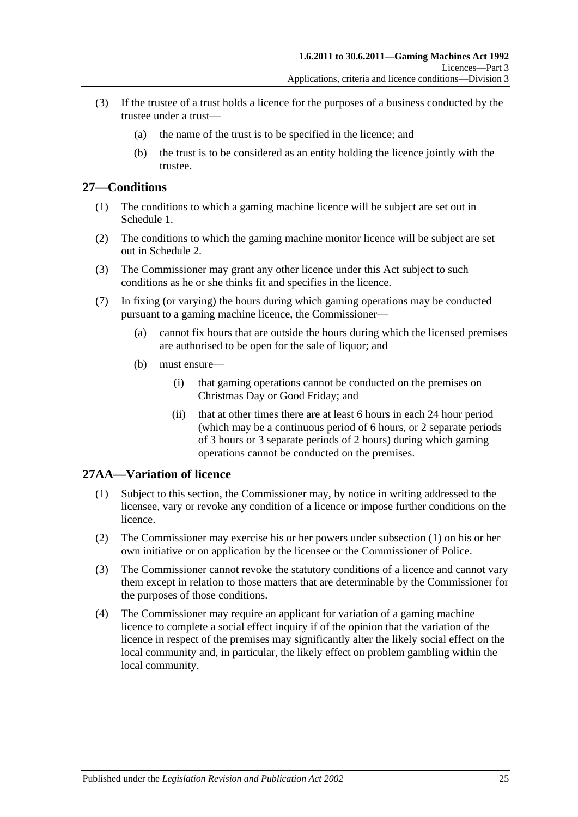- (3) If the trustee of a trust holds a licence for the purposes of a business conducted by the trustee under a trust—
	- (a) the name of the trust is to be specified in the licence; and
	- (b) the trust is to be considered as an entity holding the licence jointly with the trustee.

### <span id="page-24-0"></span>**27—Conditions**

- (1) The conditions to which a gaming machine licence will be subject are set out in [Schedule 1.](#page-70-2)
- (2) The conditions to which the gaming machine monitor licence will be subject are set out in [Schedule 2.](#page-71-0)
- (3) The Commissioner may grant any other licence under this Act subject to such conditions as he or she thinks fit and specifies in the licence.
- (7) In fixing (or varying) the hours during which gaming operations may be conducted pursuant to a gaming machine licence, the Commissioner—
	- (a) cannot fix hours that are outside the hours during which the licensed premises are authorised to be open for the sale of liquor; and
	- (b) must ensure—
		- (i) that gaming operations cannot be conducted on the premises on Christmas Day or Good Friday; and
		- (ii) that at other times there are at least 6 hours in each 24 hour period (which may be a continuous period of 6 hours, or 2 separate periods of 3 hours or 3 separate periods of 2 hours) during which gaming operations cannot be conducted on the premises.

#### <span id="page-24-2"></span><span id="page-24-1"></span>**27AA—Variation of licence**

- (1) Subject to this section, the Commissioner may, by notice in writing addressed to the licensee, vary or revoke any condition of a licence or impose further conditions on the licence.
- (2) The Commissioner may exercise his or her powers under [subsection](#page-24-2) (1) on his or her own initiative or on application by the licensee or the Commissioner of Police.
- (3) The Commissioner cannot revoke the statutory conditions of a licence and cannot vary them except in relation to those matters that are determinable by the Commissioner for the purposes of those conditions.
- (4) The Commissioner may require an applicant for variation of a gaming machine licence to complete a social effect inquiry if of the opinion that the variation of the licence in respect of the premises may significantly alter the likely social effect on the local community and, in particular, the likely effect on problem gambling within the local community.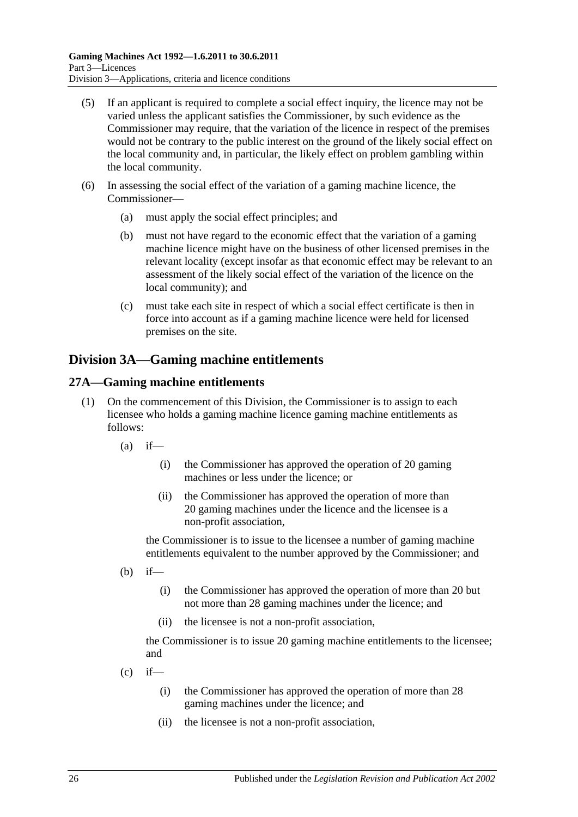- (5) If an applicant is required to complete a social effect inquiry, the licence may not be varied unless the applicant satisfies the Commissioner, by such evidence as the Commissioner may require, that the variation of the licence in respect of the premises would not be contrary to the public interest on the ground of the likely social effect on the local community and, in particular, the likely effect on problem gambling within the local community.
- (6) In assessing the social effect of the variation of a gaming machine licence, the Commissioner—
	- (a) must apply the social effect principles; and
	- (b) must not have regard to the economic effect that the variation of a gaming machine licence might have on the business of other licensed premises in the relevant locality (except insofar as that economic effect may be relevant to an assessment of the likely social effect of the variation of the licence on the local community); and
	- (c) must take each site in respect of which a social effect certificate is then in force into account as if a gaming machine licence were held for licensed premises on the site.

# <span id="page-25-0"></span>**Division 3A—Gaming machine entitlements**

### <span id="page-25-1"></span>**27A—Gaming machine entitlements**

- (1) On the commencement of this Division, the Commissioner is to assign to each licensee who holds a gaming machine licence gaming machine entitlements as follows:
	- $(a)$  if—
		- (i) the Commissioner has approved the operation of 20 gaming machines or less under the licence; or
		- (ii) the Commissioner has approved the operation of more than 20 gaming machines under the licence and the licensee is a non-profit association,

the Commissioner is to issue to the licensee a number of gaming machine entitlements equivalent to the number approved by the Commissioner; and

- $(b)$  if—
	- (i) the Commissioner has approved the operation of more than 20 but not more than 28 gaming machines under the licence; and
	- (ii) the licensee is not a non-profit association,

the Commissioner is to issue 20 gaming machine entitlements to the licensee; and

- $(c)$  if—
	- (i) the Commissioner has approved the operation of more than 28 gaming machines under the licence; and
	- (ii) the licensee is not a non-profit association,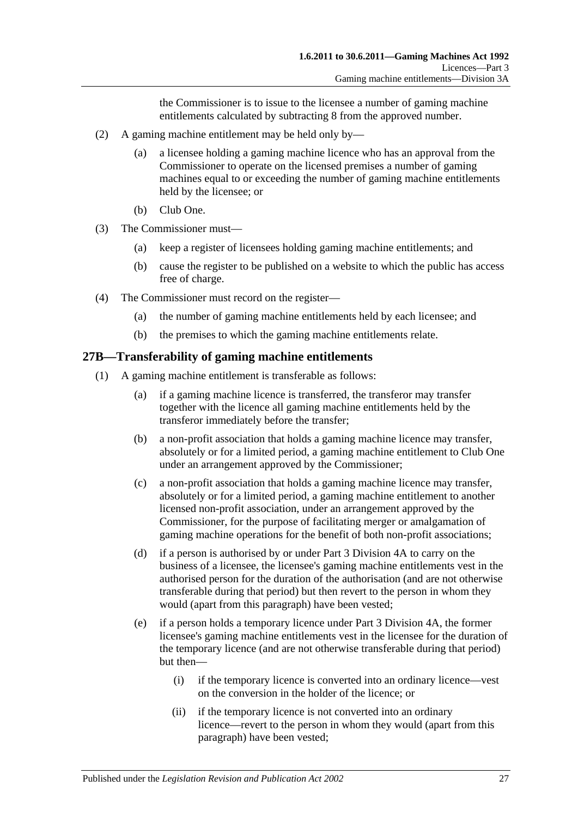the Commissioner is to issue to the licensee a number of gaming machine entitlements calculated by subtracting 8 from the approved number.

- (2) A gaming machine entitlement may be held only by—
	- (a) a licensee holding a gaming machine licence who has an approval from the Commissioner to operate on the licensed premises a number of gaming machines equal to or exceeding the number of gaming machine entitlements held by the licensee; or
	- (b) Club One.
- (3) The Commissioner must—
	- (a) keep a register of licensees holding gaming machine entitlements; and
	- (b) cause the register to be published on a website to which the public has access free of charge.
- (4) The Commissioner must record on the register—
	- (a) the number of gaming machine entitlements held by each licensee; and
	- (b) the premises to which the gaming machine entitlements relate.

#### <span id="page-26-0"></span>**27B—Transferability of gaming machine entitlements**

- <span id="page-26-2"></span><span id="page-26-1"></span>(1) A gaming machine entitlement is transferable as follows:
	- (a) if a gaming machine licence is transferred, the transferor may transfer together with the licence all gaming machine entitlements held by the transferor immediately before the transfer;
	- (b) a non-profit association that holds a gaming machine licence may transfer, absolutely or for a limited period, a gaming machine entitlement to Club One under an arrangement approved by the Commissioner;
	- (c) a non-profit association that holds a gaming machine licence may transfer, absolutely or for a limited period, a gaming machine entitlement to another licensed non-profit association, under an arrangement approved by the Commissioner, for the purpose of facilitating merger or amalgamation of gaming machine operations for the benefit of both non-profit associations;
	- (d) if a person is authorised by or under [Part 3 Division 4A](#page-31-2) to carry on the business of a licensee, the licensee's gaming machine entitlements vest in the authorised person for the duration of the authorisation (and are not otherwise transferable during that period) but then revert to the person in whom they would (apart from this paragraph) have been vested;
	- (e) if a person holds a temporary licence under [Part 3 Division 4A,](#page-31-2) the former licensee's gaming machine entitlements vest in the licensee for the duration of the temporary licence (and are not otherwise transferable during that period) but then—
		- (i) if the temporary licence is converted into an ordinary licence—vest on the conversion in the holder of the licence; or
		- (ii) if the temporary licence is not converted into an ordinary licence—revert to the person in whom they would (apart from this paragraph) have been vested;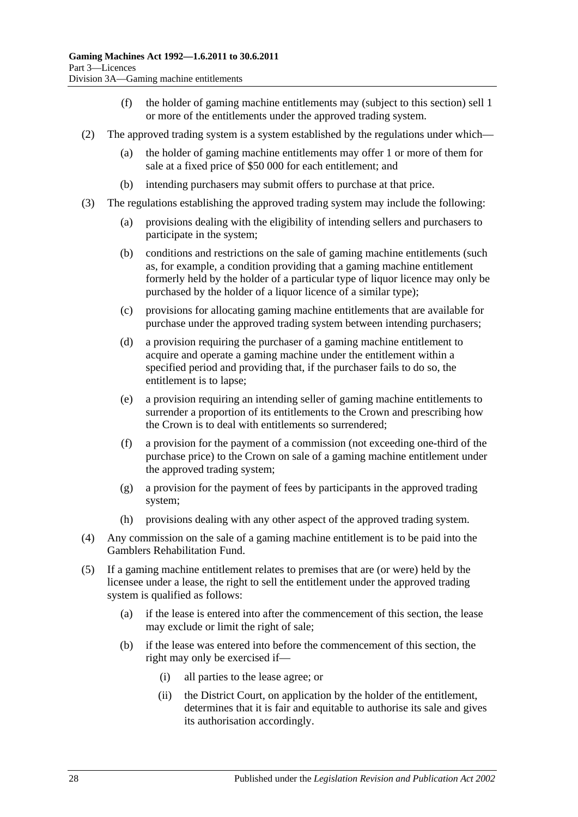- (f) the holder of gaming machine entitlements may (subject to this section) sell 1 or more of the entitlements under the approved trading system.
- <span id="page-27-1"></span>(2) The approved trading system is a system established by the regulations under which—
	- (a) the holder of gaming machine entitlements may offer 1 or more of them for sale at a fixed price of \$50 000 for each entitlement; and
	- (b) intending purchasers may submit offers to purchase at that price.
- (3) The regulations establishing the approved trading system may include the following:
	- (a) provisions dealing with the eligibility of intending sellers and purchasers to participate in the system;
	- (b) conditions and restrictions on the sale of gaming machine entitlements (such as, for example, a condition providing that a gaming machine entitlement formerly held by the holder of a particular type of liquor licence may only be purchased by the holder of a liquor licence of a similar type);
	- (c) provisions for allocating gaming machine entitlements that are available for purchase under the approved trading system between intending purchasers;
	- (d) a provision requiring the purchaser of a gaming machine entitlement to acquire and operate a gaming machine under the entitlement within a specified period and providing that, if the purchaser fails to do so, the entitlement is to lapse;
	- (e) a provision requiring an intending seller of gaming machine entitlements to surrender a proportion of its entitlements to the Crown and prescribing how the Crown is to deal with entitlements so surrendered;
	- (f) a provision for the payment of a commission (not exceeding one-third of the purchase price) to the Crown on sale of a gaming machine entitlement under the approved trading system;
	- (g) a provision for the payment of fees by participants in the approved trading system;
	- (h) provisions dealing with any other aspect of the approved trading system.
- (4) Any commission on the sale of a gaming machine entitlement is to be paid into the Gamblers Rehabilitation Fund.
- <span id="page-27-0"></span>(5) If a gaming machine entitlement relates to premises that are (or were) held by the licensee under a lease, the right to sell the entitlement under the approved trading system is qualified as follows:
	- (a) if the lease is entered into after the commencement of this section, the lease may exclude or limit the right of sale;
	- (b) if the lease was entered into before the commencement of this section, the right may only be exercised if—
		- (i) all parties to the lease agree; or
		- (ii) the District Court, on application by the holder of the entitlement, determines that it is fair and equitable to authorise its sale and gives its authorisation accordingly.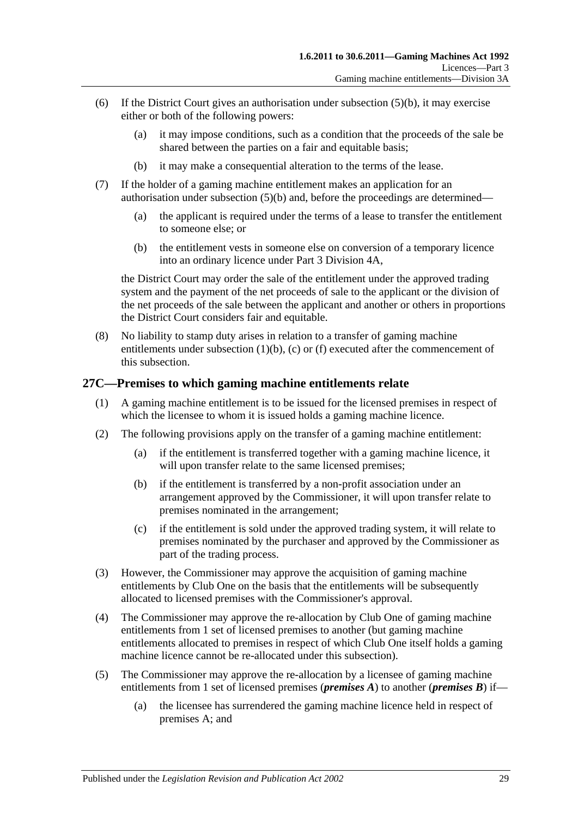- (6) If the District Court gives an authorisation under [subsection](#page-27-0) (5)(b), it may exercise either or both of the following powers:
	- (a) it may impose conditions, such as a condition that the proceeds of the sale be shared between the parties on a fair and equitable basis;
	- (b) it may make a consequential alteration to the terms of the lease.
- (7) If the holder of a gaming machine entitlement makes an application for an authorisation under [subsection](#page-27-0) (5)(b) and, before the proceedings are determined—
	- (a) the applicant is required under the terms of a lease to transfer the entitlement to someone else; or
	- (b) the entitlement vests in someone else on conversion of a temporary licence into an ordinary licence under [Part 3 Division 4A,](#page-31-2)

the District Court may order the sale of the entitlement under the approved trading system and the payment of the net proceeds of sale to the applicant or the division of the net proceeds of the sale between the applicant and another or others in proportions the District Court considers fair and equitable.

(8) No liability to stamp duty arises in relation to a transfer of gaming machine entitlements under [subsection](#page-26-1) (1)(b), [\(c\)](#page-26-2) or [\(f\)](#page-27-1) executed after the commencement of this subsection.

### <span id="page-28-0"></span>**27C—Premises to which gaming machine entitlements relate**

- (1) A gaming machine entitlement is to be issued for the licensed premises in respect of which the licensee to whom it is issued holds a gaming machine licence.
- (2) The following provisions apply on the transfer of a gaming machine entitlement:
	- (a) if the entitlement is transferred together with a gaming machine licence, it will upon transfer relate to the same licensed premises;
	- (b) if the entitlement is transferred by a non-profit association under an arrangement approved by the Commissioner, it will upon transfer relate to premises nominated in the arrangement;
	- (c) if the entitlement is sold under the approved trading system, it will relate to premises nominated by the purchaser and approved by the Commissioner as part of the trading process.
- (3) However, the Commissioner may approve the acquisition of gaming machine entitlements by Club One on the basis that the entitlements will be subsequently allocated to licensed premises with the Commissioner's approval.
- (4) The Commissioner may approve the re-allocation by Club One of gaming machine entitlements from 1 set of licensed premises to another (but gaming machine entitlements allocated to premises in respect of which Club One itself holds a gaming machine licence cannot be re-allocated under this subsection).
- (5) The Commissioner may approve the re-allocation by a licensee of gaming machine entitlements from 1 set of licensed premises (*premises A*) to another (*premises B*) if—
	- (a) the licensee has surrendered the gaming machine licence held in respect of premises A; and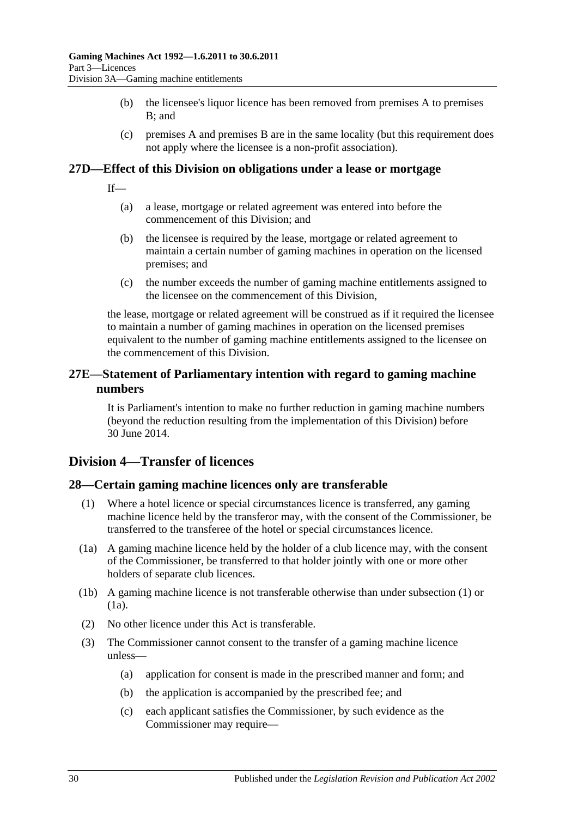- (b) the licensee's liquor licence has been removed from premises A to premises B; and
- (c) premises A and premises B are in the same locality (but this requirement does not apply where the licensee is a non-profit association).

#### <span id="page-29-0"></span>**27D—Effect of this Division on obligations under a lease or mortgage**

- If—
	- (a) a lease, mortgage or related agreement was entered into before the commencement of this Division; and
	- (b) the licensee is required by the lease, mortgage or related agreement to maintain a certain number of gaming machines in operation on the licensed premises; and
	- (c) the number exceeds the number of gaming machine entitlements assigned to the licensee on the commencement of this Division,

the lease, mortgage or related agreement will be construed as if it required the licensee to maintain a number of gaming machines in operation on the licensed premises equivalent to the number of gaming machine entitlements assigned to the licensee on the commencement of this Division.

### <span id="page-29-1"></span>**27E—Statement of Parliamentary intention with regard to gaming machine numbers**

It is Parliament's intention to make no further reduction in gaming machine numbers (beyond the reduction resulting from the implementation of this Division) before 30 June 2014.

# <span id="page-29-2"></span>**Division 4—Transfer of licences**

### <span id="page-29-4"></span><span id="page-29-3"></span>**28—Certain gaming machine licences only are transferable**

- (1) Where a hotel licence or special circumstances licence is transferred, any gaming machine licence held by the transferor may, with the consent of the Commissioner, be transferred to the transferee of the hotel or special circumstances licence.
- <span id="page-29-5"></span>(1a) A gaming machine licence held by the holder of a club licence may, with the consent of the Commissioner, be transferred to that holder jointly with one or more other holders of separate club licences.
- (1b) A gaming machine licence is not transferable otherwise than under [subsection](#page-29-4) (1) or [\(1a\).](#page-29-5)
- (2) No other licence under this Act is transferable.
- (3) The Commissioner cannot consent to the transfer of a gaming machine licence unless—
	- (a) application for consent is made in the prescribed manner and form; and
	- (b) the application is accompanied by the prescribed fee; and
	- (c) each applicant satisfies the Commissioner, by such evidence as the Commissioner may require—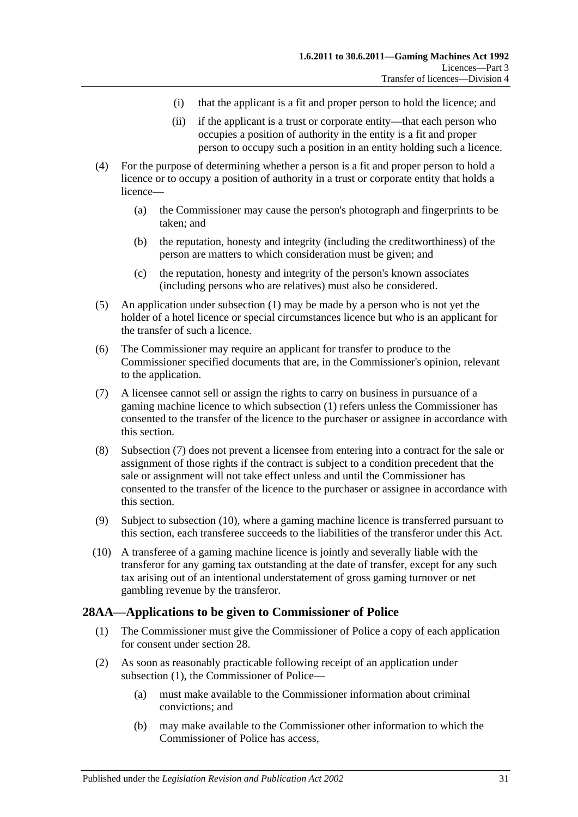- (i) that the applicant is a fit and proper person to hold the licence; and
- (ii) if the applicant is a trust or corporate entity—that each person who occupies a position of authority in the entity is a fit and proper person to occupy such a position in an entity holding such a licence.
- (4) For the purpose of determining whether a person is a fit and proper person to hold a licence or to occupy a position of authority in a trust or corporate entity that holds a licence—
	- (a) the Commissioner may cause the person's photograph and fingerprints to be taken; and
	- (b) the reputation, honesty and integrity (including the creditworthiness) of the person are matters to which consideration must be given; and
	- (c) the reputation, honesty and integrity of the person's known associates (including persons who are relatives) must also be considered.
- (5) An application under [subsection](#page-29-4) (1) may be made by a person who is not yet the holder of a hotel licence or special circumstances licence but who is an applicant for the transfer of such a licence.
- (6) The Commissioner may require an applicant for transfer to produce to the Commissioner specified documents that are, in the Commissioner's opinion, relevant to the application.
- <span id="page-30-1"></span>(7) A licensee cannot sell or assign the rights to carry on business in pursuance of a gaming machine licence to which [subsection](#page-29-4) (1) refers unless the Commissioner has consented to the transfer of the licence to the purchaser or assignee in accordance with this section.
- (8) [Subsection](#page-30-1) (7) does not prevent a licensee from entering into a contract for the sale or assignment of those rights if the contract is subject to a condition precedent that the sale or assignment will not take effect unless and until the Commissioner has consented to the transfer of the licence to the purchaser or assignee in accordance with this section.
- (9) Subject to [subsection](#page-30-2) (10), where a gaming machine licence is transferred pursuant to this section, each transferee succeeds to the liabilities of the transferor under this Act.
- <span id="page-30-2"></span>(10) A transferee of a gaming machine licence is jointly and severally liable with the transferor for any gaming tax outstanding at the date of transfer, except for any such tax arising out of an intentional understatement of gross gaming turnover or net gambling revenue by the transferor.

### <span id="page-30-3"></span><span id="page-30-0"></span>**28AA—Applications to be given to Commissioner of Police**

- (1) The Commissioner must give the Commissioner of Police a copy of each application for consent under [section](#page-29-3) 28.
- (2) As soon as reasonably practicable following receipt of an application under [subsection](#page-30-3) (1), the Commissioner of Police—
	- (a) must make available to the Commissioner information about criminal convictions; and
	- (b) may make available to the Commissioner other information to which the Commissioner of Police has access,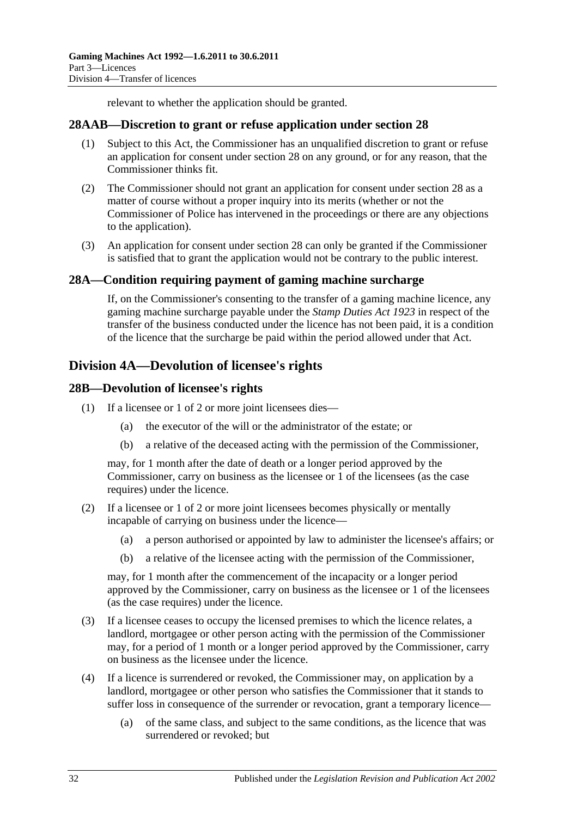relevant to whether the application should be granted.

#### <span id="page-31-0"></span>**28AAB—Discretion to grant or refuse application under [section](#page-29-3) 28**

- (1) Subject to this Act, the Commissioner has an unqualified discretion to grant or refuse an application for consent under [section](#page-29-3) 28 on any ground, or for any reason, that the Commissioner thinks fit.
- (2) The Commissioner should not grant an application for consent under [section](#page-29-3) 28 as a matter of course without a proper inquiry into its merits (whether or not the Commissioner of Police has intervened in the proceedings or there are any objections to the application).
- (3) An application for consent under [section](#page-29-3) 28 can only be granted if the Commissioner is satisfied that to grant the application would not be contrary to the public interest.

### <span id="page-31-1"></span>**28A—Condition requiring payment of gaming machine surcharge**

If, on the Commissioner's consenting to the transfer of a gaming machine licence, any gaming machine surcharge payable under the *[Stamp Duties Act](http://www.legislation.sa.gov.au/index.aspx?action=legref&type=act&legtitle=Stamp%20Duties%20Act%201923) 1923* in respect of the transfer of the business conducted under the licence has not been paid, it is a condition of the licence that the surcharge be paid within the period allowed under that Act.

# <span id="page-31-2"></span>**Division 4A—Devolution of licensee's rights**

### <span id="page-31-3"></span>**28B—Devolution of licensee's rights**

- (1) If a licensee or 1 of 2 or more joint licensees dies—
	- (a) the executor of the will or the administrator of the estate; or
	- (b) a relative of the deceased acting with the permission of the Commissioner,

may, for 1 month after the date of death or a longer period approved by the Commissioner, carry on business as the licensee or 1 of the licensees (as the case requires) under the licence.

- (2) If a licensee or 1 of 2 or more joint licensees becomes physically or mentally incapable of carrying on business under the licence—
	- (a) a person authorised or appointed by law to administer the licensee's affairs; or
	- (b) a relative of the licensee acting with the permission of the Commissioner,

may, for 1 month after the commencement of the incapacity or a longer period approved by the Commissioner, carry on business as the licensee or 1 of the licensees (as the case requires) under the licence.

- (3) If a licensee ceases to occupy the licensed premises to which the licence relates, a landlord, mortgagee or other person acting with the permission of the Commissioner may, for a period of 1 month or a longer period approved by the Commissioner, carry on business as the licensee under the licence.
- (4) If a licence is surrendered or revoked, the Commissioner may, on application by a landlord, mortgagee or other person who satisfies the Commissioner that it stands to suffer loss in consequence of the surrender or revocation, grant a temporary licence—
	- (a) of the same class, and subject to the same conditions, as the licence that was surrendered or revoked; but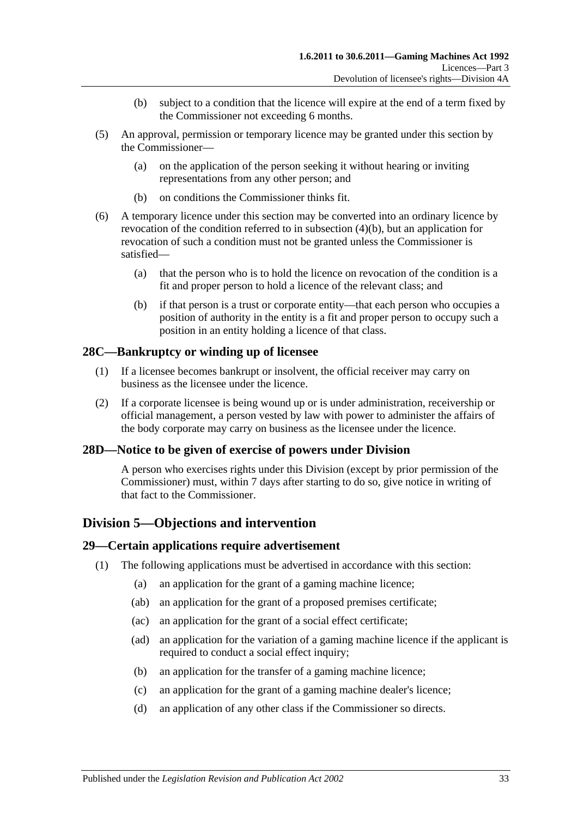- (b) subject to a condition that the licence will expire at the end of a term fixed by the Commissioner not exceeding 6 months.
- <span id="page-32-4"></span>(5) An approval, permission or temporary licence may be granted under this section by the Commissioner—
	- (a) on the application of the person seeking it without hearing or inviting representations from any other person; and
	- (b) on conditions the Commissioner thinks fit.
- (6) A temporary licence under this section may be converted into an ordinary licence by revocation of the condition referred to in [subsection](#page-32-4) (4)(b), but an application for revocation of such a condition must not be granted unless the Commissioner is satisfied—
	- (a) that the person who is to hold the licence on revocation of the condition is a fit and proper person to hold a licence of the relevant class; and
	- (b) if that person is a trust or corporate entity—that each person who occupies a position of authority in the entity is a fit and proper person to occupy such a position in an entity holding a licence of that class.

### <span id="page-32-0"></span>**28C—Bankruptcy or winding up of licensee**

- (1) If a licensee becomes bankrupt or insolvent, the official receiver may carry on business as the licensee under the licence.
- (2) If a corporate licensee is being wound up or is under administration, receivership or official management, a person vested by law with power to administer the affairs of the body corporate may carry on business as the licensee under the licence.

### <span id="page-32-1"></span>**28D—Notice to be given of exercise of powers under Division**

A person who exercises rights under this Division (except by prior permission of the Commissioner) must, within 7 days after starting to do so, give notice in writing of that fact to the Commissioner.

# <span id="page-32-2"></span>**Division 5—Objections and intervention**

#### <span id="page-32-3"></span>**29—Certain applications require advertisement**

- (1) The following applications must be advertised in accordance with this section:
	- (a) an application for the grant of a gaming machine licence;
	- (ab) an application for the grant of a proposed premises certificate;
	- (ac) an application for the grant of a social effect certificate;
	- (ad) an application for the variation of a gaming machine licence if the applicant is required to conduct a social effect inquiry;
	- (b) an application for the transfer of a gaming machine licence;
	- (c) an application for the grant of a gaming machine dealer's licence;
	- (d) an application of any other class if the Commissioner so directs.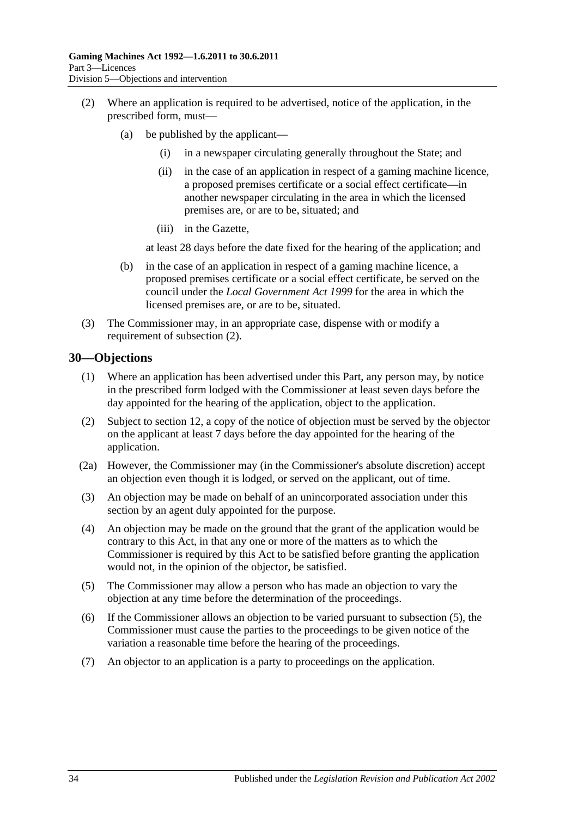- <span id="page-33-1"></span>(2) Where an application is required to be advertised, notice of the application, in the prescribed form, must—
	- (a) be published by the applicant—
		- (i) in a newspaper circulating generally throughout the State; and
		- (ii) in the case of an application in respect of a gaming machine licence, a proposed premises certificate or a social effect certificate—in another newspaper circulating in the area in which the licensed premises are, or are to be, situated; and
		- (iii) in the Gazette,

at least 28 days before the date fixed for the hearing of the application; and

- (b) in the case of an application in respect of a gaming machine licence, a proposed premises certificate or a social effect certificate, be served on the council under the *[Local Government Act](http://www.legislation.sa.gov.au/index.aspx?action=legref&type=act&legtitle=Local%20Government%20Act%201999) 1999* for the area in which the licensed premises are, or are to be, situated.
- (3) The Commissioner may, in an appropriate case, dispense with or modify a requirement of [subsection](#page-33-1) (2).

#### <span id="page-33-0"></span>**30—Objections**

- (1) Where an application has been advertised under this Part, any person may, by notice in the prescribed form lodged with the Commissioner at least seven days before the day appointed for the hearing of the application, object to the application.
- (2) Subject to [section](#page-13-2) 12, a copy of the notice of objection must be served by the objector on the applicant at least 7 days before the day appointed for the hearing of the application.
- (2a) However, the Commissioner may (in the Commissioner's absolute discretion) accept an objection even though it is lodged, or served on the applicant, out of time.
- (3) An objection may be made on behalf of an unincorporated association under this section by an agent duly appointed for the purpose.
- (4) An objection may be made on the ground that the grant of the application would be contrary to this Act, in that any one or more of the matters as to which the Commissioner is required by this Act to be satisfied before granting the application would not, in the opinion of the objector, be satisfied.
- <span id="page-33-2"></span>(5) The Commissioner may allow a person who has made an objection to vary the objection at any time before the determination of the proceedings.
- (6) If the Commissioner allows an objection to be varied pursuant to [subsection](#page-33-2) (5), the Commissioner must cause the parties to the proceedings to be given notice of the variation a reasonable time before the hearing of the proceedings.
- (7) An objector to an application is a party to proceedings on the application.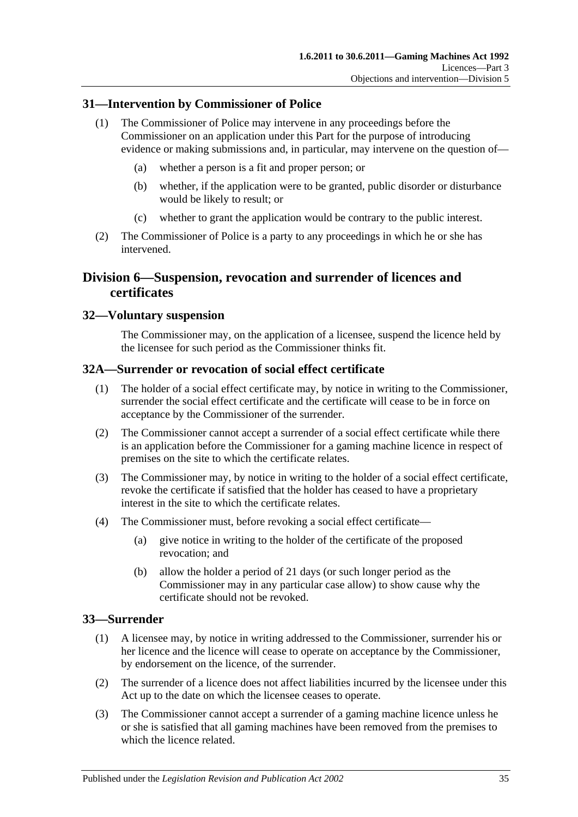### <span id="page-34-0"></span>**31—Intervention by Commissioner of Police**

- (1) The Commissioner of Police may intervene in any proceedings before the Commissioner on an application under this Part for the purpose of introducing evidence or making submissions and, in particular, may intervene on the question of—
	- (a) whether a person is a fit and proper person; or
	- (b) whether, if the application were to be granted, public disorder or disturbance would be likely to result; or
	- (c) whether to grant the application would be contrary to the public interest.
- (2) The Commissioner of Police is a party to any proceedings in which he or she has intervened.

# <span id="page-34-1"></span>**Division 6—Suspension, revocation and surrender of licences and certificates**

### <span id="page-34-2"></span>**32—Voluntary suspension**

The Commissioner may, on the application of a licensee, suspend the licence held by the licensee for such period as the Commissioner thinks fit.

### <span id="page-34-3"></span>**32A—Surrender or revocation of social effect certificate**

- (1) The holder of a social effect certificate may, by notice in writing to the Commissioner, surrender the social effect certificate and the certificate will cease to be in force on acceptance by the Commissioner of the surrender.
- (2) The Commissioner cannot accept a surrender of a social effect certificate while there is an application before the Commissioner for a gaming machine licence in respect of premises on the site to which the certificate relates.
- (3) The Commissioner may, by notice in writing to the holder of a social effect certificate, revoke the certificate if satisfied that the holder has ceased to have a proprietary interest in the site to which the certificate relates.
- (4) The Commissioner must, before revoking a social effect certificate—
	- (a) give notice in writing to the holder of the certificate of the proposed revocation; and
	- (b) allow the holder a period of 21 days (or such longer period as the Commissioner may in any particular case allow) to show cause why the certificate should not be revoked.

### <span id="page-34-4"></span>**33—Surrender**

- (1) A licensee may, by notice in writing addressed to the Commissioner, surrender his or her licence and the licence will cease to operate on acceptance by the Commissioner, by endorsement on the licence, of the surrender.
- (2) The surrender of a licence does not affect liabilities incurred by the licensee under this Act up to the date on which the licensee ceases to operate.
- (3) The Commissioner cannot accept a surrender of a gaming machine licence unless he or she is satisfied that all gaming machines have been removed from the premises to which the licence related.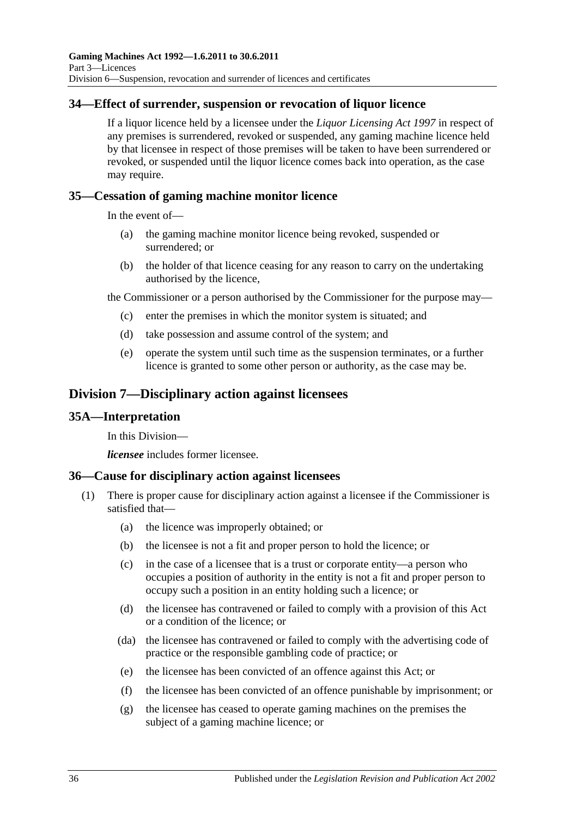# <span id="page-35-0"></span>**34—Effect of surrender, suspension or revocation of liquor licence**

If a liquor licence held by a licensee under the *[Liquor Licensing Act](http://www.legislation.sa.gov.au/index.aspx?action=legref&type=act&legtitle=Liquor%20Licensing%20Act%201997) 1997* in respect of any premises is surrendered, revoked or suspended, any gaming machine licence held by that licensee in respect of those premises will be taken to have been surrendered or revoked, or suspended until the liquor licence comes back into operation, as the case may require.

### <span id="page-35-1"></span>**35—Cessation of gaming machine monitor licence**

In the event of—

- (a) the gaming machine monitor licence being revoked, suspended or surrendered; or
- (b) the holder of that licence ceasing for any reason to carry on the undertaking authorised by the licence,

the Commissioner or a person authorised by the Commissioner for the purpose may—

- (c) enter the premises in which the monitor system is situated; and
- (d) take possession and assume control of the system; and
- (e) operate the system until such time as the suspension terminates, or a further licence is granted to some other person or authority, as the case may be.

# <span id="page-35-2"></span>**Division 7—Disciplinary action against licensees**

#### <span id="page-35-3"></span>**35A—Interpretation**

In this Division—

*licensee* includes former licensee.

#### <span id="page-35-4"></span>**36—Cause for disciplinary action against licensees**

- (1) There is proper cause for disciplinary action against a licensee if the Commissioner is satisfied that—
	- (a) the licence was improperly obtained; or
	- (b) the licensee is not a fit and proper person to hold the licence; or
	- (c) in the case of a licensee that is a trust or corporate entity—a person who occupies a position of authority in the entity is not a fit and proper person to occupy such a position in an entity holding such a licence; or
	- (d) the licensee has contravened or failed to comply with a provision of this Act or a condition of the licence; or
	- (da) the licensee has contravened or failed to comply with the advertising code of practice or the responsible gambling code of practice; or
	- (e) the licensee has been convicted of an offence against this Act; or
	- (f) the licensee has been convicted of an offence punishable by imprisonment; or
	- (g) the licensee has ceased to operate gaming machines on the premises the subject of a gaming machine licence; or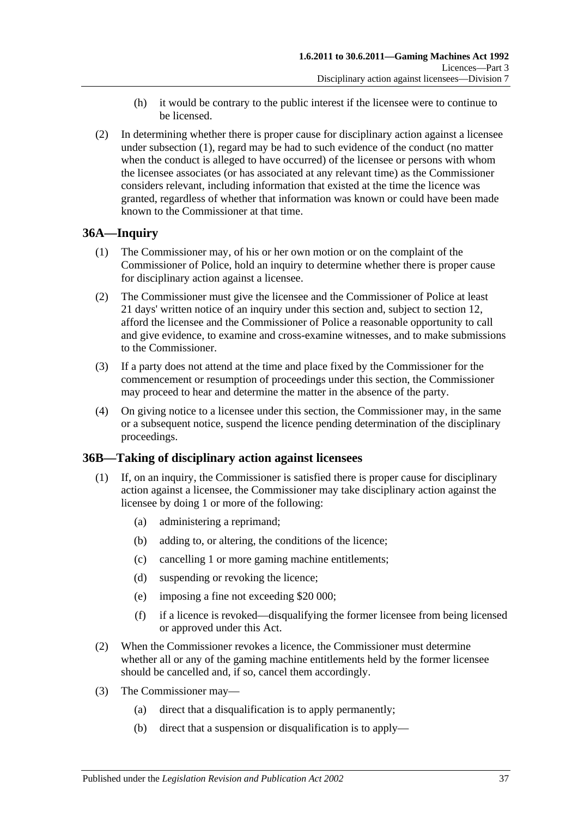- (h) it would be contrary to the public interest if the licensee were to continue to be licensed.
- (2) In determining whether there is proper cause for disciplinary action against a licensee under [subsection](#page-35-0) (1), regard may be had to such evidence of the conduct (no matter when the conduct is alleged to have occurred) of the licensee or persons with whom the licensee associates (or has associated at any relevant time) as the Commissioner considers relevant, including information that existed at the time the licence was granted, regardless of whether that information was known or could have been made known to the Commissioner at that time.

## **36A—Inquiry**

- (1) The Commissioner may, of his or her own motion or on the complaint of the Commissioner of Police, hold an inquiry to determine whether there is proper cause for disciplinary action against a licensee.
- (2) The Commissioner must give the licensee and the Commissioner of Police at least 21 days' written notice of an inquiry under this section and, subject to [section](#page-13-0) 12, afford the licensee and the Commissioner of Police a reasonable opportunity to call and give evidence, to examine and cross-examine witnesses, and to make submissions to the Commissioner.
- (3) If a party does not attend at the time and place fixed by the Commissioner for the commencement or resumption of proceedings under this section, the Commissioner may proceed to hear and determine the matter in the absence of the party.
- (4) On giving notice to a licensee under this section, the Commissioner may, in the same or a subsequent notice, suspend the licence pending determination of the disciplinary proceedings.

## **36B—Taking of disciplinary action against licensees**

- (1) If, on an inquiry, the Commissioner is satisfied there is proper cause for disciplinary action against a licensee, the Commissioner may take disciplinary action against the licensee by doing 1 or more of the following:
	- (a) administering a reprimand;
	- (b) adding to, or altering, the conditions of the licence;
	- (c) cancelling 1 or more gaming machine entitlements;
	- (d) suspending or revoking the licence;
	- (e) imposing a fine not exceeding \$20 000;
	- (f) if a licence is revoked—disqualifying the former licensee from being licensed or approved under this Act.
- (2) When the Commissioner revokes a licence, the Commissioner must determine whether all or any of the gaming machine entitlements held by the former licensee should be cancelled and, if so, cancel them accordingly.
- (3) The Commissioner may—
	- (a) direct that a disqualification is to apply permanently;
	- (b) direct that a suspension or disqualification is to apply—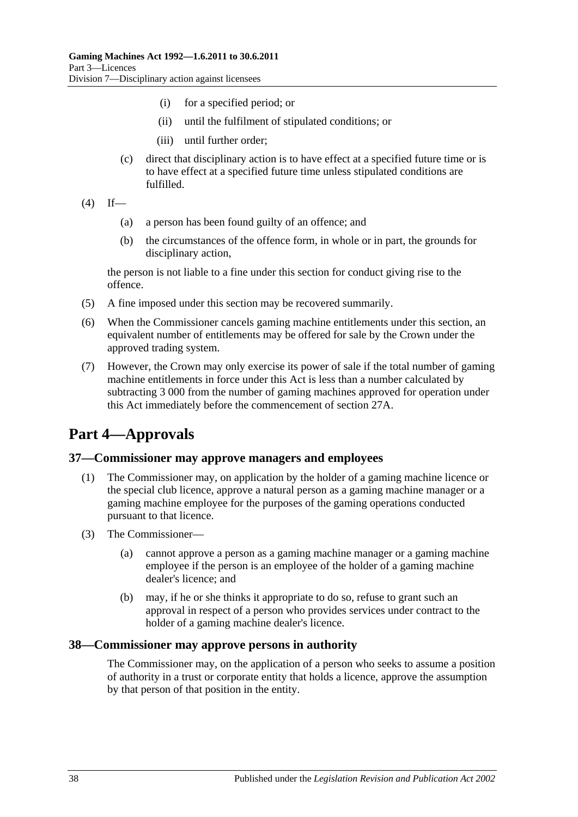- (i) for a specified period; or
- (ii) until the fulfilment of stipulated conditions; or
- (iii) until further order;
- (c) direct that disciplinary action is to have effect at a specified future time or is to have effect at a specified future time unless stipulated conditions are fulfilled.

```
(4) If—
```
- (a) a person has been found guilty of an offence; and
- (b) the circumstances of the offence form, in whole or in part, the grounds for disciplinary action,

the person is not liable to a fine under this section for conduct giving rise to the offence.

- (5) A fine imposed under this section may be recovered summarily.
- (6) When the Commissioner cancels gaming machine entitlements under this section, an equivalent number of entitlements may be offered for sale by the Crown under the approved trading system.
- (7) However, the Crown may only exercise its power of sale if the total number of gaming machine entitlements in force under this Act is less than a number calculated by subtracting 3 000 from the number of gaming machines approved for operation under this Act immediately before the commencement of [section](#page-25-0) 27A.

# **Part 4—Approvals**

## **37—Commissioner may approve managers and employees**

- (1) The Commissioner may, on application by the holder of a gaming machine licence or the special club licence, approve a natural person as a gaming machine manager or a gaming machine employee for the purposes of the gaming operations conducted pursuant to that licence.
- (3) The Commissioner—
	- (a) cannot approve a person as a gaming machine manager or a gaming machine employee if the person is an employee of the holder of a gaming machine dealer's licence; and
	- (b) may, if he or she thinks it appropriate to do so, refuse to grant such an approval in respect of a person who provides services under contract to the holder of a gaming machine dealer's licence.

## **38—Commissioner may approve persons in authority**

The Commissioner may, on the application of a person who seeks to assume a position of authority in a trust or corporate entity that holds a licence, approve the assumption by that person of that position in the entity.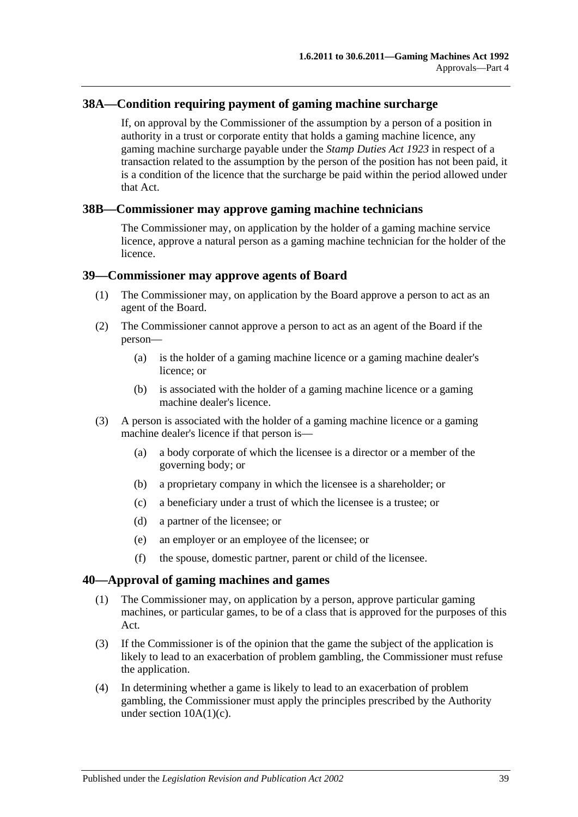## **38A—Condition requiring payment of gaming machine surcharge**

If, on approval by the Commissioner of the assumption by a person of a position in authority in a trust or corporate entity that holds a gaming machine licence, any gaming machine surcharge payable under the *[Stamp Duties Act](http://www.legislation.sa.gov.au/index.aspx?action=legref&type=act&legtitle=Stamp%20Duties%20Act%201923) 1923* in respect of a transaction related to the assumption by the person of the position has not been paid, it is a condition of the licence that the surcharge be paid within the period allowed under that Act.

#### **38B—Commissioner may approve gaming machine technicians**

The Commissioner may, on application by the holder of a gaming machine service licence, approve a natural person as a gaming machine technician for the holder of the licence.

#### **39—Commissioner may approve agents of Board**

- (1) The Commissioner may, on application by the Board approve a person to act as an agent of the Board.
- (2) The Commissioner cannot approve a person to act as an agent of the Board if the person—
	- (a) is the holder of a gaming machine licence or a gaming machine dealer's licence; or
	- (b) is associated with the holder of a gaming machine licence or a gaming machine dealer's licence.
- (3) A person is associated with the holder of a gaming machine licence or a gaming machine dealer's licence if that person is—
	- (a) a body corporate of which the licensee is a director or a member of the governing body; or
	- (b) a proprietary company in which the licensee is a shareholder; or
	- (c) a beneficiary under a trust of which the licensee is a trustee; or
	- (d) a partner of the licensee; or
	- (e) an employer or an employee of the licensee; or
	- (f) the spouse, domestic partner, parent or child of the licensee.

#### <span id="page-38-0"></span>**40—Approval of gaming machines and games**

- (1) The Commissioner may, on application by a person, approve particular gaming machines, or particular games, to be of a class that is approved for the purposes of this Act.
- (3) If the Commissioner is of the opinion that the game the subject of the application is likely to lead to an exacerbation of problem gambling, the Commissioner must refuse the application.
- (4) In determining whether a game is likely to lead to an exacerbation of problem gambling, the Commissioner must apply the principles prescribed by the Authority under section  $10A(1)(c)$ .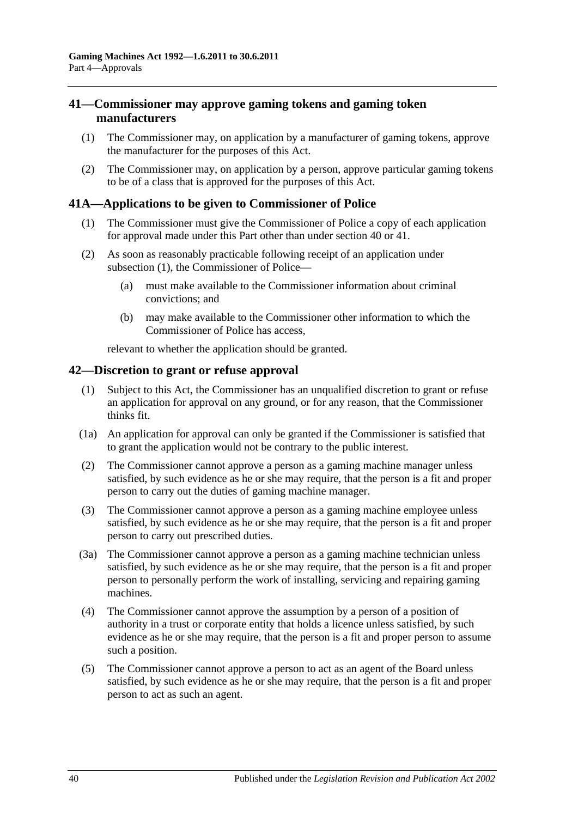## <span id="page-39-0"></span>**41—Commissioner may approve gaming tokens and gaming token manufacturers**

- (1) The Commissioner may, on application by a manufacturer of gaming tokens, approve the manufacturer for the purposes of this Act.
- (2) The Commissioner may, on application by a person, approve particular gaming tokens to be of a class that is approved for the purposes of this Act.

## **41A—Applications to be given to Commissioner of Police**

- (1) The Commissioner must give the Commissioner of Police a copy of each application for approval made under this Part other than under [section](#page-38-0) 40 or [41.](#page-39-0)
- (2) As soon as reasonably practicable following receipt of an application under [subsection](#page-21-0) (1), the Commissioner of Police—
	- (a) must make available to the Commissioner information about criminal convictions; and
	- (b) may make available to the Commissioner other information to which the Commissioner of Police has access,

relevant to whether the application should be granted.

#### <span id="page-39-6"></span>**42—Discretion to grant or refuse approval**

- (1) Subject to this Act, the Commissioner has an unqualified discretion to grant or refuse an application for approval on any ground, or for any reason, that the Commissioner thinks fit.
- (1a) An application for approval can only be granted if the Commissioner is satisfied that to grant the application would not be contrary to the public interest.
- <span id="page-39-1"></span>(2) The Commissioner cannot approve a person as a gaming machine manager unless satisfied, by such evidence as he or she may require, that the person is a fit and proper person to carry out the duties of gaming machine manager.
- <span id="page-39-2"></span>(3) The Commissioner cannot approve a person as a gaming machine employee unless satisfied, by such evidence as he or she may require, that the person is a fit and proper person to carry out prescribed duties.
- <span id="page-39-3"></span>(3a) The Commissioner cannot approve a person as a gaming machine technician unless satisfied, by such evidence as he or she may require, that the person is a fit and proper person to personally perform the work of installing, servicing and repairing gaming machines.
- <span id="page-39-4"></span>(4) The Commissioner cannot approve the assumption by a person of a position of authority in a trust or corporate entity that holds a licence unless satisfied, by such evidence as he or she may require, that the person is a fit and proper person to assume such a position.
- <span id="page-39-5"></span>(5) The Commissioner cannot approve a person to act as an agent of the Board unless satisfied, by such evidence as he or she may require, that the person is a fit and proper person to act as such an agent.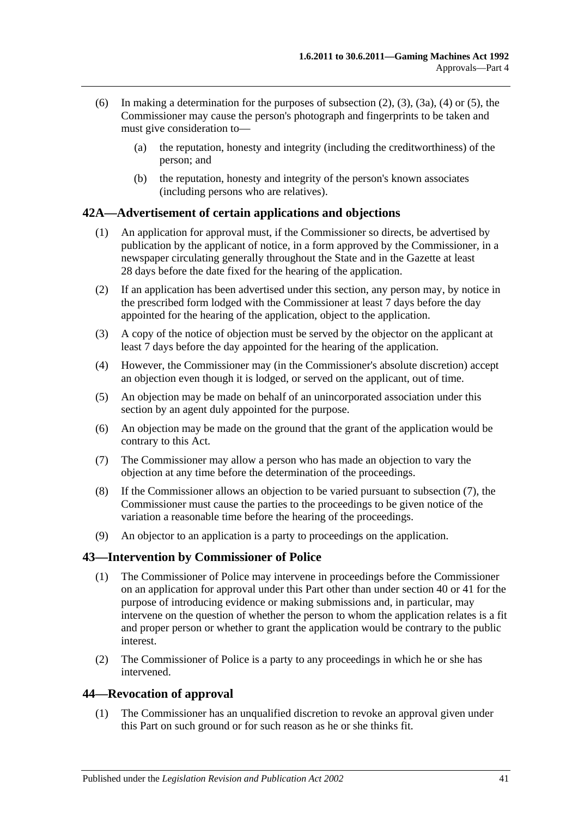- (6) In making a determination for the purposes of [subsection](#page-39-1) (2), [\(3\),](#page-39-2) [\(3a\),](#page-39-3) [\(4\)](#page-39-4) or [\(5\),](#page-39-5) the Commissioner may cause the person's photograph and fingerprints to be taken and must give consideration to—
	- (a) the reputation, honesty and integrity (including the creditworthiness) of the person; and
	- (b) the reputation, honesty and integrity of the person's known associates (including persons who are relatives).

## **42A—Advertisement of certain applications and objections**

- (1) An application for approval must, if the Commissioner so directs, be advertised by publication by the applicant of notice, in a form approved by the Commissioner, in a newspaper circulating generally throughout the State and in the Gazette at least 28 days before the date fixed for the hearing of the application.
- (2) If an application has been advertised under this section, any person may, by notice in the prescribed form lodged with the Commissioner at least 7 days before the day appointed for the hearing of the application, object to the application.
- (3) A copy of the notice of objection must be served by the objector on the applicant at least 7 days before the day appointed for the hearing of the application.
- (4) However, the Commissioner may (in the Commissioner's absolute discretion) accept an objection even though it is lodged, or served on the applicant, out of time.
- (5) An objection may be made on behalf of an unincorporated association under this section by an agent duly appointed for the purpose.
- (6) An objection may be made on the ground that the grant of the application would be contrary to this Act.
- <span id="page-40-0"></span>(7) The Commissioner may allow a person who has made an objection to vary the objection at any time before the determination of the proceedings.
- (8) If the Commissioner allows an objection to be varied pursuant to [subsection](#page-40-0) (7), the Commissioner must cause the parties to the proceedings to be given notice of the variation a reasonable time before the hearing of the proceedings.
- (9) An objector to an application is a party to proceedings on the application.

## **43—Intervention by Commissioner of Police**

- (1) The Commissioner of Police may intervene in proceedings before the Commissioner on an application for approval under this Part other than under [section](#page-38-0) 40 or [41](#page-39-0) for the purpose of introducing evidence or making submissions and, in particular, may intervene on the question of whether the person to whom the application relates is a fit and proper person or whether to grant the application would be contrary to the public interest.
- (2) The Commissioner of Police is a party to any proceedings in which he or she has intervened.

## <span id="page-40-1"></span>**44—Revocation of approval**

(1) The Commissioner has an unqualified discretion to revoke an approval given under this Part on such ground or for such reason as he or she thinks fit.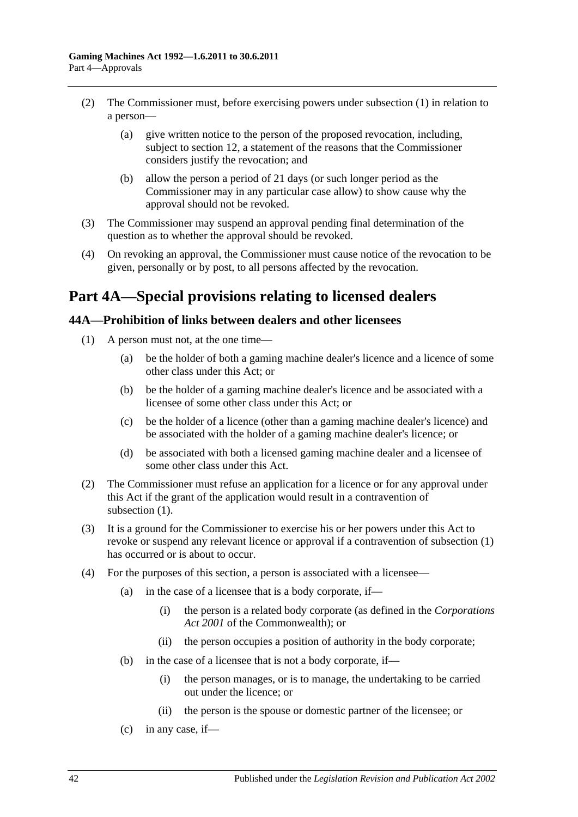- (2) The Commissioner must, before exercising powers under [subsection](#page-40-1) (1) in relation to a person—
	- (a) give written notice to the person of the proposed revocation, including, subject to [section](#page-13-0) 12, a statement of the reasons that the Commissioner considers justify the revocation; and
	- (b) allow the person a period of 21 days (or such longer period as the Commissioner may in any particular case allow) to show cause why the approval should not be revoked.
- (3) The Commissioner may suspend an approval pending final determination of the question as to whether the approval should be revoked.
- (4) On revoking an approval, the Commissioner must cause notice of the revocation to be given, personally or by post, to all persons affected by the revocation.

# **Part 4A—Special provisions relating to licensed dealers**

## <span id="page-41-0"></span>**44A—Prohibition of links between dealers and other licensees**

- (1) A person must not, at the one time—
	- (a) be the holder of both a gaming machine dealer's licence and a licence of some other class under this Act; or
	- (b) be the holder of a gaming machine dealer's licence and be associated with a licensee of some other class under this Act; or
	- (c) be the holder of a licence (other than a gaming machine dealer's licence) and be associated with the holder of a gaming machine dealer's licence; or
	- (d) be associated with both a licensed gaming machine dealer and a licensee of some other class under this Act.
- (2) The Commissioner must refuse an application for a licence or for any approval under this Act if the grant of the application would result in a contravention of [subsection](#page-41-0)  $(1)$ .
- (3) It is a ground for the Commissioner to exercise his or her powers under this Act to revoke or suspend any relevant licence or approval if a contravention of [subsection](#page-41-0) (1) has occurred or is about to occur.
- (4) For the purposes of this section, a person is associated with a licensee—
	- (a) in the case of a licensee that is a body corporate, if—
		- (i) the person is a related body corporate (as defined in the *Corporations Act 2001* of the Commonwealth); or
		- (ii) the person occupies a position of authority in the body corporate;
	- (b) in the case of a licensee that is not a body corporate, if—
		- (i) the person manages, or is to manage, the undertaking to be carried out under the licence; or
		- (ii) the person is the spouse or domestic partner of the licensee; or
	- $(c)$  in any case, if —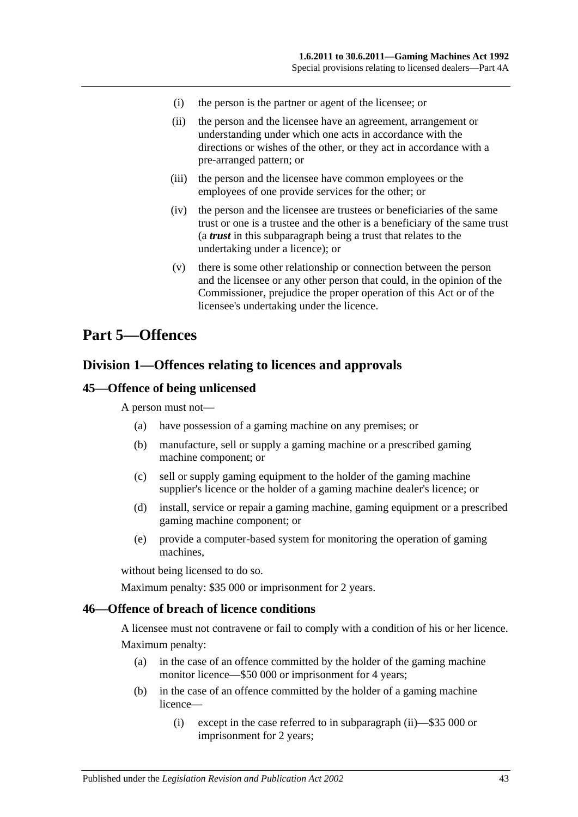- (i) the person is the partner or agent of the licensee; or
- (ii) the person and the licensee have an agreement, arrangement or understanding under which one acts in accordance with the directions or wishes of the other, or they act in accordance with a pre-arranged pattern; or
- (iii) the person and the licensee have common employees or the employees of one provide services for the other; or
- (iv) the person and the licensee are trustees or beneficiaries of the same trust or one is a trustee and the other is a beneficiary of the same trust (a *trust* in this subparagraph being a trust that relates to the undertaking under a licence); or
- (v) there is some other relationship or connection between the person and the licensee or any other person that could, in the opinion of the Commissioner, prejudice the proper operation of this Act or of the licensee's undertaking under the licence.

## **Part 5—Offences**

## **Division 1—Offences relating to licences and approvals**

#### **45—Offence of being unlicensed**

A person must not—

- (a) have possession of a gaming machine on any premises; or
- (b) manufacture, sell or supply a gaming machine or a prescribed gaming machine component; or
- (c) sell or supply gaming equipment to the holder of the gaming machine supplier's licence or the holder of a gaming machine dealer's licence; or
- (d) install, service or repair a gaming machine, gaming equipment or a prescribed gaming machine component; or
- (e) provide a computer-based system for monitoring the operation of gaming machines,

without being licensed to do so.

Maximum penalty: \$35 000 or imprisonment for 2 years.

#### **46—Offence of breach of licence conditions**

A licensee must not contravene or fail to comply with a condition of his or her licence. Maximum penalty:

- (a) in the case of an offence committed by the holder of the gaming machine monitor licence—\$50 000 or imprisonment for 4 years;
- (b) in the case of an offence committed by the holder of a gaming machine licence—
	- (i) except in the case referred to in [subparagraph](#page-43-0) (ii)—\$35 000 or imprisonment for 2 years;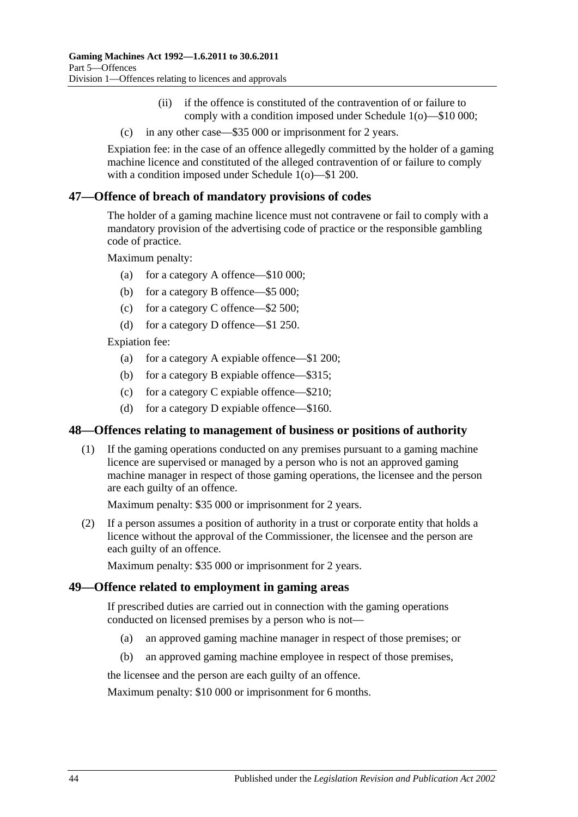- (ii) if the offence is constituted of the contravention of or failure to comply with a condition imposed under [Schedule 1\(](#page-70-0)o)—\$10 000;
- <span id="page-43-0"></span>(c) in any other case—\$35 000 or imprisonment for 2 years.

Expiation fee: in the case of an offence allegedly committed by the holder of a gaming machine licence and constituted of the alleged contravention of or failure to comply with a condition imposed under [Schedule 1\(](#page-70-0)o)—\$1 200.

## **47—Offence of breach of mandatory provisions of codes**

The holder of a gaming machine licence must not contravene or fail to comply with a mandatory provision of the advertising code of practice or the responsible gambling code of practice.

Maximum penalty:

- (a) for a category A offence—\$10 000;
- (b) for a category B offence—\$5 000;
- (c) for a category C offence—\$2 500;
- (d) for a category D offence—\$1 250.

Expiation fee:

- (a) for a category A expiable offence—\$1 200;
- (b) for a category B expiable offence—\$315;
- (c) for a category C expiable offence—\$210;
- (d) for a category D expiable offence—\$160.

#### **48—Offences relating to management of business or positions of authority**

(1) If the gaming operations conducted on any premises pursuant to a gaming machine licence are supervised or managed by a person who is not an approved gaming machine manager in respect of those gaming operations, the licensee and the person are each guilty of an offence.

Maximum penalty: \$35 000 or imprisonment for 2 years.

(2) If a person assumes a position of authority in a trust or corporate entity that holds a licence without the approval of the Commissioner, the licensee and the person are each guilty of an offence.

Maximum penalty: \$35 000 or imprisonment for 2 years.

#### **49—Offence related to employment in gaming areas**

If prescribed duties are carried out in connection with the gaming operations conducted on licensed premises by a person who is not—

- (a) an approved gaming machine manager in respect of those premises; or
- (b) an approved gaming machine employee in respect of those premises,

the licensee and the person are each guilty of an offence.

Maximum penalty: \$10 000 or imprisonment for 6 months.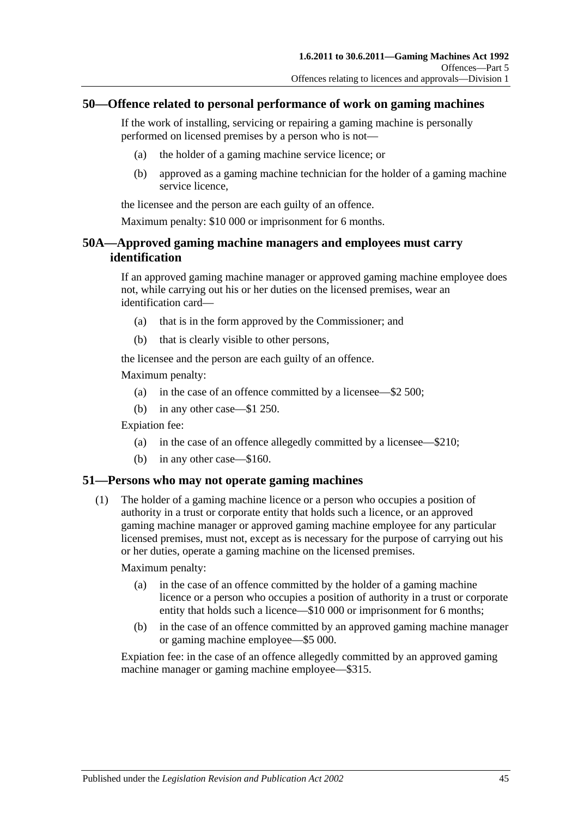#### **50—Offence related to personal performance of work on gaming machines**

If the work of installing, servicing or repairing a gaming machine is personally performed on licensed premises by a person who is not—

- (a) the holder of a gaming machine service licence; or
- (b) approved as a gaming machine technician for the holder of a gaming machine service licence,

the licensee and the person are each guilty of an offence.

Maximum penalty: \$10 000 or imprisonment for 6 months.

## **50A—Approved gaming machine managers and employees must carry identification**

If an approved gaming machine manager or approved gaming machine employee does not, while carrying out his or her duties on the licensed premises, wear an identification card—

- (a) that is in the form approved by the Commissioner; and
- (b) that is clearly visible to other persons,

the licensee and the person are each guilty of an offence.

Maximum penalty:

- (a) in the case of an offence committed by a licensee—\$2 500;
- (b) in any other case—\$1 250.

Expiation fee:

- (a) in the case of an offence allegedly committed by a licensee—\$210;
- (b) in any other case—\$160.

#### **51—Persons who may not operate gaming machines**

(1) The holder of a gaming machine licence or a person who occupies a position of authority in a trust or corporate entity that holds such a licence, or an approved gaming machine manager or approved gaming machine employee for any particular licensed premises, must not, except as is necessary for the purpose of carrying out his or her duties, operate a gaming machine on the licensed premises.

Maximum penalty:

- (a) in the case of an offence committed by the holder of a gaming machine licence or a person who occupies a position of authority in a trust or corporate entity that holds such a licence—\$10 000 or imprisonment for 6 months;
- (b) in the case of an offence committed by an approved gaming machine manager or gaming machine employee—\$5 000.

Expiation fee: in the case of an offence allegedly committed by an approved gaming machine manager or gaming machine employee—\$315.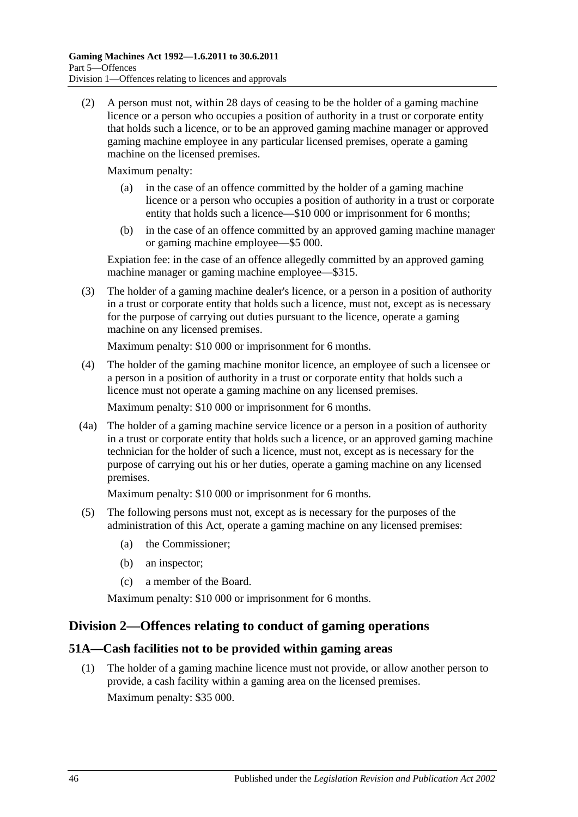(2) A person must not, within 28 days of ceasing to be the holder of a gaming machine licence or a person who occupies a position of authority in a trust or corporate entity that holds such a licence, or to be an approved gaming machine manager or approved gaming machine employee in any particular licensed premises, operate a gaming machine on the licensed premises.

Maximum penalty:

- (a) in the case of an offence committed by the holder of a gaming machine licence or a person who occupies a position of authority in a trust or corporate entity that holds such a licence—\$10 000 or imprisonment for 6 months;
- (b) in the case of an offence committed by an approved gaming machine manager or gaming machine employee—\$5 000.

Expiation fee: in the case of an offence allegedly committed by an approved gaming machine manager or gaming machine employee—\$315.

(3) The holder of a gaming machine dealer's licence, or a person in a position of authority in a trust or corporate entity that holds such a licence, must not, except as is necessary for the purpose of carrying out duties pursuant to the licence, operate a gaming machine on any licensed premises.

Maximum penalty: \$10 000 or imprisonment for 6 months.

(4) The holder of the gaming machine monitor licence, an employee of such a licensee or a person in a position of authority in a trust or corporate entity that holds such a licence must not operate a gaming machine on any licensed premises.

Maximum penalty: \$10 000 or imprisonment for 6 months.

(4a) The holder of a gaming machine service licence or a person in a position of authority in a trust or corporate entity that holds such a licence, or an approved gaming machine technician for the holder of such a licence, must not, except as is necessary for the purpose of carrying out his or her duties, operate a gaming machine on any licensed premises.

Maximum penalty: \$10 000 or imprisonment for 6 months.

- (5) The following persons must not, except as is necessary for the purposes of the administration of this Act, operate a gaming machine on any licensed premises:
	- (a) the Commissioner;
	- (b) an inspector;
	- (c) a member of the Board.

Maximum penalty: \$10 000 or imprisonment for 6 months.

## **Division 2—Offences relating to conduct of gaming operations**

## **51A—Cash facilities not to be provided within gaming areas**

(1) The holder of a gaming machine licence must not provide, or allow another person to provide, a cash facility within a gaming area on the licensed premises. Maximum penalty: \$35 000.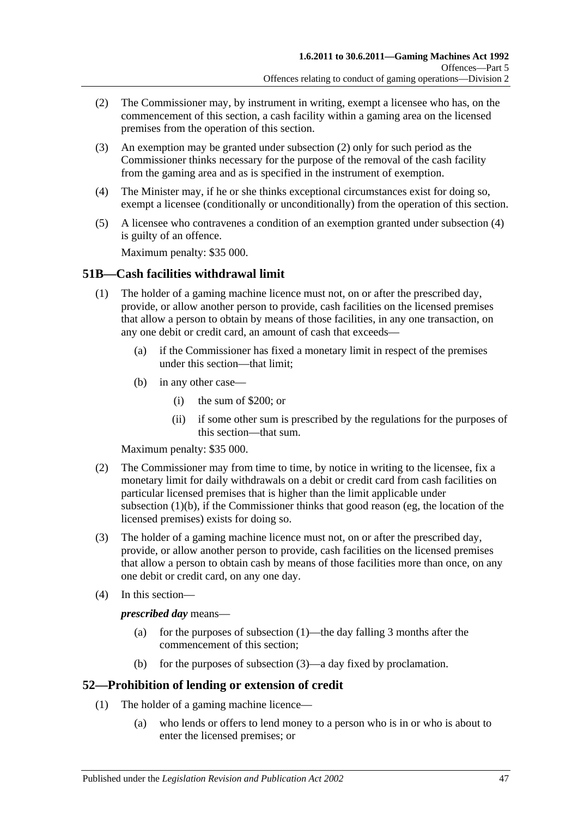- <span id="page-46-0"></span>(2) The Commissioner may, by instrument in writing, exempt a licensee who has, on the commencement of this section, a cash facility within a gaming area on the licensed premises from the operation of this section.
- (3) An exemption may be granted under [subsection](#page-46-0) (2) only for such period as the Commissioner thinks necessary for the purpose of the removal of the cash facility from the gaming area and as is specified in the instrument of exemption.
- <span id="page-46-1"></span>(4) The Minister may, if he or she thinks exceptional circumstances exist for doing so, exempt a licensee (conditionally or unconditionally) from the operation of this section.
- (5) A licensee who contravenes a condition of an exemption granted under [subsection](#page-46-1) (4) is guilty of an offence.

Maximum penalty: \$35 000.

#### <span id="page-46-3"></span>**51B—Cash facilities withdrawal limit**

- <span id="page-46-2"></span>(1) The holder of a gaming machine licence must not, on or after the prescribed day, provide, or allow another person to provide, cash facilities on the licensed premises that allow a person to obtain by means of those facilities, in any one transaction, on any one debit or credit card, an amount of cash that exceeds—
	- (a) if the Commissioner has fixed a monetary limit in respect of the premises under this section—that limit;
	- (b) in any other case—
		- (i) the sum of \$200; or
		- (ii) if some other sum is prescribed by the regulations for the purposes of this section—that sum.

Maximum penalty: \$35 000.

- (2) The Commissioner may from time to time, by notice in writing to the licensee, fix a monetary limit for daily withdrawals on a debit or credit card from cash facilities on particular licensed premises that is higher than the limit applicable under [subsection](#page-46-2) (1)(b), if the Commissioner thinks that good reason (eg, the location of the licensed premises) exists for doing so.
- <span id="page-46-4"></span>(3) The holder of a gaming machine licence must not, on or after the prescribed day, provide, or allow another person to provide, cash facilities on the licensed premises that allow a person to obtain cash by means of those facilities more than once, on any one debit or credit card, on any one day.
- (4) In this section—

#### *prescribed day* means—

- (a) for the purposes of [subsection](#page-46-3) (1)—the day falling 3 months after the commencement of this section;
- (b) for the purposes of [subsection](#page-46-4) (3)—a day fixed by proclamation.

#### **52—Prohibition of lending or extension of credit**

- (1) The holder of a gaming machine licence—
	- (a) who lends or offers to lend money to a person who is in or who is about to enter the licensed premises; or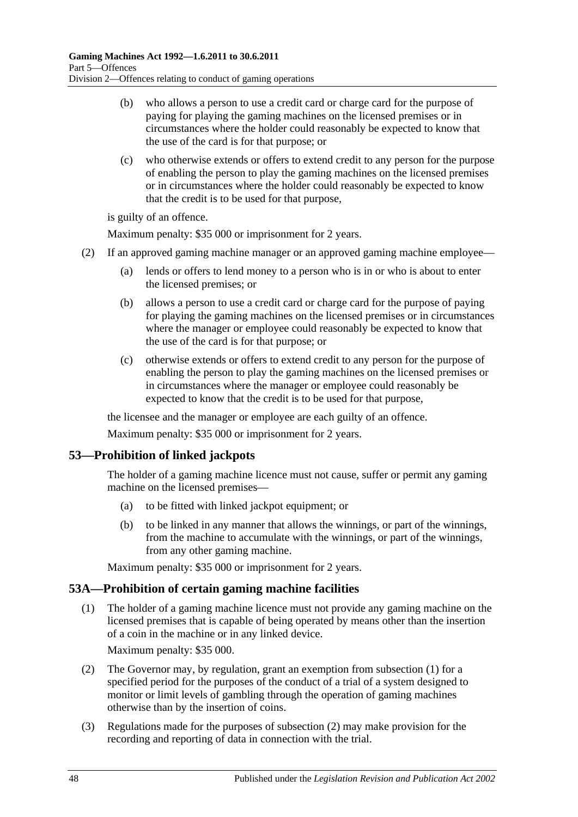- (b) who allows a person to use a credit card or charge card for the purpose of paying for playing the gaming machines on the licensed premises or in circumstances where the holder could reasonably be expected to know that the use of the card is for that purpose; or
- (c) who otherwise extends or offers to extend credit to any person for the purpose of enabling the person to play the gaming machines on the licensed premises or in circumstances where the holder could reasonably be expected to know that the credit is to be used for that purpose,

is guilty of an offence.

Maximum penalty: \$35 000 or imprisonment for 2 years.

- (2) If an approved gaming machine manager or an approved gaming machine employee—
	- (a) lends or offers to lend money to a person who is in or who is about to enter the licensed premises; or
	- (b) allows a person to use a credit card or charge card for the purpose of paying for playing the gaming machines on the licensed premises or in circumstances where the manager or employee could reasonably be expected to know that the use of the card is for that purpose; or
	- (c) otherwise extends or offers to extend credit to any person for the purpose of enabling the person to play the gaming machines on the licensed premises or in circumstances where the manager or employee could reasonably be expected to know that the credit is to be used for that purpose,

the licensee and the manager or employee are each guilty of an offence.

Maximum penalty: \$35 000 or imprisonment for 2 years.

## **53—Prohibition of linked jackpots**

The holder of a gaming machine licence must not cause, suffer or permit any gaming machine on the licensed premises—

- (a) to be fitted with linked jackpot equipment; or
- (b) to be linked in any manner that allows the winnings, or part of the winnings, from the machine to accumulate with the winnings, or part of the winnings, from any other gaming machine.

Maximum penalty: \$35 000 or imprisonment for 2 years.

## <span id="page-47-0"></span>**53A—Prohibition of certain gaming machine facilities**

(1) The holder of a gaming machine licence must not provide any gaming machine on the licensed premises that is capable of being operated by means other than the insertion of a coin in the machine or in any linked device.

Maximum penalty: \$35 000.

- <span id="page-47-1"></span>(2) The Governor may, by regulation, grant an exemption from [subsection](#page-47-0) (1) for a specified period for the purposes of the conduct of a trial of a system designed to monitor or limit levels of gambling through the operation of gaming machines otherwise than by the insertion of coins.
- (3) Regulations made for the purposes of [subsection](#page-47-1) (2) may make provision for the recording and reporting of data in connection with the trial.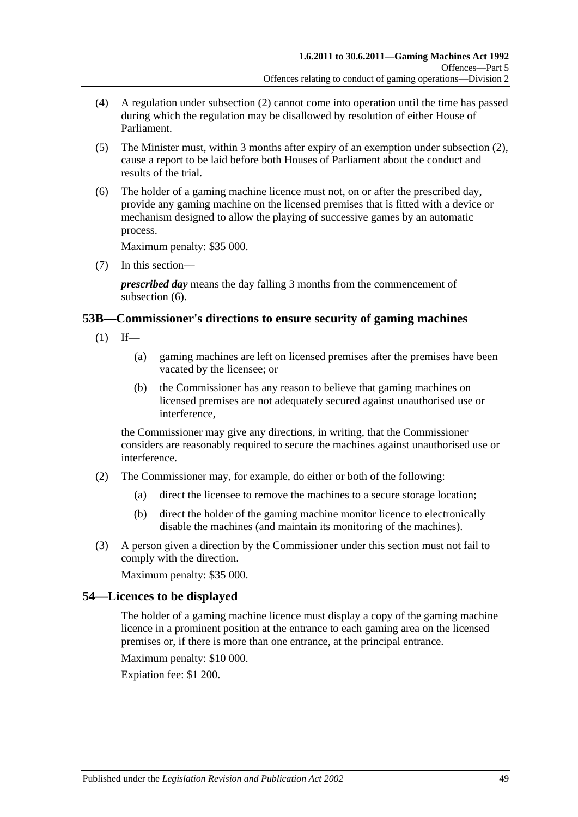- (4) A regulation under [subsection](#page-47-1) (2) cannot come into operation until the time has passed during which the regulation may be disallowed by resolution of either House of Parliament.
- (5) The Minister must, within 3 months after expiry of an exemption under [subsection](#page-47-1) (2), cause a report to be laid before both Houses of Parliament about the conduct and results of the trial.
- <span id="page-48-0"></span>(6) The holder of a gaming machine licence must not, on or after the prescribed day, provide any gaming machine on the licensed premises that is fitted with a device or mechanism designed to allow the playing of successive games by an automatic process.

Maximum penalty: \$35 000.

(7) In this section—

*prescribed day* means the day falling 3 months from the commencement of [subsection](#page-48-0)  $(6)$ .

## **53B—Commissioner's directions to ensure security of gaming machines**

- $(1)$  If—
	- (a) gaming machines are left on licensed premises after the premises have been vacated by the licensee; or
	- (b) the Commissioner has any reason to believe that gaming machines on licensed premises are not adequately secured against unauthorised use or interference,

the Commissioner may give any directions, in writing, that the Commissioner considers are reasonably required to secure the machines against unauthorised use or interference.

- (2) The Commissioner may, for example, do either or both of the following:
	- (a) direct the licensee to remove the machines to a secure storage location;
	- (b) direct the holder of the gaming machine monitor licence to electronically disable the machines (and maintain its monitoring of the machines).
- (3) A person given a direction by the Commissioner under this section must not fail to comply with the direction.

Maximum penalty: \$35 000.

## **54—Licences to be displayed**

The holder of a gaming machine licence must display a copy of the gaming machine licence in a prominent position at the entrance to each gaming area on the licensed premises or, if there is more than one entrance, at the principal entrance.

Maximum penalty: \$10 000.

Expiation fee: \$1 200.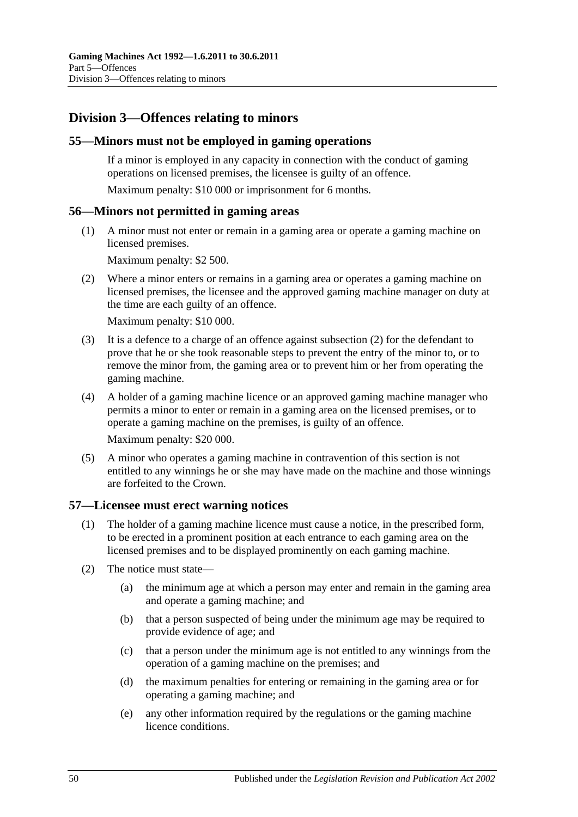## **Division 3—Offences relating to minors**

#### **55—Minors must not be employed in gaming operations**

If a minor is employed in any capacity in connection with the conduct of gaming operations on licensed premises, the licensee is guilty of an offence.

Maximum penalty: \$10 000 or imprisonment for 6 months.

#### **56—Minors not permitted in gaming areas**

(1) A minor must not enter or remain in a gaming area or operate a gaming machine on licensed premises.

Maximum penalty: \$2 500.

<span id="page-49-0"></span>(2) Where a minor enters or remains in a gaming area or operates a gaming machine on licensed premises, the licensee and the approved gaming machine manager on duty at the time are each guilty of an offence.

Maximum penalty: \$10 000.

- (3) It is a defence to a charge of an offence against [subsection](#page-49-0) (2) for the defendant to prove that he or she took reasonable steps to prevent the entry of the minor to, or to remove the minor from, the gaming area or to prevent him or her from operating the gaming machine.
- (4) A holder of a gaming machine licence or an approved gaming machine manager who permits a minor to enter or remain in a gaming area on the licensed premises, or to operate a gaming machine on the premises, is guilty of an offence.

Maximum penalty: \$20 000.

(5) A minor who operates a gaming machine in contravention of this section is not entitled to any winnings he or she may have made on the machine and those winnings are forfeited to the Crown.

#### <span id="page-49-1"></span>**57—Licensee must erect warning notices**

- (1) The holder of a gaming machine licence must cause a notice, in the prescribed form, to be erected in a prominent position at each entrance to each gaming area on the licensed premises and to be displayed prominently on each gaming machine.
- (2) The notice must state—
	- (a) the minimum age at which a person may enter and remain in the gaming area and operate a gaming machine; and
	- (b) that a person suspected of being under the minimum age may be required to provide evidence of age; and
	- (c) that a person under the minimum age is not entitled to any winnings from the operation of a gaming machine on the premises; and
	- (d) the maximum penalties for entering or remaining in the gaming area or for operating a gaming machine; and
	- (e) any other information required by the regulations or the gaming machine licence conditions.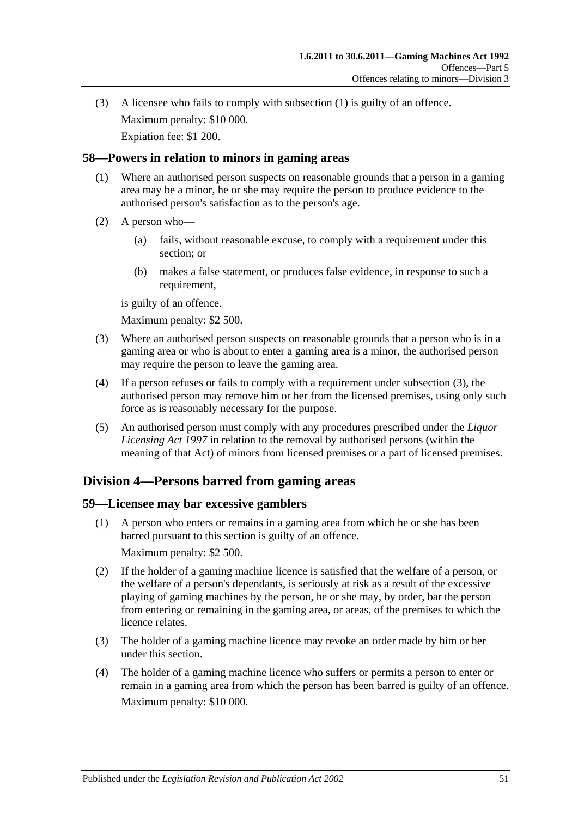(3) A licensee who fails to comply with [subsection](#page-49-1) (1) is guilty of an offence. Maximum penalty: \$10 000. Expiation fee: \$1 200.

## **58—Powers in relation to minors in gaming areas**

- (1) Where an authorised person suspects on reasonable grounds that a person in a gaming area may be a minor, he or she may require the person to produce evidence to the authorised person's satisfaction as to the person's age.
- (2) A person who—
	- (a) fails, without reasonable excuse, to comply with a requirement under this section; or
	- (b) makes a false statement, or produces false evidence, in response to such a requirement,

is guilty of an offence.

Maximum penalty: \$2 500.

- <span id="page-50-0"></span>(3) Where an authorised person suspects on reasonable grounds that a person who is in a gaming area or who is about to enter a gaming area is a minor, the authorised person may require the person to leave the gaming area.
- (4) If a person refuses or fails to comply with a requirement under [subsection](#page-50-0) (3), the authorised person may remove him or her from the licensed premises, using only such force as is reasonably necessary for the purpose.
- (5) An authorised person must comply with any procedures prescribed under the *[Liquor](http://www.legislation.sa.gov.au/index.aspx?action=legref&type=act&legtitle=Liquor%20Licensing%20Act%201997)  [Licensing Act](http://www.legislation.sa.gov.au/index.aspx?action=legref&type=act&legtitle=Liquor%20Licensing%20Act%201997) 1997* in relation to the removal by authorised persons (within the meaning of that Act) of minors from licensed premises or a part of licensed premises.

## **Division 4—Persons barred from gaming areas**

## **59—Licensee may bar excessive gamblers**

- (1) A person who enters or remains in a gaming area from which he or she has been barred pursuant to this section is guilty of an offence. Maximum penalty: \$2 500.
- (2) If the holder of a gaming machine licence is satisfied that the welfare of a person, or the welfare of a person's dependants, is seriously at risk as a result of the excessive playing of gaming machines by the person, he or she may, by order, bar the person from entering or remaining in the gaming area, or areas, of the premises to which the licence relates.
- (3) The holder of a gaming machine licence may revoke an order made by him or her under this section.
- (4) The holder of a gaming machine licence who suffers or permits a person to enter or remain in a gaming area from which the person has been barred is guilty of an offence. Maximum penalty: \$10 000.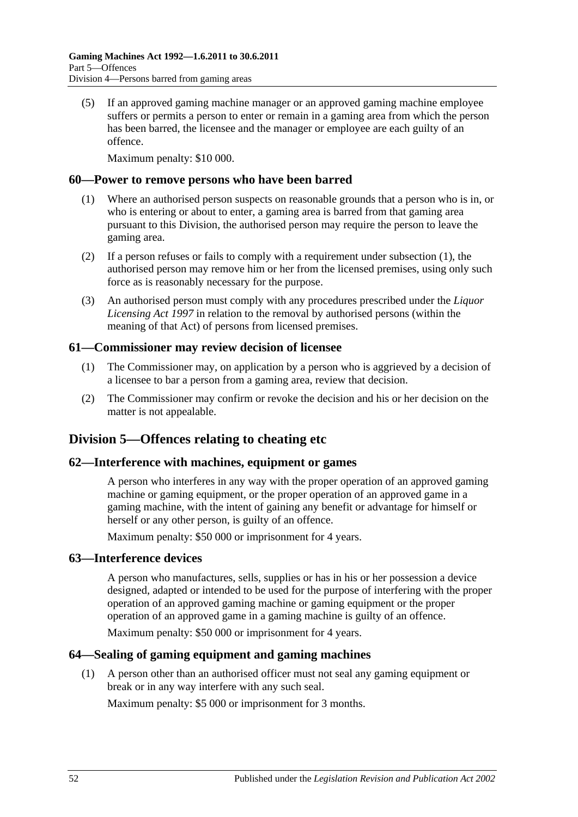(5) If an approved gaming machine manager or an approved gaming machine employee suffers or permits a person to enter or remain in a gaming area from which the person has been barred, the licensee and the manager or employee are each guilty of an offence.

Maximum penalty: \$10 000.

#### <span id="page-51-0"></span>**60—Power to remove persons who have been barred**

- (1) Where an authorised person suspects on reasonable grounds that a person who is in, or who is entering or about to enter, a gaming area is barred from that gaming area pursuant to this Division, the authorised person may require the person to leave the gaming area.
- (2) If a person refuses or fails to comply with a requirement under [subsection](#page-51-0) (1), the authorised person may remove him or her from the licensed premises, using only such force as is reasonably necessary for the purpose.
- (3) An authorised person must comply with any procedures prescribed under the *[Liquor](http://www.legislation.sa.gov.au/index.aspx?action=legref&type=act&legtitle=Liquor%20Licensing%20Act%201997)  [Licensing Act](http://www.legislation.sa.gov.au/index.aspx?action=legref&type=act&legtitle=Liquor%20Licensing%20Act%201997) 1997* in relation to the removal by authorised persons (within the meaning of that Act) of persons from licensed premises.

#### **61—Commissioner may review decision of licensee**

- (1) The Commissioner may, on application by a person who is aggrieved by a decision of a licensee to bar a person from a gaming area, review that decision.
- (2) The Commissioner may confirm or revoke the decision and his or her decision on the matter is not appealable.

## **Division 5—Offences relating to cheating etc**

#### **62—Interference with machines, equipment or games**

A person who interferes in any way with the proper operation of an approved gaming machine or gaming equipment, or the proper operation of an approved game in a gaming machine, with the intent of gaining any benefit or advantage for himself or herself or any other person, is guilty of an offence.

Maximum penalty: \$50 000 or imprisonment for 4 years.

## **63—Interference devices**

A person who manufactures, sells, supplies or has in his or her possession a device designed, adapted or intended to be used for the purpose of interfering with the proper operation of an approved gaming machine or gaming equipment or the proper operation of an approved game in a gaming machine is guilty of an offence.

Maximum penalty: \$50 000 or imprisonment for 4 years.

## **64—Sealing of gaming equipment and gaming machines**

(1) A person other than an authorised officer must not seal any gaming equipment or break or in any way interfere with any such seal.

Maximum penalty: \$5 000 or imprisonment for 3 months.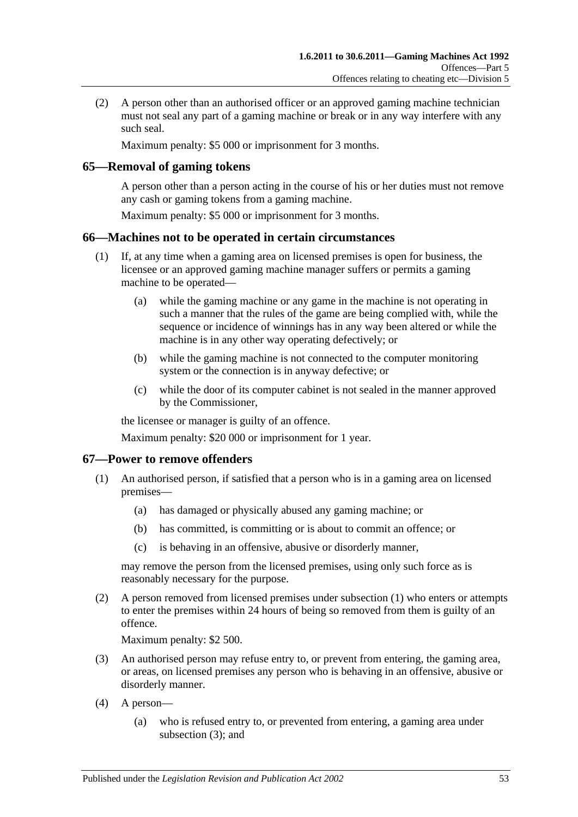(2) A person other than an authorised officer or an approved gaming machine technician must not seal any part of a gaming machine or break or in any way interfere with any such seal.

Maximum penalty: \$5 000 or imprisonment for 3 months.

## **65—Removal of gaming tokens**

A person other than a person acting in the course of his or her duties must not remove any cash or gaming tokens from a gaming machine.

Maximum penalty: \$5 000 or imprisonment for 3 months.

## **66—Machines not to be operated in certain circumstances**

- (1) If, at any time when a gaming area on licensed premises is open for business, the licensee or an approved gaming machine manager suffers or permits a gaming machine to be operated—
	- (a) while the gaming machine or any game in the machine is not operating in such a manner that the rules of the game are being complied with, while the sequence or incidence of winnings has in any way been altered or while the machine is in any other way operating defectively; or
	- (b) while the gaming machine is not connected to the computer monitoring system or the connection is in anyway defective; or
	- (c) while the door of its computer cabinet is not sealed in the manner approved by the Commissioner,

the licensee or manager is guilty of an offence.

Maximum penalty: \$20 000 or imprisonment for 1 year.

## <span id="page-52-0"></span>**67—Power to remove offenders**

- (1) An authorised person, if satisfied that a person who is in a gaming area on licensed premises—
	- (a) has damaged or physically abused any gaming machine; or
	- (b) has committed, is committing or is about to commit an offence; or
	- (c) is behaving in an offensive, abusive or disorderly manner,

may remove the person from the licensed premises, using only such force as is reasonably necessary for the purpose.

(2) A person removed from licensed premises under [subsection](#page-52-0) (1) who enters or attempts to enter the premises within 24 hours of being so removed from them is guilty of an offence.

Maximum penalty: \$2 500.

- <span id="page-52-1"></span>(3) An authorised person may refuse entry to, or prevent from entering, the gaming area, or areas, on licensed premises any person who is behaving in an offensive, abusive or disorderly manner.
- (4) A person—
	- (a) who is refused entry to, or prevented from entering, a gaming area under [subsection](#page-52-1) (3); and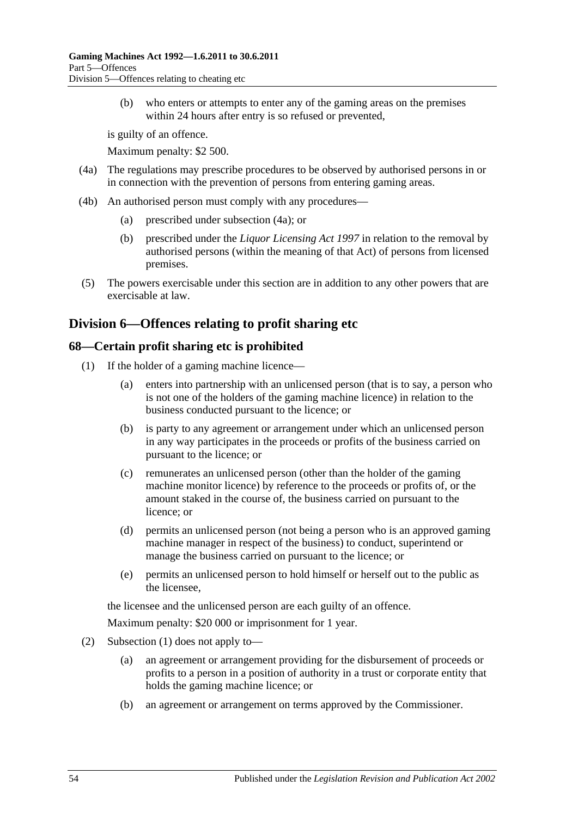(b) who enters or attempts to enter any of the gaming areas on the premises within 24 hours after entry is so refused or prevented,

is guilty of an offence.

Maximum penalty: \$2 500.

- <span id="page-53-0"></span>(4a) The regulations may prescribe procedures to be observed by authorised persons in or in connection with the prevention of persons from entering gaming areas.
- (4b) An authorised person must comply with any procedures—
	- (a) prescribed under [subsection](#page-53-0) (4a); or
	- (b) prescribed under the *[Liquor Licensing Act](http://www.legislation.sa.gov.au/index.aspx?action=legref&type=act&legtitle=Liquor%20Licensing%20Act%201997) 1997* in relation to the removal by authorised persons (within the meaning of that Act) of persons from licensed premises.
- (5) The powers exercisable under this section are in addition to any other powers that are exercisable at law.

## **Division 6—Offences relating to profit sharing etc**

## <span id="page-53-1"></span>**68—Certain profit sharing etc is prohibited**

- (1) If the holder of a gaming machine licence—
	- (a) enters into partnership with an unlicensed person (that is to say, a person who is not one of the holders of the gaming machine licence) in relation to the business conducted pursuant to the licence; or
	- (b) is party to any agreement or arrangement under which an unlicensed person in any way participates in the proceeds or profits of the business carried on pursuant to the licence; or
	- (c) remunerates an unlicensed person (other than the holder of the gaming machine monitor licence) by reference to the proceeds or profits of, or the amount staked in the course of, the business carried on pursuant to the licence; or
	- (d) permits an unlicensed person (not being a person who is an approved gaming machine manager in respect of the business) to conduct, superintend or manage the business carried on pursuant to the licence; or
	- (e) permits an unlicensed person to hold himself or herself out to the public as the licensee,

the licensee and the unlicensed person are each guilty of an offence.

Maximum penalty: \$20 000 or imprisonment for 1 year.

- (2) [Subsection](#page-53-1) (1) does not apply to—
	- (a) an agreement or arrangement providing for the disbursement of proceeds or profits to a person in a position of authority in a trust or corporate entity that holds the gaming machine licence; or
	- (b) an agreement or arrangement on terms approved by the Commissioner.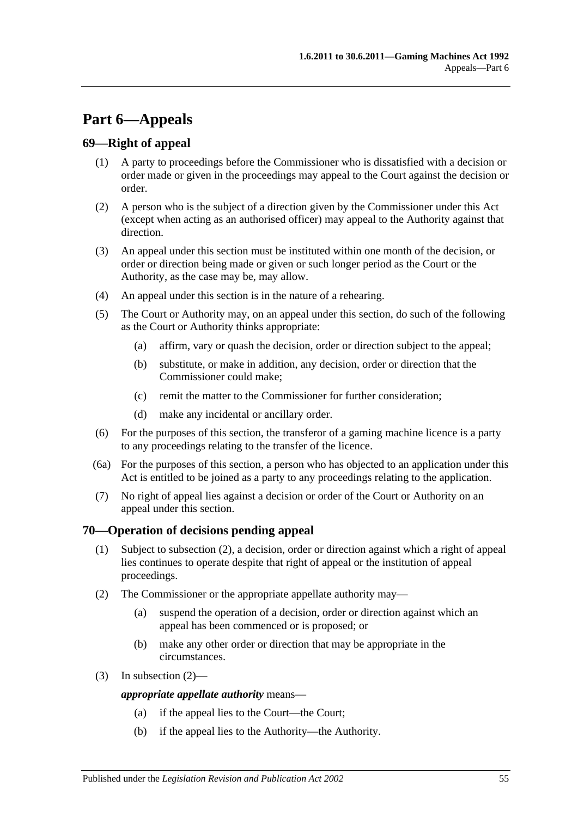# **Part 6—Appeals**

## **69—Right of appeal**

- (1) A party to proceedings before the Commissioner who is dissatisfied with a decision or order made or given in the proceedings may appeal to the Court against the decision or order.
- (2) A person who is the subject of a direction given by the Commissioner under this Act (except when acting as an authorised officer) may appeal to the Authority against that direction.
- (3) An appeal under this section must be instituted within one month of the decision, or order or direction being made or given or such longer period as the Court or the Authority, as the case may be, may allow.
- (4) An appeal under this section is in the nature of a rehearing.
- (5) The Court or Authority may, on an appeal under this section, do such of the following as the Court or Authority thinks appropriate:
	- (a) affirm, vary or quash the decision, order or direction subject to the appeal;
	- (b) substitute, or make in addition, any decision, order or direction that the Commissioner could make;
	- (c) remit the matter to the Commissioner for further consideration;
	- (d) make any incidental or ancillary order.
- (6) For the purposes of this section, the transferor of a gaming machine licence is a party to any proceedings relating to the transfer of the licence.
- (6a) For the purposes of this section, a person who has objected to an application under this Act is entitled to be joined as a party to any proceedings relating to the application.
- (7) No right of appeal lies against a decision or order of the Court or Authority on an appeal under this section.

## **70—Operation of decisions pending appeal**

- (1) Subject to [subsection](#page-54-0) (2), a decision, order or direction against which a right of appeal lies continues to operate despite that right of appeal or the institution of appeal proceedings.
- <span id="page-54-0"></span>(2) The Commissioner or the appropriate appellate authority may—
	- (a) suspend the operation of a decision, order or direction against which an appeal has been commenced or is proposed; or
	- (b) make any other order or direction that may be appropriate in the circumstances.
- (3) In [subsection](#page-54-0) (2)—

#### *appropriate appellate authority* means—

- (a) if the appeal lies to the Court—the Court;
- (b) if the appeal lies to the Authority—the Authority.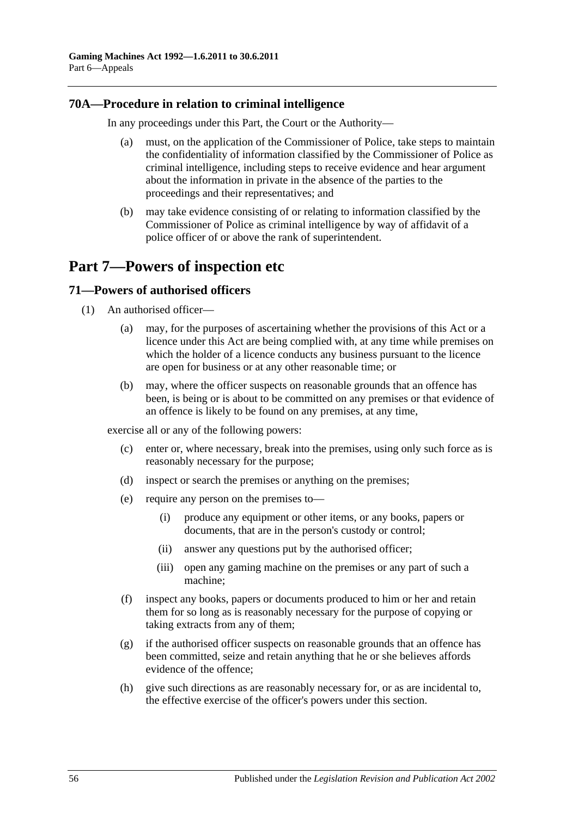## **70A—Procedure in relation to criminal intelligence**

In any proceedings under this Part, the Court or the Authority—

- (a) must, on the application of the Commissioner of Police, take steps to maintain the confidentiality of information classified by the Commissioner of Police as criminal intelligence, including steps to receive evidence and hear argument about the information in private in the absence of the parties to the proceedings and their representatives; and
- (b) may take evidence consisting of or relating to information classified by the Commissioner of Police as criminal intelligence by way of affidavit of a police officer of or above the rank of superintendent.

# **Part 7—Powers of inspection etc**

## **71—Powers of authorised officers**

- (1) An authorised officer—
	- (a) may, for the purposes of ascertaining whether the provisions of this Act or a licence under this Act are being complied with, at any time while premises on which the holder of a licence conducts any business pursuant to the licence are open for business or at any other reasonable time; or
	- (b) may, where the officer suspects on reasonable grounds that an offence has been, is being or is about to be committed on any premises or that evidence of an offence is likely to be found on any premises, at any time,

<span id="page-55-0"></span>exercise all or any of the following powers:

- (c) enter or, where necessary, break into the premises, using only such force as is reasonably necessary for the purpose;
- (d) inspect or search the premises or anything on the premises;
- (e) require any person on the premises to—
	- (i) produce any equipment or other items, or any books, papers or documents, that are in the person's custody or control;
	- (ii) answer any questions put by the authorised officer;
	- (iii) open any gaming machine on the premises or any part of such a machine;
- (f) inspect any books, papers or documents produced to him or her and retain them for so long as is reasonably necessary for the purpose of copying or taking extracts from any of them;
- (g) if the authorised officer suspects on reasonable grounds that an offence has been committed, seize and retain anything that he or she believes affords evidence of the offence;
- (h) give such directions as are reasonably necessary for, or as are incidental to, the effective exercise of the officer's powers under this section.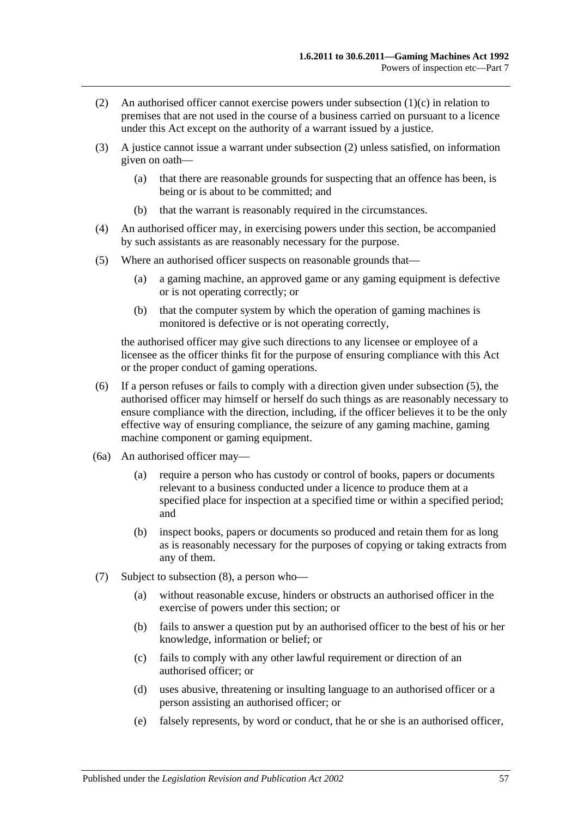- <span id="page-56-0"></span>(2) An authorised officer cannot exercise powers under [subsection](#page-55-0) (1)(c) in relation to premises that are not used in the course of a business carried on pursuant to a licence under this Act except on the authority of a warrant issued by a justice.
- (3) A justice cannot issue a warrant under [subsection](#page-56-0) (2) unless satisfied, on information given on oath—
	- (a) that there are reasonable grounds for suspecting that an offence has been, is being or is about to be committed; and
	- (b) that the warrant is reasonably required in the circumstances.
- (4) An authorised officer may, in exercising powers under this section, be accompanied by such assistants as are reasonably necessary for the purpose.
- <span id="page-56-1"></span>(5) Where an authorised officer suspects on reasonable grounds that—
	- (a) a gaming machine, an approved game or any gaming equipment is defective or is not operating correctly; or
	- (b) that the computer system by which the operation of gaming machines is monitored is defective or is not operating correctly,

the authorised officer may give such directions to any licensee or employee of a licensee as the officer thinks fit for the purpose of ensuring compliance with this Act or the proper conduct of gaming operations.

- (6) If a person refuses or fails to comply with a direction given under [subsection](#page-56-1) (5), the authorised officer may himself or herself do such things as are reasonably necessary to ensure compliance with the direction, including, if the officer believes it to be the only effective way of ensuring compliance, the seizure of any gaming machine, gaming machine component or gaming equipment.
- (6a) An authorised officer may—
	- (a) require a person who has custody or control of books, papers or documents relevant to a business conducted under a licence to produce them at a specified place for inspection at a specified time or within a specified period; and
	- (b) inspect books, papers or documents so produced and retain them for as long as is reasonably necessary for the purposes of copying or taking extracts from any of them.
- (7) Subject to [subsection](#page-57-0) (8), a person who—
	- (a) without reasonable excuse, hinders or obstructs an authorised officer in the exercise of powers under this section; or
	- (b) fails to answer a question put by an authorised officer to the best of his or her knowledge, information or belief; or
	- (c) fails to comply with any other lawful requirement or direction of an authorised officer; or
	- (d) uses abusive, threatening or insulting language to an authorised officer or a person assisting an authorised officer; or
	- (e) falsely represents, by word or conduct, that he or she is an authorised officer,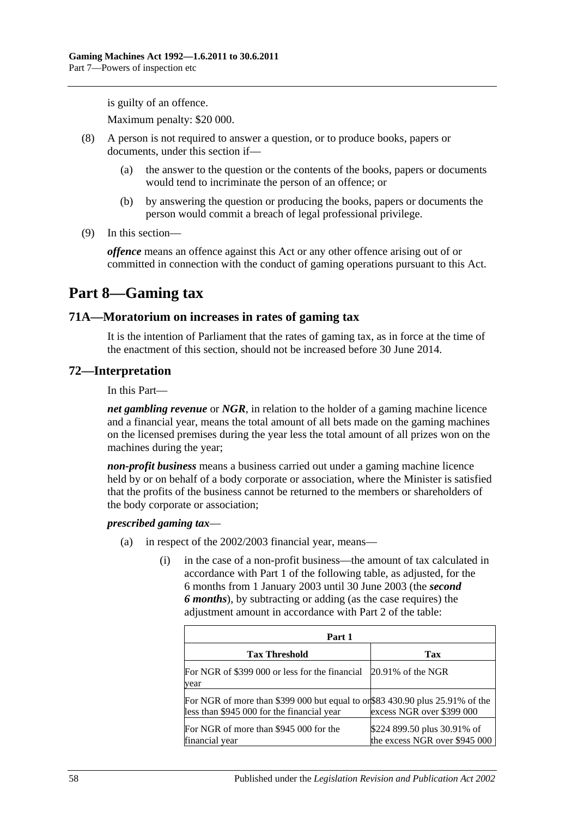is guilty of an offence.

Maximum penalty: \$20 000.

- <span id="page-57-0"></span>(8) A person is not required to answer a question, or to produce books, papers or documents, under this section if—
	- (a) the answer to the question or the contents of the books, papers or documents would tend to incriminate the person of an offence; or
	- (b) by answering the question or producing the books, papers or documents the person would commit a breach of legal professional privilege.
- (9) In this section—

*offence* means an offence against this Act or any other offence arising out of or committed in connection with the conduct of gaming operations pursuant to this Act.

## **Part 8—Gaming tax**

#### **71A—Moratorium on increases in rates of gaming tax**

It is the intention of Parliament that the rates of gaming tax, as in force at the time of the enactment of this section, should not be increased before 30 June 2014.

#### **72—Interpretation**

In this Part—

*net gambling revenue* or *NGR*, in relation to the holder of a gaming machine licence and a financial year, means the total amount of all bets made on the gaming machines on the licensed premises during the year less the total amount of all prizes won on the machines during the year;

*non-profit business* means a business carried out under a gaming machine licence held by or on behalf of a body corporate or association, where the Minister is satisfied that the profits of the business cannot be returned to the members or shareholders of the body corporate or association;

#### *prescribed gaming tax*—

- (a) in respect of the 2002/2003 financial year, means—
	- (i) in the case of a non-profit business—the amount of tax calculated in accordance with Part 1 of the following table, as adjusted, for the 6 months from 1 January 2003 until 30 June 2003 (the *second 6 months*), by subtracting or adding (as the case requires) the adjustment amount in accordance with Part 2 of the table:

| Part 1                                                                                                                     |                                                              |
|----------------------------------------------------------------------------------------------------------------------------|--------------------------------------------------------------|
| <b>Tax Threshold</b>                                                                                                       | Tax                                                          |
| For NGR of \$399 000 or less for the financial 20.91% of the NGR<br>year                                                   |                                                              |
| For NGR of more than \$399 000 but equal to or\$83 430.90 plus 25.91% of the<br>less than \$945 000 for the financial year | excess NGR over \$399 000                                    |
| For NGR of more than \$945 000 for the<br>financial year                                                                   | \$224 899.50 plus 30.91% of<br>the excess NGR over \$945 000 |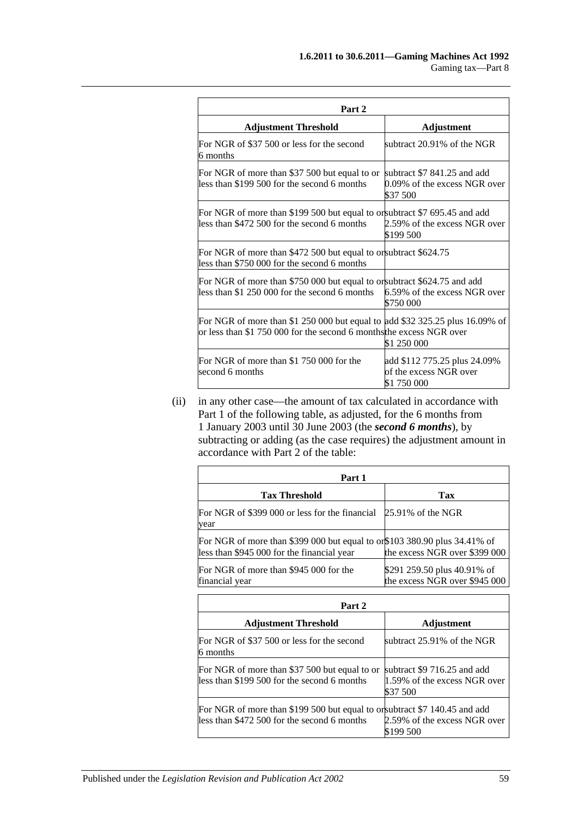| Part 2                                                                                                                                               |                                                                         |
|------------------------------------------------------------------------------------------------------------------------------------------------------|-------------------------------------------------------------------------|
| <b>Adjustment Threshold</b>                                                                                                                          | Adjustment                                                              |
| For NGR of \$37 500 or less for the second<br>6 months                                                                                               | subtract $20.91\%$ of the NGR                                           |
| For NGR of more than \$37 500 but equal to or<br>less than \$199 500 for the second 6 months                                                         | subtract \$7 841.25 and add<br>0.09% of the excess NGR over<br>\$37 500 |
| For NGR of more than \$199 500 but equal to or subtract \$7 695.45 and add<br>less than \$472 500 for the second 6 months                            | 2.59% of the excess NGR over<br>\$199 500                               |
| For NGR of more than \$472 500 but equal to or subtract \$624.75<br>less than \$750 000 for the second 6 months                                      |                                                                         |
| For NGR of more than \$750 000 but equal to or subtract \$624.75 and add<br>less than \$1 250 000 for the second 6 months                            | 6.59% of the excess NGR over<br>\$750 000                               |
| For NGR of more than \$1 250 000 but equal to add \$32 325.25 plus 16.09% of<br>or less than \$1 750 000 for the second 6 months the excess NGR over | \$1 250 000                                                             |
| For NGR of more than \$1 750 000 for the<br>second 6 months                                                                                          | add \$112 775.25 plus 24.09%<br>of the excess NGR over<br>\$1 750 000   |

(ii) in any other case—the amount of tax calculated in accordance with Part 1 of the following table, as adjusted, for the 6 months from 1 January 2003 until 30 June 2003 (the *second 6 months*), by subtracting or adding (as the case requires) the adjustment amount in accordance with Part 2 of the table:

| Part 1                                                                                                     |  |
|------------------------------------------------------------------------------------------------------------|--|
| Tax                                                                                                        |  |
| For NGR of \$399 000 or less for the financial 25.91% of the NGR                                           |  |
| For NGR of more than \$399 000 but equal to or\$103 380.90 plus 34.41% of<br>the excess NGR over \$399 000 |  |
| \$291 259.50 plus 40.91% of<br>the excess NGR over \$945 000                                               |  |
|                                                                                                            |  |

| Part 2                                                                                                                    |                                                                         |
|---------------------------------------------------------------------------------------------------------------------------|-------------------------------------------------------------------------|
| <b>Adjustment Threshold</b>                                                                                               | Adjustment                                                              |
| For NGR of \$37 500 or less for the second<br>6 months                                                                    | subtract $25.91\%$ of the NGR                                           |
| For NGR of more than \$37 500 but equal to or<br>less than \$199 500 for the second 6 months                              | subtract \$9 716.25 and add<br>1.59% of the excess NGR over<br>\$37 500 |
| For NGR of more than \$199 500 but equal to or subtract \$7 140.45 and add<br>less than \$472 500 for the second 6 months | 2.59% of the excess NGR over<br>\$199 500                               |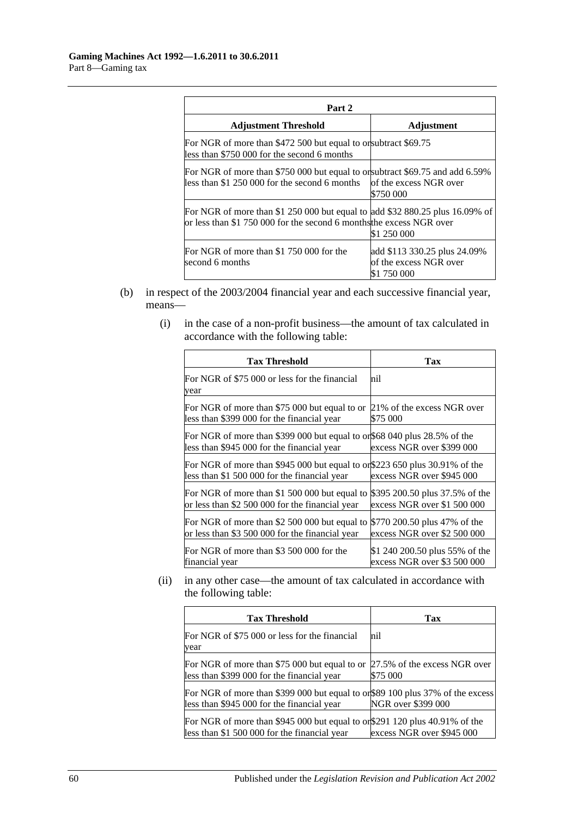| Part 2                                                                                                                                               |                                                                       |  |
|------------------------------------------------------------------------------------------------------------------------------------------------------|-----------------------------------------------------------------------|--|
| <b>Adjustment Threshold</b>                                                                                                                          | <b>Adjustment</b>                                                     |  |
| For NGR of more than \$472 500 but equal to or subtract \$69.75<br>less than \$750 000 for the second 6 months                                       |                                                                       |  |
| For NGR of more than \$750 000 but equal to or subtract \$69.75 and add 6.59%<br>less than \$1 250 000 for the second 6 months                       | of the excess NGR over<br>\$750 000                                   |  |
| For NGR of more than \$1 250 000 but equal to add \$32 880.25 plus 16.09% of<br>or less than \$1 750 000 for the second 6 months the excess NGR over | \$1 250 000                                                           |  |
| For NGR of more than \$1 750 000 for the<br>second 6 months                                                                                          | add \$113 330.25 plus 24.09%<br>of the excess NGR over<br>\$1 750 000 |  |

- (b) in respect of the 2003/2004 financial year and each successive financial year, means—
	- (i) in the case of a non-profit business—the amount of tax calculated in accordance with the following table:

| <b>Tax Threshold</b>                                                                                                       | Tax                            |
|----------------------------------------------------------------------------------------------------------------------------|--------------------------------|
| For NGR of \$75 000 or less for the financial<br>year                                                                      | hil                            |
| For NGR of more than \$75 000 but equal to or                                                                              | 21% of the excess NGR over     |
| less than \$399 000 for the financial year                                                                                 | \$75 000                       |
| For NGR of more than \$399 000 but equal to or \$68 040 plus 28.5% of the<br>less than \$945 000 for the financial year    | excess NGR over \$399 000      |
| For NGR of more than \$945 000 but equal to or\$223 650 plus 30.91% of the<br>less than \$1 500 000 for the financial year | excess NGR over \$945 000      |
| For NGR of more than \$1 500 000 but equal to                                                                              | \$395 200.50 plus 37.5% of the |
| or less than \$2 500 000 for the financial year                                                                            | excess NGR over \$1 500 000    |
| For NGR of more than \$2 500 000 but equal to                                                                              | \$770 200.50 plus 47% of the   |
| or less than \$3 500 000 for the financial year                                                                            | excess NGR over \$2 500 000    |
| For NGR of more than \$3 500 000 for the                                                                                   | \$1 240 200.50 plus 55% of the |
| financial year                                                                                                             | excess NGR over \$3 500 000    |

(ii) in any other case—the amount of tax calculated in accordance with the following table:

| <b>Tax Threshold</b>                                                                                                         | Tax                                      |
|------------------------------------------------------------------------------------------------------------------------------|------------------------------------------|
| For NGR of \$75 000 or less for the financial<br>year                                                                        | nil                                      |
| For NGR of more than \$75 000 but equal to or<br>less than \$399 000 for the financial year                                  | 27.5% of the excess NGR over<br>\$75 000 |
| For NGR of more than \$399 000 but equal to or \$89 100 plus 37% of the excess<br>less than \$945 000 for the financial year | NGR over \$399 000                       |
| For NGR of more than \$945 000 but equal to or \$291 120 plus 40.91% of the<br>less than \$1 500 000 for the financial year  | excess NGR over \$945 000                |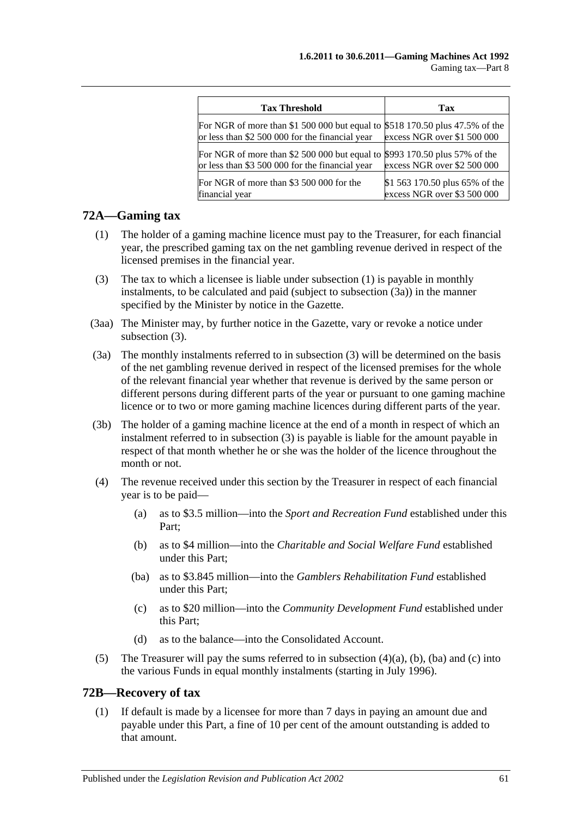| <b>Tax Threshold</b>                                                                                                            | Tax                            |
|---------------------------------------------------------------------------------------------------------------------------------|--------------------------------|
| For NGR of more than \$1 500 000 but equal to \$518 170.50 plus 47.5% of the<br>or less than \$2 500 000 for the financial year | excess NGR over \$1 500 000    |
| For NGR of more than \$2 500 000 but equal to                                                                                   | \$993 170.50 plus 57% of the   |
| or less than \$3 500 000 for the financial year                                                                                 | excess NGR over \$2 500 000    |
| For NGR of more than \$3 500 000 for the                                                                                        | \$1 563 170.50 plus 65% of the |
| financial year                                                                                                                  | excess NGR over \$3 500 000    |

#### <span id="page-60-0"></span>**72A—Gaming tax**

- (1) The holder of a gaming machine licence must pay to the Treasurer, for each financial year, the prescribed gaming tax on the net gambling revenue derived in respect of the licensed premises in the financial year.
- <span id="page-60-2"></span>(3) The tax to which a licensee is liable under [subsection](#page-60-0) (1) is payable in monthly instalments, to be calculated and paid (subject to [subsection](#page-60-1) (3a)) in the manner specified by the Minister by notice in the Gazette.
- (3aa) The Minister may, by further notice in the Gazette, vary or revoke a notice under [subsection](#page-60-2) (3).
- <span id="page-60-1"></span>(3a) The monthly instalments referred to in [subsection](#page-60-2) (3) will be determined on the basis of the net gambling revenue derived in respect of the licensed premises for the whole of the relevant financial year whether that revenue is derived by the same person or different persons during different parts of the year or pursuant to one gaming machine licence or to two or more gaming machine licences during different parts of the year.
- (3b) The holder of a gaming machine licence at the end of a month in respect of which an instalment referred to in [subsection](#page-60-2) (3) is payable is liable for the amount payable in respect of that month whether he or she was the holder of the licence throughout the month or not.
- <span id="page-60-5"></span><span id="page-60-4"></span><span id="page-60-3"></span>(4) The revenue received under this section by the Treasurer in respect of each financial year is to be paid—
	- (a) as to \$3.5 million—into the *Sport and Recreation Fund* established under this Part;
	- (b) as to \$4 million—into the *Charitable and Social Welfare Fund* established under this Part;
	- (ba) as to \$3.845 million—into the *Gamblers Rehabilitation Fund* established under this Part;
	- (c) as to \$20 million—into the *Community Development Fund* established under this Part;
	- (d) as to the balance—into the Consolidated Account.
- <span id="page-60-6"></span>(5) The Treasurer will pay the sums referred to in [subsection](#page-60-3)  $(4)(a)$ ,  $(b)$ ,  $(ba)$  and  $(c)$  into the various Funds in equal monthly instalments (starting in July 1996).

#### <span id="page-60-7"></span>**72B—Recovery of tax**

(1) If default is made by a licensee for more than 7 days in paying an amount due and payable under this Part, a fine of 10 per cent of the amount outstanding is added to that amount.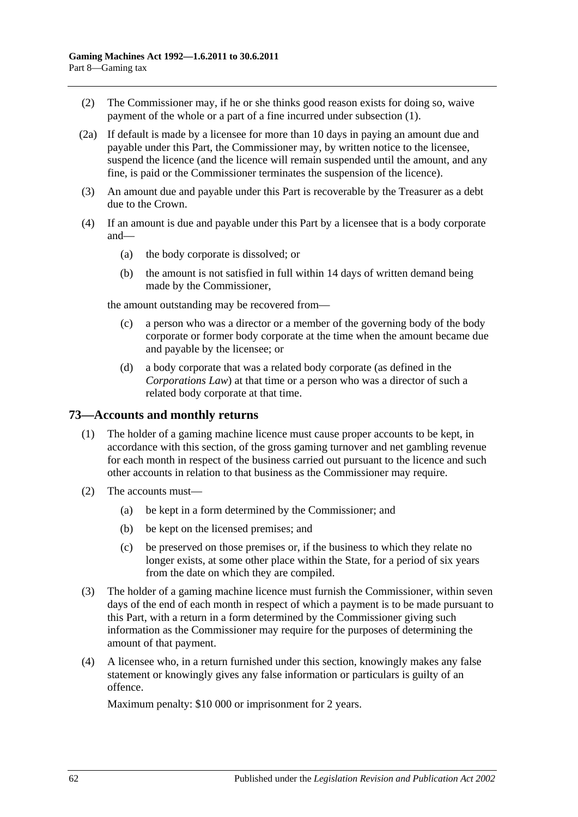- (2) The Commissioner may, if he or she thinks good reason exists for doing so, waive payment of the whole or a part of a fine incurred under [subsection](#page-60-7) (1).
- (2a) If default is made by a licensee for more than 10 days in paying an amount due and payable under this Part, the Commissioner may, by written notice to the licensee, suspend the licence (and the licence will remain suspended until the amount, and any fine, is paid or the Commissioner terminates the suspension of the licence).
- (3) An amount due and payable under this Part is recoverable by the Treasurer as a debt due to the Crown.
- (4) If an amount is due and payable under this Part by a licensee that is a body corporate and—
	- (a) the body corporate is dissolved; or
	- (b) the amount is not satisfied in full within 14 days of written demand being made by the Commissioner,

the amount outstanding may be recovered from—

- (c) a person who was a director or a member of the governing body of the body corporate or former body corporate at the time when the amount became due and payable by the licensee; or
- (d) a body corporate that was a related body corporate (as defined in the *Corporations Law*) at that time or a person who was a director of such a related body corporate at that time.

#### **73—Accounts and monthly returns**

- (1) The holder of a gaming machine licence must cause proper accounts to be kept, in accordance with this section, of the gross gaming turnover and net gambling revenue for each month in respect of the business carried out pursuant to the licence and such other accounts in relation to that business as the Commissioner may require.
- (2) The accounts must—
	- (a) be kept in a form determined by the Commissioner; and
	- (b) be kept on the licensed premises; and
	- (c) be preserved on those premises or, if the business to which they relate no longer exists, at some other place within the State, for a period of six years from the date on which they are compiled.
- (3) The holder of a gaming machine licence must furnish the Commissioner, within seven days of the end of each month in respect of which a payment is to be made pursuant to this Part, with a return in a form determined by the Commissioner giving such information as the Commissioner may require for the purposes of determining the amount of that payment.
- <span id="page-61-0"></span>(4) A licensee who, in a return furnished under this section, knowingly makes any false statement or knowingly gives any false information or particulars is guilty of an offence.

Maximum penalty: \$10 000 or imprisonment for 2 years.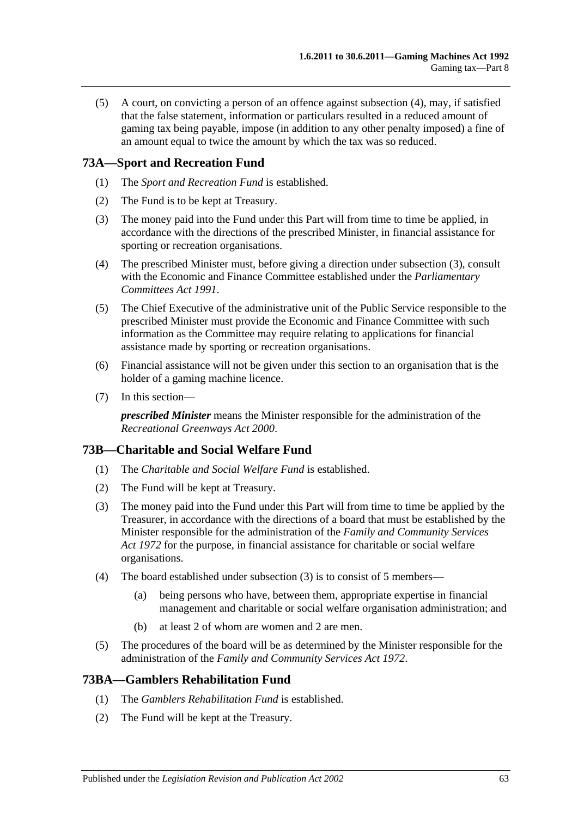(5) A court, on convicting a person of an offence against [subsection](#page-61-0) (4), may, if satisfied that the false statement, information or particulars resulted in a reduced amount of gaming tax being payable, impose (in addition to any other penalty imposed) a fine of an amount equal to twice the amount by which the tax was so reduced.

## **73A—Sport and Recreation Fund**

- (1) The *Sport and Recreation Fund* is established.
- (2) The Fund is to be kept at Treasury.
- <span id="page-62-0"></span>(3) The money paid into the Fund under this Part will from time to time be applied, in accordance with the directions of the prescribed Minister, in financial assistance for sporting or recreation organisations.
- (4) The prescribed Minister must, before giving a direction under [subsection](#page-62-0) (3), consult with the Economic and Finance Committee established under the *[Parliamentary](http://www.legislation.sa.gov.au/index.aspx?action=legref&type=act&legtitle=Parliamentary%20Committees%20Act%201991)  [Committees Act](http://www.legislation.sa.gov.au/index.aspx?action=legref&type=act&legtitle=Parliamentary%20Committees%20Act%201991) 1991*.
- (5) The Chief Executive of the administrative unit of the Public Service responsible to the prescribed Minister must provide the Economic and Finance Committee with such information as the Committee may require relating to applications for financial assistance made by sporting or recreation organisations.
- (6) Financial assistance will not be given under this section to an organisation that is the holder of a gaming machine licence.
- (7) In this section—

*prescribed Minister* means the Minister responsible for the administration of the *[Recreational Greenways Act](http://www.legislation.sa.gov.au/index.aspx?action=legref&type=act&legtitle=Recreational%20Greenways%20Act%202000) 2000*.

## **73B—Charitable and Social Welfare Fund**

- (1) The *Charitable and Social Welfare Fund* is established.
- (2) The Fund will be kept at Treasury.
- <span id="page-62-1"></span>(3) The money paid into the Fund under this Part will from time to time be applied by the Treasurer, in accordance with the directions of a board that must be established by the Minister responsible for the administration of the *[Family and Community Services](http://www.legislation.sa.gov.au/index.aspx?action=legref&type=act&legtitle=Family%20and%20Community%20Services%20Act%201972)  Act [1972](http://www.legislation.sa.gov.au/index.aspx?action=legref&type=act&legtitle=Family%20and%20Community%20Services%20Act%201972)* for the purpose, in financial assistance for charitable or social welfare organisations.
- (4) The board established under [subsection](#page-62-1) (3) is to consist of 5 members—
	- (a) being persons who have, between them, appropriate expertise in financial management and charitable or social welfare organisation administration; and
	- (b) at least 2 of whom are women and 2 are men.
- (5) The procedures of the board will be as determined by the Minister responsible for the administration of the *[Family and Community Services Act](http://www.legislation.sa.gov.au/index.aspx?action=legref&type=act&legtitle=Family%20and%20Community%20Services%20Act%201972) 1972*.

## **73BA—Gamblers Rehabilitation Fund**

- (1) The *Gamblers Rehabilitation Fund* is established.
- (2) The Fund will be kept at the Treasury.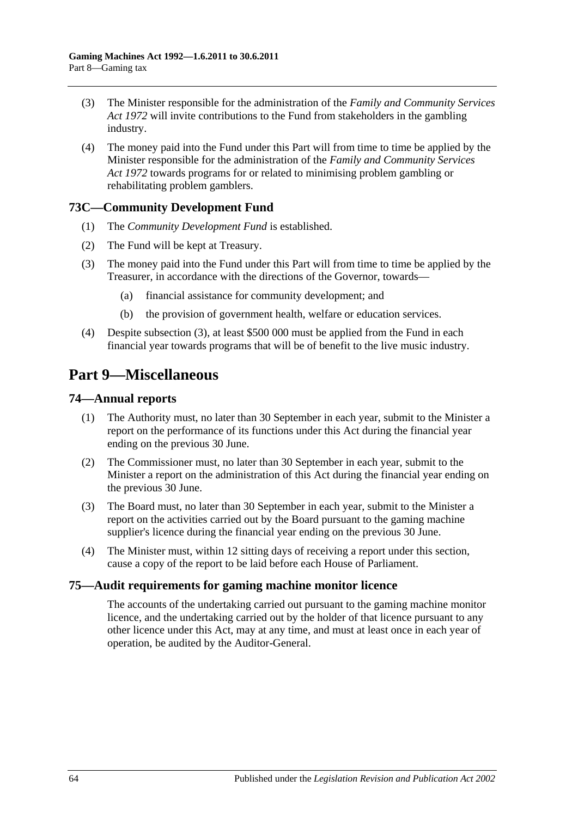- (3) The Minister responsible for the administration of the *[Family and Community Services](http://www.legislation.sa.gov.au/index.aspx?action=legref&type=act&legtitle=Family%20and%20Community%20Services%20Act%201972)  Act [1972](http://www.legislation.sa.gov.au/index.aspx?action=legref&type=act&legtitle=Family%20and%20Community%20Services%20Act%201972)* will invite contributions to the Fund from stakeholders in the gambling industry.
- (4) The money paid into the Fund under this Part will from time to time be applied by the Minister responsible for the administration of the *[Family and Community Services](http://www.legislation.sa.gov.au/index.aspx?action=legref&type=act&legtitle=Family%20and%20Community%20Services%20Act%201972)  Act [1972](http://www.legislation.sa.gov.au/index.aspx?action=legref&type=act&legtitle=Family%20and%20Community%20Services%20Act%201972)* towards programs for or related to minimising problem gambling or rehabilitating problem gamblers.

## **73C—Community Development Fund**

- (1) The *Community Development Fund* is established.
- (2) The Fund will be kept at Treasury.
- <span id="page-63-0"></span>(3) The money paid into the Fund under this Part will from time to time be applied by the Treasurer, in accordance with the directions of the Governor, towards—
	- (a) financial assistance for community development; and
	- (b) the provision of government health, welfare or education services.
- (4) Despite [subsection](#page-63-0) (3), at least \$500 000 must be applied from the Fund in each financial year towards programs that will be of benefit to the live music industry.

## **Part 9—Miscellaneous**

## **74—Annual reports**

- (1) The Authority must, no later than 30 September in each year, submit to the Minister a report on the performance of its functions under this Act during the financial year ending on the previous 30 June.
- (2) The Commissioner must, no later than 30 September in each year, submit to the Minister a report on the administration of this Act during the financial year ending on the previous 30 June.
- (3) The Board must, no later than 30 September in each year, submit to the Minister a report on the activities carried out by the Board pursuant to the gaming machine supplier's licence during the financial year ending on the previous 30 June.
- (4) The Minister must, within 12 sitting days of receiving a report under this section, cause a copy of the report to be laid before each House of Parliament.

## **75—Audit requirements for gaming machine monitor licence**

The accounts of the undertaking carried out pursuant to the gaming machine monitor licence, and the undertaking carried out by the holder of that licence pursuant to any other licence under this Act, may at any time, and must at least once in each year of operation, be audited by the Auditor-General.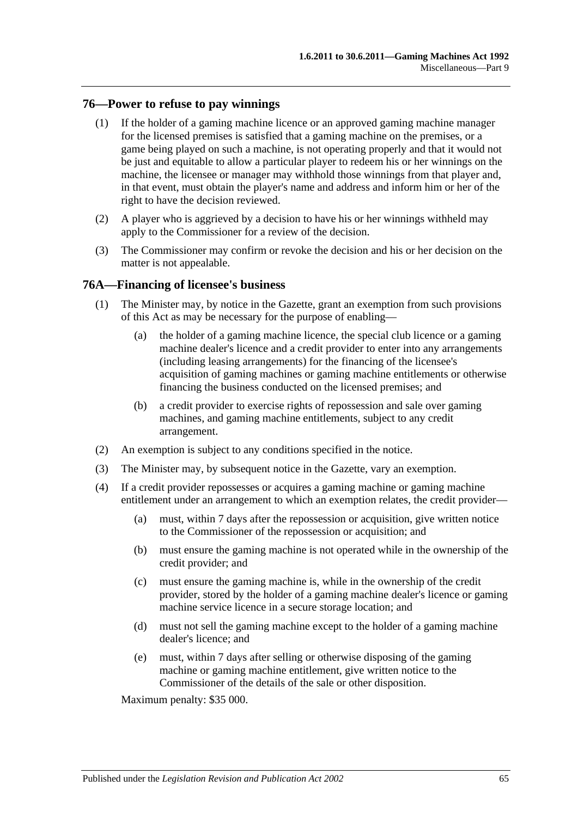#### **76—Power to refuse to pay winnings**

- (1) If the holder of a gaming machine licence or an approved gaming machine manager for the licensed premises is satisfied that a gaming machine on the premises, or a game being played on such a machine, is not operating properly and that it would not be just and equitable to allow a particular player to redeem his or her winnings on the machine, the licensee or manager may withhold those winnings from that player and, in that event, must obtain the player's name and address and inform him or her of the right to have the decision reviewed.
- (2) A player who is aggrieved by a decision to have his or her winnings withheld may apply to the Commissioner for a review of the decision.
- (3) The Commissioner may confirm or revoke the decision and his or her decision on the matter is not appealable.

#### **76A—Financing of licensee's business**

- (1) The Minister may, by notice in the Gazette, grant an exemption from such provisions of this Act as may be necessary for the purpose of enabling—
	- (a) the holder of a gaming machine licence, the special club licence or a gaming machine dealer's licence and a credit provider to enter into any arrangements (including leasing arrangements) for the financing of the licensee's acquisition of gaming machines or gaming machine entitlements or otherwise financing the business conducted on the licensed premises; and
	- (b) a credit provider to exercise rights of repossession and sale over gaming machines, and gaming machine entitlements, subject to any credit arrangement.
- (2) An exemption is subject to any conditions specified in the notice.
- (3) The Minister may, by subsequent notice in the Gazette, vary an exemption.
- (4) If a credit provider repossesses or acquires a gaming machine or gaming machine entitlement under an arrangement to which an exemption relates, the credit provider—
	- (a) must, within 7 days after the repossession or acquisition, give written notice to the Commissioner of the repossession or acquisition; and
	- (b) must ensure the gaming machine is not operated while in the ownership of the credit provider; and
	- (c) must ensure the gaming machine is, while in the ownership of the credit provider, stored by the holder of a gaming machine dealer's licence or gaming machine service licence in a secure storage location; and
	- (d) must not sell the gaming machine except to the holder of a gaming machine dealer's licence; and
	- (e) must, within 7 days after selling or otherwise disposing of the gaming machine or gaming machine entitlement, give written notice to the Commissioner of the details of the sale or other disposition.

Maximum penalty: \$35 000.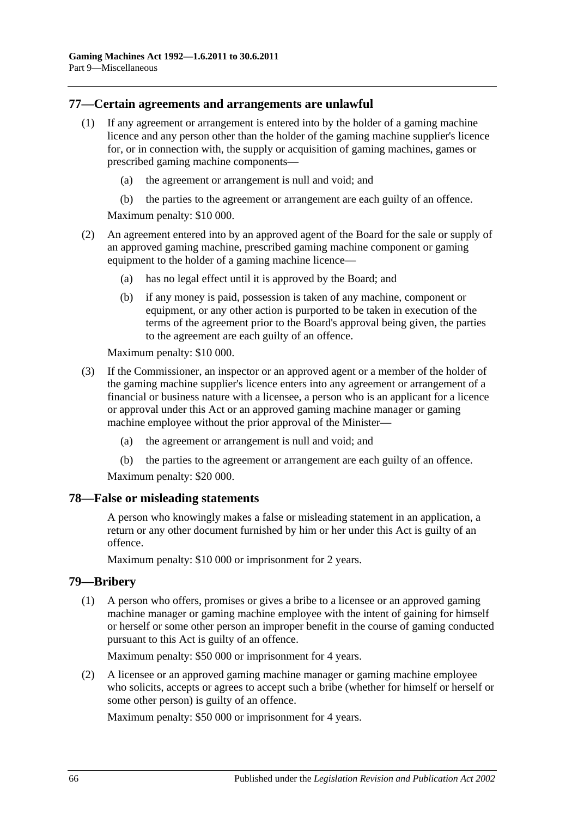## **77—Certain agreements and arrangements are unlawful**

- (1) If any agreement or arrangement is entered into by the holder of a gaming machine licence and any person other than the holder of the gaming machine supplier's licence for, or in connection with, the supply or acquisition of gaming machines, games or prescribed gaming machine components—
	- (a) the agreement or arrangement is null and void; and
	- (b) the parties to the agreement or arrangement are each guilty of an offence.

Maximum penalty: \$10 000.

- (2) An agreement entered into by an approved agent of the Board for the sale or supply of an approved gaming machine, prescribed gaming machine component or gaming equipment to the holder of a gaming machine licence—
	- (a) has no legal effect until it is approved by the Board; and
	- (b) if any money is paid, possession is taken of any machine, component or equipment, or any other action is purported to be taken in execution of the terms of the agreement prior to the Board's approval being given, the parties to the agreement are each guilty of an offence.

Maximum penalty: \$10 000.

- (3) If the Commissioner, an inspector or an approved agent or a member of the holder of the gaming machine supplier's licence enters into any agreement or arrangement of a financial or business nature with a licensee, a person who is an applicant for a licence or approval under this Act or an approved gaming machine manager or gaming machine employee without the prior approval of the Minister—
	- (a) the agreement or arrangement is null and void; and
	- (b) the parties to the agreement or arrangement are each guilty of an offence.

Maximum penalty: \$20 000.

#### **78—False or misleading statements**

A person who knowingly makes a false or misleading statement in an application, a return or any other document furnished by him or her under this Act is guilty of an offence.

Maximum penalty: \$10 000 or imprisonment for 2 years.

#### **79—Bribery**

(1) A person who offers, promises or gives a bribe to a licensee or an approved gaming machine manager or gaming machine employee with the intent of gaining for himself or herself or some other person an improper benefit in the course of gaming conducted pursuant to this Act is guilty of an offence.

Maximum penalty: \$50 000 or imprisonment for 4 years.

(2) A licensee or an approved gaming machine manager or gaming machine employee who solicits, accepts or agrees to accept such a bribe (whether for himself or herself or some other person) is guilty of an offence.

Maximum penalty: \$50 000 or imprisonment for 4 years.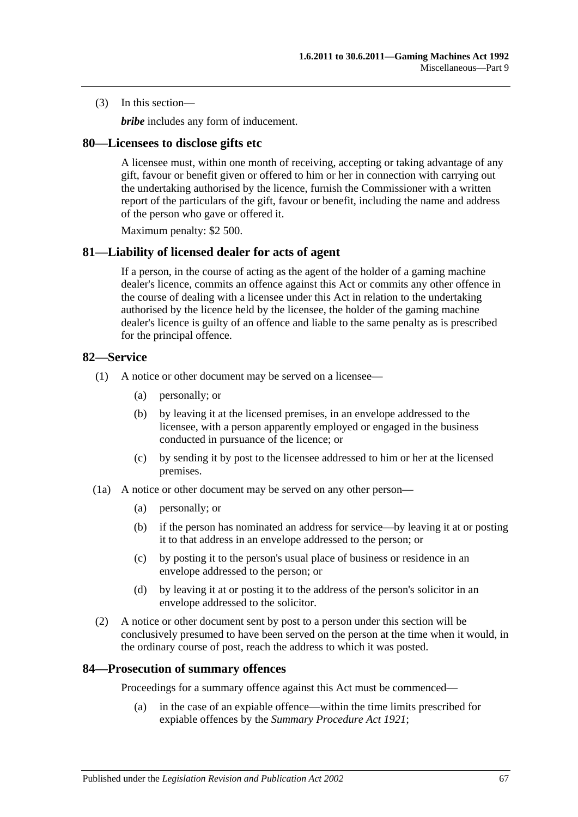(3) In this section—

*bribe* includes any form of inducement.

#### **80—Licensees to disclose gifts etc**

A licensee must, within one month of receiving, accepting or taking advantage of any gift, favour or benefit given or offered to him or her in connection with carrying out the undertaking authorised by the licence, furnish the Commissioner with a written report of the particulars of the gift, favour or benefit, including the name and address of the person who gave or offered it.

Maximum penalty: \$2 500.

#### **81—Liability of licensed dealer for acts of agent**

If a person, in the course of acting as the agent of the holder of a gaming machine dealer's licence, commits an offence against this Act or commits any other offence in the course of dealing with a licensee under this Act in relation to the undertaking authorised by the licence held by the licensee, the holder of the gaming machine dealer's licence is guilty of an offence and liable to the same penalty as is prescribed for the principal offence.

#### **82—Service**

- (1) A notice or other document may be served on a licensee—
	- (a) personally; or
	- (b) by leaving it at the licensed premises, in an envelope addressed to the licensee, with a person apparently employed or engaged in the business conducted in pursuance of the licence; or
	- (c) by sending it by post to the licensee addressed to him or her at the licensed premises.
- (1a) A notice or other document may be served on any other person—
	- (a) personally; or
	- (b) if the person has nominated an address for service—by leaving it at or posting it to that address in an envelope addressed to the person; or
	- (c) by posting it to the person's usual place of business or residence in an envelope addressed to the person; or
	- (d) by leaving it at or posting it to the address of the person's solicitor in an envelope addressed to the solicitor.
- (2) A notice or other document sent by post to a person under this section will be conclusively presumed to have been served on the person at the time when it would, in the ordinary course of post, reach the address to which it was posted.

## **84—Prosecution of summary offences**

Proceedings for a summary offence against this Act must be commenced—

(a) in the case of an expiable offence—within the time limits prescribed for expiable offences by the *[Summary Procedure Act](http://www.legislation.sa.gov.au/index.aspx?action=legref&type=act&legtitle=Summary%20Procedure%20Act%201921) 1921*;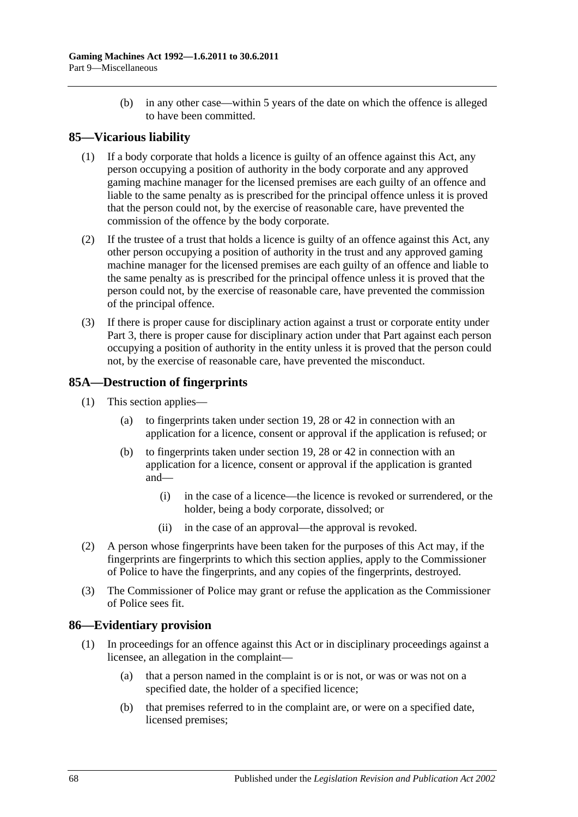(b) in any other case—within 5 years of the date on which the offence is alleged to have been committed.

## **85—Vicarious liability**

- (1) If a body corporate that holds a licence is guilty of an offence against this Act, any person occupying a position of authority in the body corporate and any approved gaming machine manager for the licensed premises are each guilty of an offence and liable to the same penalty as is prescribed for the principal offence unless it is proved that the person could not, by the exercise of reasonable care, have prevented the commission of the offence by the body corporate.
- (2) If the trustee of a trust that holds a licence is guilty of an offence against this Act, any other person occupying a position of authority in the trust and any approved gaming machine manager for the licensed premises are each guilty of an offence and liable to the same penalty as is prescribed for the principal offence unless it is proved that the person could not, by the exercise of reasonable care, have prevented the commission of the principal offence.
- (3) If there is proper cause for disciplinary action against a trust or corporate entity under [Part 3,](#page-14-0) there is proper cause for disciplinary action under that Part against each person occupying a position of authority in the entity unless it is proved that the person could not, by the exercise of reasonable care, have prevented the misconduct.

## **85A—Destruction of fingerprints**

- (1) This section applies—
	- (a) to fingerprints taken under [section](#page-21-1) 19, [28](#page-29-0) or [42](#page-39-6) in connection with an application for a licence, consent or approval if the application is refused; or
	- (b) to fingerprints taken under [section](#page-21-1) 19, [28](#page-29-0) or [42](#page-39-6) in connection with an application for a licence, consent or approval if the application is granted and—
		- (i) in the case of a licence—the licence is revoked or surrendered, or the holder, being a body corporate, dissolved; or
		- (ii) in the case of an approval—the approval is revoked.
- (2) A person whose fingerprints have been taken for the purposes of this Act may, if the fingerprints are fingerprints to which this section applies, apply to the Commissioner of Police to have the fingerprints, and any copies of the fingerprints, destroyed.
- (3) The Commissioner of Police may grant or refuse the application as the Commissioner of Police sees fit.

## **86—Evidentiary provision**

- (1) In proceedings for an offence against this Act or in disciplinary proceedings against a licensee, an allegation in the complaint—
	- (a) that a person named in the complaint is or is not, or was or was not on a specified date, the holder of a specified licence;
	- (b) that premises referred to in the complaint are, or were on a specified date, licensed premises;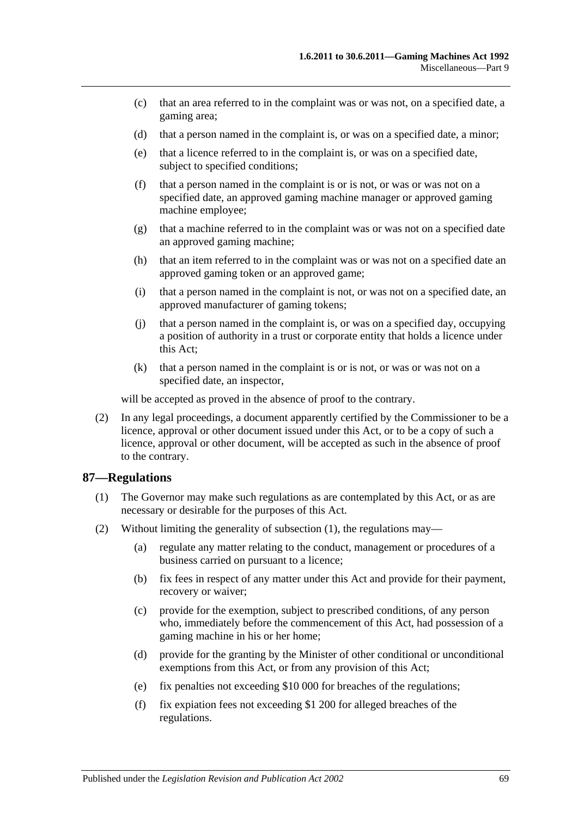- (c) that an area referred to in the complaint was or was not, on a specified date, a gaming area;
- (d) that a person named in the complaint is, or was on a specified date, a minor;
- (e) that a licence referred to in the complaint is, or was on a specified date, subject to specified conditions;
- (f) that a person named in the complaint is or is not, or was or was not on a specified date, an approved gaming machine manager or approved gaming machine employee;
- (g) that a machine referred to in the complaint was or was not on a specified date an approved gaming machine;
- (h) that an item referred to in the complaint was or was not on a specified date an approved gaming token or an approved game;
- (i) that a person named in the complaint is not, or was not on a specified date, an approved manufacturer of gaming tokens;
- (j) that a person named in the complaint is, or was on a specified day, occupying a position of authority in a trust or corporate entity that holds a licence under this Act;
- (k) that a person named in the complaint is or is not, or was or was not on a specified date, an inspector,

will be accepted as proved in the absence of proof to the contrary.

(2) In any legal proceedings, a document apparently certified by the Commissioner to be a licence, approval or other document issued under this Act, or to be a copy of such a licence, approval or other document, will be accepted as such in the absence of proof to the contrary.

#### <span id="page-68-0"></span>**87—Regulations**

- (1) The Governor may make such regulations as are contemplated by this Act, or as are necessary or desirable for the purposes of this Act.
- (2) Without limiting the generality of [subsection](#page-68-0) (1), the regulations may—
	- (a) regulate any matter relating to the conduct, management or procedures of a business carried on pursuant to a licence;
	- (b) fix fees in respect of any matter under this Act and provide for their payment, recovery or waiver;
	- (c) provide for the exemption, subject to prescribed conditions, of any person who, immediately before the commencement of this Act, had possession of a gaming machine in his or her home;
	- (d) provide for the granting by the Minister of other conditional or unconditional exemptions from this Act, or from any provision of this Act;
	- (e) fix penalties not exceeding \$10 000 for breaches of the regulations;
	- (f) fix expiation fees not exceeding \$1 200 for alleged breaches of the regulations.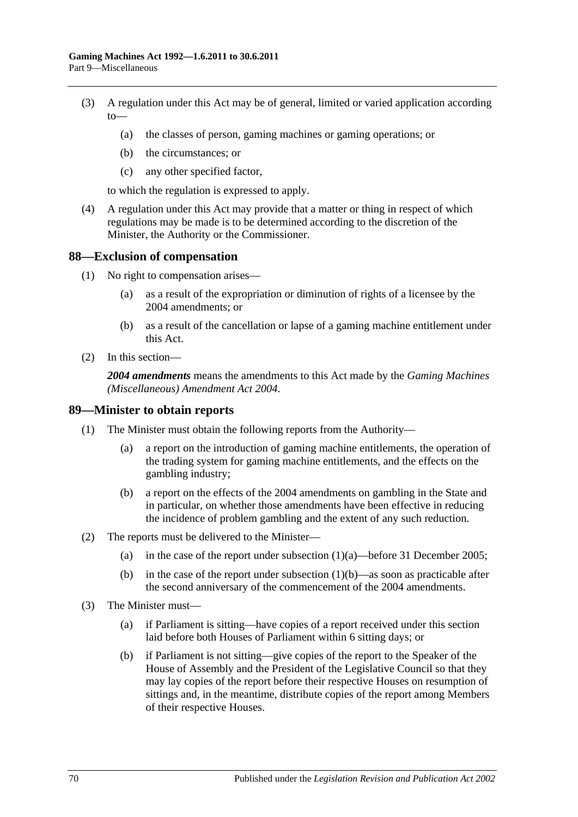- (3) A regulation under this Act may be of general, limited or varied application according  $to$ —
	- (a) the classes of person, gaming machines or gaming operations; or
	- (b) the circumstances; or
	- (c) any other specified factor,

to which the regulation is expressed to apply.

(4) A regulation under this Act may provide that a matter or thing in respect of which regulations may be made is to be determined according to the discretion of the Minister, the Authority or the Commissioner.

#### **88—Exclusion of compensation**

- (1) No right to compensation arises—
	- (a) as a result of the expropriation or diminution of rights of a licensee by the 2004 amendments; or
	- (b) as a result of the cancellation or lapse of a gaming machine entitlement under this Act.
- (2) In this section—

*2004 amendments* means the amendments to this Act made by the *[Gaming Machines](http://www.legislation.sa.gov.au/index.aspx?action=legref&type=act&legtitle=Gaming%20Machines%20(Miscellaneous)%20Amendment%20Act%202004)  [\(Miscellaneous\) Amendment Act 2004](http://www.legislation.sa.gov.au/index.aspx?action=legref&type=act&legtitle=Gaming%20Machines%20(Miscellaneous)%20Amendment%20Act%202004)*.

#### **89—Minister to obtain reports**

- <span id="page-69-0"></span>(1) The Minister must obtain the following reports from the Authority—
	- (a) a report on the introduction of gaming machine entitlements, the operation of the trading system for gaming machine entitlements, and the effects on the gambling industry;
	- (b) a report on the effects of the 2004 amendments on gambling in the State and in particular, on whether those amendments have been effective in reducing the incidence of problem gambling and the extent of any such reduction.
- <span id="page-69-1"></span>(2) The reports must be delivered to the Minister
	- (a) in the case of the report under [subsection](#page-69-0)  $(1)(a)$ —before 31 December 2005;
	- (b) in the case of the report under [subsection](#page-69-1)  $(1)(b)$ —as soon as practicable after the second anniversary of the commencement of the 2004 amendments.
- (3) The Minister must—
	- (a) if Parliament is sitting—have copies of a report received under this section laid before both Houses of Parliament within 6 sitting days; or
	- (b) if Parliament is not sitting—give copies of the report to the Speaker of the House of Assembly and the President of the Legislative Council so that they may lay copies of the report before their respective Houses on resumption of sittings and, in the meantime, distribute copies of the report among Members of their respective Houses.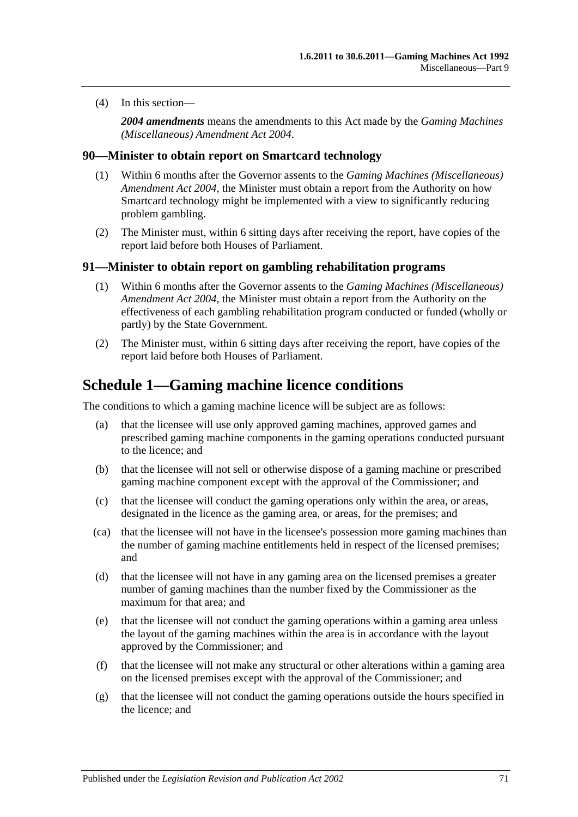(4) In this section—

*2004 amendments* means the amendments to this Act made by the *[Gaming Machines](http://www.legislation.sa.gov.au/index.aspx?action=legref&type=act&legtitle=Gaming%20Machines%20(Miscellaneous)%20Amendment%20Act%202004)  [\(Miscellaneous\) Amendment Act 2004](http://www.legislation.sa.gov.au/index.aspx?action=legref&type=act&legtitle=Gaming%20Machines%20(Miscellaneous)%20Amendment%20Act%202004)*.

#### **90—Minister to obtain report on Smartcard technology**

- (1) Within 6 months after the Governor assents to the *[Gaming Machines \(Miscellaneous\)](http://www.legislation.sa.gov.au/index.aspx?action=legref&type=act&legtitle=Gaming%20Machines%20(Miscellaneous)%20Amendment%20Act%202004)  [Amendment Act 2004](http://www.legislation.sa.gov.au/index.aspx?action=legref&type=act&legtitle=Gaming%20Machines%20(Miscellaneous)%20Amendment%20Act%202004)*, the Minister must obtain a report from the Authority on how Smartcard technology might be implemented with a view to significantly reducing problem gambling.
- (2) The Minister must, within 6 sitting days after receiving the report, have copies of the report laid before both Houses of Parliament.

#### **91—Minister to obtain report on gambling rehabilitation programs**

- (1) Within 6 months after the Governor assents to the *[Gaming Machines \(Miscellaneous\)](http://www.legislation.sa.gov.au/index.aspx?action=legref&type=act&legtitle=Gaming%20Machines%20(Miscellaneous)%20Amendment%20Act%202004)  [Amendment Act 2004](http://www.legislation.sa.gov.au/index.aspx?action=legref&type=act&legtitle=Gaming%20Machines%20(Miscellaneous)%20Amendment%20Act%202004)*, the Minister must obtain a report from the Authority on the effectiveness of each gambling rehabilitation program conducted or funded (wholly or partly) by the State Government.
- (2) The Minister must, within 6 sitting days after receiving the report, have copies of the report laid before both Houses of Parliament.

## <span id="page-70-0"></span>**Schedule 1—Gaming machine licence conditions**

The conditions to which a gaming machine licence will be subject are as follows:

- (a) that the licensee will use only approved gaming machines, approved games and prescribed gaming machine components in the gaming operations conducted pursuant to the licence; and
- (b) that the licensee will not sell or otherwise dispose of a gaming machine or prescribed gaming machine component except with the approval of the Commissioner; and
- (c) that the licensee will conduct the gaming operations only within the area, or areas, designated in the licence as the gaming area, or areas, for the premises; and
- (ca) that the licensee will not have in the licensee's possession more gaming machines than the number of gaming machine entitlements held in respect of the licensed premises; and
- (d) that the licensee will not have in any gaming area on the licensed premises a greater number of gaming machines than the number fixed by the Commissioner as the maximum for that area; and
- (e) that the licensee will not conduct the gaming operations within a gaming area unless the layout of the gaming machines within the area is in accordance with the layout approved by the Commissioner; and
- (f) that the licensee will not make any structural or other alterations within a gaming area on the licensed premises except with the approval of the Commissioner; and
- (g) that the licensee will not conduct the gaming operations outside the hours specified in the licence; and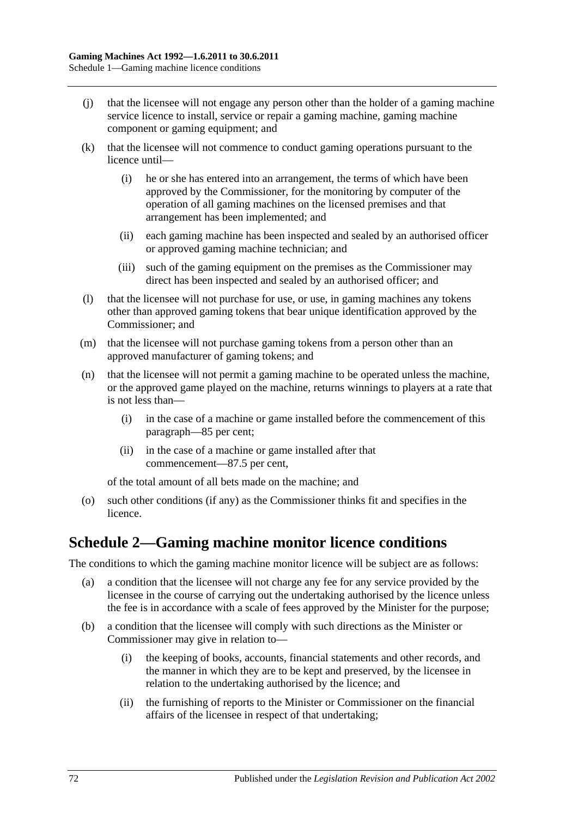- (j) that the licensee will not engage any person other than the holder of a gaming machine service licence to install, service or repair a gaming machine, gaming machine component or gaming equipment; and
- (k) that the licensee will not commence to conduct gaming operations pursuant to the licence until—
	- (i) he or she has entered into an arrangement, the terms of which have been approved by the Commissioner, for the monitoring by computer of the operation of all gaming machines on the licensed premises and that arrangement has been implemented; and
	- (ii) each gaming machine has been inspected and sealed by an authorised officer or approved gaming machine technician; and
	- (iii) such of the gaming equipment on the premises as the Commissioner may direct has been inspected and sealed by an authorised officer; and
- (l) that the licensee will not purchase for use, or use, in gaming machines any tokens other than approved gaming tokens that bear unique identification approved by the Commissioner; and
- (m) that the licensee will not purchase gaming tokens from a person other than an approved manufacturer of gaming tokens; and
- (n) that the licensee will not permit a gaming machine to be operated unless the machine, or the approved game played on the machine, returns winnings to players at a rate that is not less than—
	- (i) in the case of a machine or game installed before the commencement of this paragraph—85 per cent;
	- (ii) in the case of a machine or game installed after that commencement—87.5 per cent,

of the total amount of all bets made on the machine; and

(o) such other conditions (if any) as the Commissioner thinks fit and specifies in the licence.

## **Schedule 2—Gaming machine monitor licence conditions**

The conditions to which the gaming machine monitor licence will be subject are as follows:

- (a) a condition that the licensee will not charge any fee for any service provided by the licensee in the course of carrying out the undertaking authorised by the licence unless the fee is in accordance with a scale of fees approved by the Minister for the purpose;
- (b) a condition that the licensee will comply with such directions as the Minister or Commissioner may give in relation to—
	- (i) the keeping of books, accounts, financial statements and other records, and the manner in which they are to be kept and preserved, by the licensee in relation to the undertaking authorised by the licence; and
	- (ii) the furnishing of reports to the Minister or Commissioner on the financial affairs of the licensee in respect of that undertaking;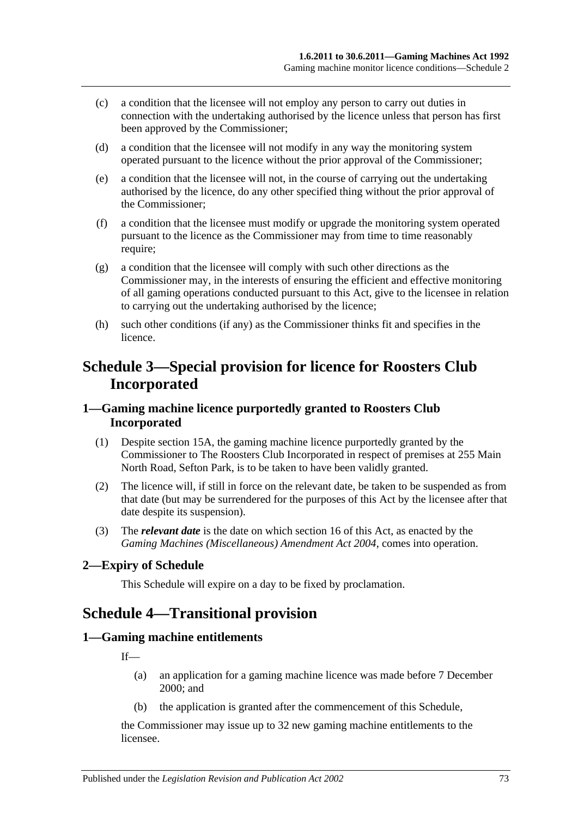- (c) a condition that the licensee will not employ any person to carry out duties in connection with the undertaking authorised by the licence unless that person has first been approved by the Commissioner;
- (d) a condition that the licensee will not modify in any way the monitoring system operated pursuant to the licence without the prior approval of the Commissioner;
- (e) a condition that the licensee will not, in the course of carrying out the undertaking authorised by the licence, do any other specified thing without the prior approval of the Commissioner;
- (f) a condition that the licensee must modify or upgrade the monitoring system operated pursuant to the licence as the Commissioner may from time to time reasonably require;
- (g) a condition that the licensee will comply with such other directions as the Commissioner may, in the interests of ensuring the efficient and effective monitoring of all gaming operations conducted pursuant to this Act, give to the licensee in relation to carrying out the undertaking authorised by the licence;
- (h) such other conditions (if any) as the Commissioner thinks fit and specifies in the licence.

## **Schedule 3—Special provision for licence for Roosters Club Incorporated**

## **1—Gaming machine licence purportedly granted to Roosters Club Incorporated**

- (1) Despite [section](#page-17-0) 15A, the gaming machine licence purportedly granted by the Commissioner to The Roosters Club Incorporated in respect of premises at 255 Main North Road, Sefton Park, is to be taken to have been validly granted.
- (2) The licence will, if still in force on the relevant date, be taken to be suspended as from that date (but may be surrendered for the purposes of this Act by the licensee after that date despite its suspension).
- (3) The *relevant date* is the date on which [section](#page-18-0) 16 of this Act, as enacted by the *[Gaming Machines \(Miscellaneous\) Amendment Act 2004](http://www.legislation.sa.gov.au/index.aspx?action=legref&type=act&legtitle=Gaming%20Machines%20(Miscellaneous)%20Amendment%20Act%202004)*, comes into operation.

## **2—Expiry of Schedule**

This Schedule will expire on a day to be fixed by proclamation.

## **Schedule 4—Transitional provision**

#### **1—Gaming machine entitlements**

If—

- (a) an application for a gaming machine licence was made before 7 December 2000; and
- (b) the application is granted after the commencement of this Schedule,

the Commissioner may issue up to 32 new gaming machine entitlements to the licensee.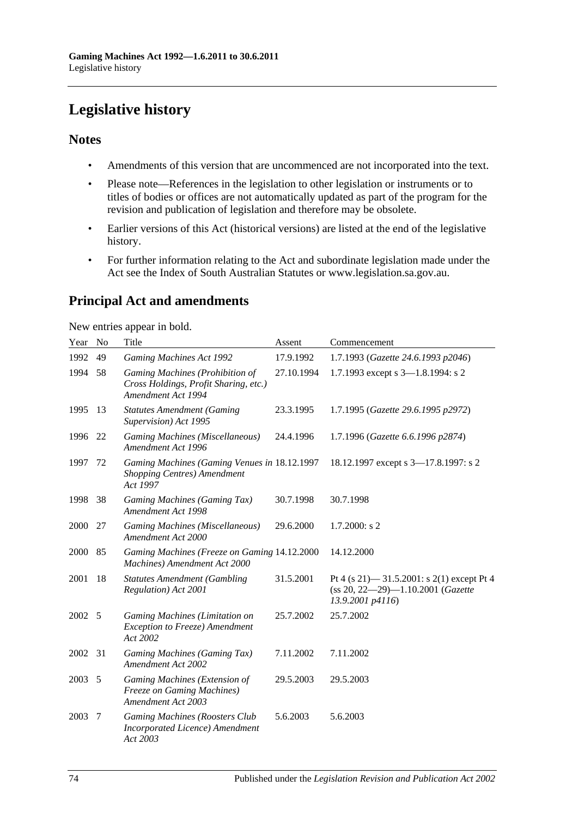# **Legislative history**

### **Notes**

- Amendments of this version that are uncommenced are not incorporated into the text.
- Please note—References in the legislation to other legislation or instruments or to titles of bodies or offices are not automatically updated as part of the program for the revision and publication of legislation and therefore may be obsolete.
- Earlier versions of this Act (historical versions) are listed at the end of the legislative history.
- For further information relating to the Act and subordinate legislation made under the Act see the Index of South Australian Statutes or www.legislation.sa.gov.au.

## **Principal Act and amendments**

New entries appear in bold.

| Year | No | Title                                                                                          | Assent     | Commencement                                                                                           |
|------|----|------------------------------------------------------------------------------------------------|------------|--------------------------------------------------------------------------------------------------------|
| 1992 | 49 | <b>Gaming Machines Act 1992</b>                                                                | 17.9.1992  | 1.7.1993 (Gazette 24.6.1993 p2046)                                                                     |
| 1994 | 58 | Gaming Machines (Prohibition of<br>Cross Holdings, Profit Sharing, etc.)<br>Amendment Act 1994 | 27.10.1994 | 1.7.1993 except s 3-1.8.1994: s 2                                                                      |
| 1995 | 13 | <b>Statutes Amendment (Gaming</b><br>Supervision) Act 1995                                     | 23.3.1995  | 1.7.1995 (Gazette 29.6.1995 p2972)                                                                     |
| 1996 | 22 | Gaming Machines (Miscellaneous)<br>Amendment Act 1996                                          | 24.4.1996  | 1.7.1996 (Gazette 6.6.1996 p2874)                                                                      |
| 1997 | 72 | Gaming Machines (Gaming Venues in 18.12.1997<br>Shopping Centres) Amendment<br>Act 1997        |            | 18.12.1997 except s 3-17.8.1997: s 2                                                                   |
| 1998 | 38 | Gaming Machines (Gaming Tax)<br>Amendment Act 1998                                             | 30.7.1998  | 30.7.1998                                                                                              |
| 2000 | 27 | Gaming Machines (Miscellaneous)<br>Amendment Act 2000                                          | 29.6.2000  | $1.7.2000$ : s 2                                                                                       |
| 2000 | 85 | Gaming Machines (Freeze on Gaming 14.12.2000<br>Machines) Amendment Act 2000                   |            | 14.12.2000                                                                                             |
| 2001 | 18 | <b>Statutes Amendment (Gambling</b><br>Regulation) Act 2001                                    | 31.5.2001  | Pt 4 (s 21) $-$ 31.5.2001: s 2(1) except Pt 4<br>(ss 20, 22-29)-1.10.2001 (Gazette<br>13.9.2001 p4116) |
| 2002 | 5  | Gaming Machines (Limitation on<br>Exception to Freeze) Amendment<br>Act 2002                   | 25.7.2002  | 25.7.2002                                                                                              |
| 2002 | 31 | Gaming Machines (Gaming Tax)<br>Amendment Act 2002                                             | 7.11.2002  | 7.11.2002                                                                                              |
| 2003 | 5  | Gaming Machines (Extension of<br><b>Freeze on Gaming Machines)</b><br>Amendment Act 2003       | 29.5.2003  | 29.5.2003                                                                                              |
| 2003 | 7  | Gaming Machines (Roosters Club<br>Incorporated Licence) Amendment<br>Act 2003                  | 5.6.2003   | 5.6.2003                                                                                               |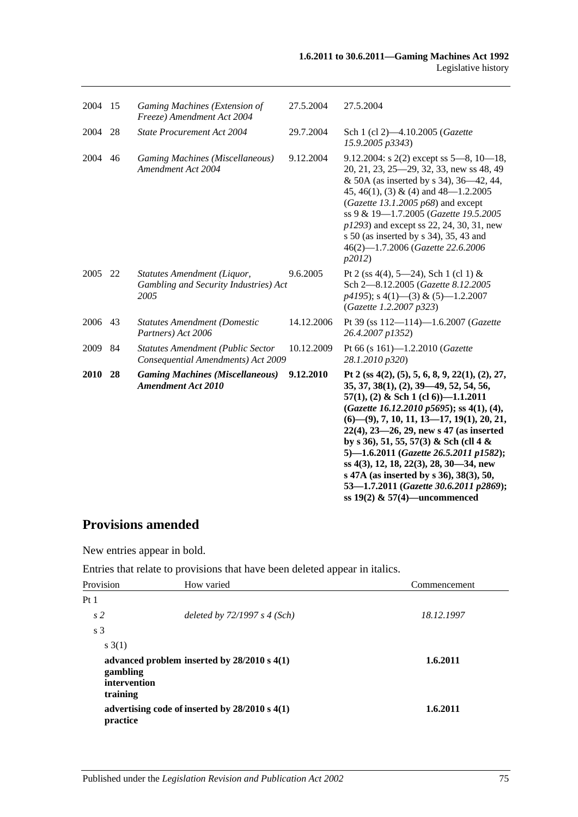| 2004        | 15 | Gaming Machines (Extension of<br>Freeze) Amendment Act 2004                    | 27.5.2004  | 27.5.2004                                                                                                                                                                                                                                                                                                                                                                                                                                                                                                                                     |
|-------------|----|--------------------------------------------------------------------------------|------------|-----------------------------------------------------------------------------------------------------------------------------------------------------------------------------------------------------------------------------------------------------------------------------------------------------------------------------------------------------------------------------------------------------------------------------------------------------------------------------------------------------------------------------------------------|
| 2004        | 28 | State Procurement Act 2004                                                     | 29.7.2004  | Sch 1 (cl 2)-4.10.2005 (Gazette<br>15.9.2005 p3343)                                                                                                                                                                                                                                                                                                                                                                                                                                                                                           |
| 2004        | 46 | Gaming Machines (Miscellaneous)<br>Amendment Act 2004                          | 9.12.2004  | 9.12.2004: s $2(2)$ except ss $5-8$ , $10-18$ ,<br>20, 21, 23, 25-29, 32, 33, new ss 48, 49<br>& 50A (as inserted by s 34), 36—42, 44,<br>45, 46(1), (3) & (4) and $48 - 1.2.2005$<br>(Gazette 13.1.2005 $p68$ ) and except<br>ss 9 & 19-1.7.2005 (Gazette 19.5.2005<br>p1293) and except ss 22, 24, 30, 31, new<br>s 50 (as inserted by s 34), 35, 43 and<br>46(2)-1.7.2006 (Gazette 22.6.2006<br>p2012                                                                                                                                      |
| 2005        | 22 | Statutes Amendment (Liquor,<br>Gambling and Security Industries) Act<br>2005   | 9.6.2005   | Pt 2 (ss 4(4), 5—24), Sch 1 (cl 1) &<br>Sch 2-8.12.2005 (Gazette 8.12.2005<br>$p4195$ ; s 4(1)–(3) & (5)–1.2.2007<br>(Gazette 1.2.2007 p323)                                                                                                                                                                                                                                                                                                                                                                                                  |
| 2006        | 43 | <b>Statutes Amendment (Domestic</b><br>Partners) Act 2006                      | 14.12.2006 | Pt 39 (ss 112-114)-1.6.2007 (Gazette<br>26.4.2007 p1352)                                                                                                                                                                                                                                                                                                                                                                                                                                                                                      |
| 2009        | 84 | <b>Statutes Amendment (Public Sector</b><br>Consequential Amendments) Act 2009 | 10.12.2009 | Pt 66 (s 161)-1.2.2010 (Gazette<br>28.1.2010 p320)                                                                                                                                                                                                                                                                                                                                                                                                                                                                                            |
| <b>2010</b> | 28 | <b>Gaming Machines (Miscellaneous)</b><br><b>Amendment Act 2010</b>            | 9.12.2010  | Pt 2 (ss 4(2), (5), 5, 6, 8, 9, 22(1), (2), 27,<br>$35, 37, 38(1), (2), 39-49, 52, 54, 56,$<br>$57(1)$ , (2) & Sch 1 (cl 6))-1.1.2011<br>(Gazette 16.12.2010 p5695); ss 4(1), (4),<br>$(6)$ — $(9)$ , 7, 10, 11, 13—17, 19(1), 20, 21,<br>$22(4)$ , $23-26$ , $29$ , new s 47 (as inserted<br>by s 36), 51, 55, 57(3) & Sch (cll 4 &<br>5)-1.6.2011 (Gazette 26.5.2011 p1582);<br>ss 4(3), 12, 18, 22(3), 28, 30–34, new<br>s 47A (as inserted by s 36), 38(3), 50,<br>53-1.7.2011 (Gazette 30.6.2011 p2869);<br>ss 19(2) & 57(4)—uncommenced |

## **Provisions amended**

New entries appear in bold.

Entries that relate to provisions that have been deleted appear in italics.

| Provision                            | How varied                                         | Commencement |
|--------------------------------------|----------------------------------------------------|--------------|
| Pt 1                                 |                                                    |              |
| s <sub>2</sub>                       | deleted by $72/1997 s 4 (Sch)$                     | 18.12.1997   |
| s <sub>3</sub>                       |                                                    |              |
| s(3(1))                              |                                                    |              |
| gambling<br>intervention<br>training | advanced problem inserted by $28/2010$ s $4(1)$    | 1.6.2011     |
| practice                             | advertising code of inserted by $28/2010$ s $4(1)$ | 1.6.2011     |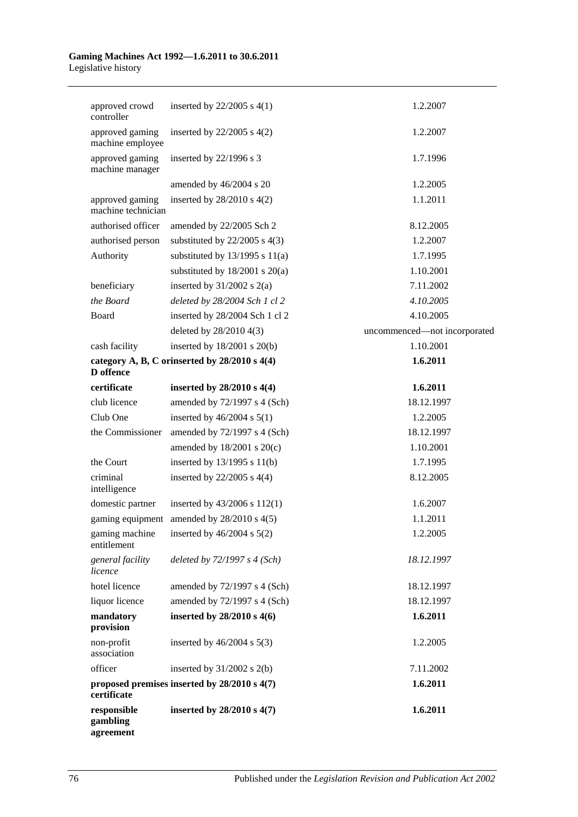| approved crowd<br>controller          | inserted by $22/2005$ s $4(1)$                | 1.2.2007                     |
|---------------------------------------|-----------------------------------------------|------------------------------|
| approved gaming<br>machine employee   | inserted by $22/2005$ s $4(2)$                | 1.2.2007                     |
| approved gaming<br>machine manager    | inserted by 22/1996 s 3                       | 1.7.1996                     |
|                                       | amended by 46/2004 s 20                       | 1.2.2005                     |
| approved gaming<br>machine technician | inserted by $28/2010$ s $4(2)$                | 1.1.2011                     |
| authorised officer                    | amended by 22/2005 Sch 2                      | 8.12.2005                    |
| authorised person                     | substituted by $22/2005$ s $4(3)$             | 1.2.2007                     |
| Authority                             | substituted by $13/1995$ s $11(a)$            | 1.7.1995                     |
|                                       | substituted by $18/2001$ s $20(a)$            | 1.10.2001                    |
| beneficiary                           | inserted by $31/2002$ s $2(a)$                | 7.11.2002                    |
| the Board                             | deleted by 28/2004 Sch 1 cl 2                 | 4.10.2005                    |
| Board                                 | inserted by 28/2004 Sch 1 cl 2                | 4.10.2005                    |
|                                       | deleted by 28/2010 4(3)                       | uncommenced-not incorporated |
| cash facility                         | inserted by 18/2001 s 20(b)                   | 1.10.2001                    |
| D offence                             | category A, B, C orinserted by 28/2010 s 4(4) | 1.6.2011                     |
| certificate                           | inserted by 28/2010 s 4(4)                    | 1.6.2011                     |
| club licence                          | amended by 72/1997 s 4 (Sch)                  | 18.12.1997                   |
| Club One                              | inserted by $46/2004$ s $5(1)$                | 1.2.2005                     |
| the Commissioner                      | amended by $72/1997$ s 4 (Sch)                | 18.12.1997                   |
|                                       | amended by $18/2001$ s $20(c)$                | 1.10.2001                    |
| the Court                             | inserted by 13/1995 s 11(b)                   | 1.7.1995                     |
| criminal<br>intelligence              | inserted by $22/2005$ s $4(4)$                | 8.12.2005                    |
| domestic partner                      | inserted by $43/2006$ s $112(1)$              | 1.6.2007                     |
| gaming equipment                      | amended by 28/2010 s 4(5)                     | 1.1.2011                     |
| gaming machine<br>entitlement         | inserted by $46/2004$ s $5(2)$                | 1.2.2005                     |
| general facility<br>licence           | deleted by $72/1997 s 4 (Sch)$                | 18.12.1997                   |
| hotel licence                         | amended by 72/1997 s 4 (Sch)                  | 18.12.1997                   |
| liquor licence                        | amended by 72/1997 s 4 (Sch)                  | 18.12.1997                   |
| mandatory<br>provision                | inserted by 28/2010 s 4(6)                    | 1.6.2011                     |
| non-profit<br>association             | inserted by $46/2004$ s $5(3)$                | 1.2.2005                     |
| officer                               | inserted by $31/2002$ s $2(b)$                | 7.11.2002                    |
| certificate                           | proposed premises inserted by 28/2010 s 4(7)  | 1.6.2011                     |
| responsible<br>gambling<br>agreement  | inserted by 28/2010 s 4(7)                    | 1.6.2011                     |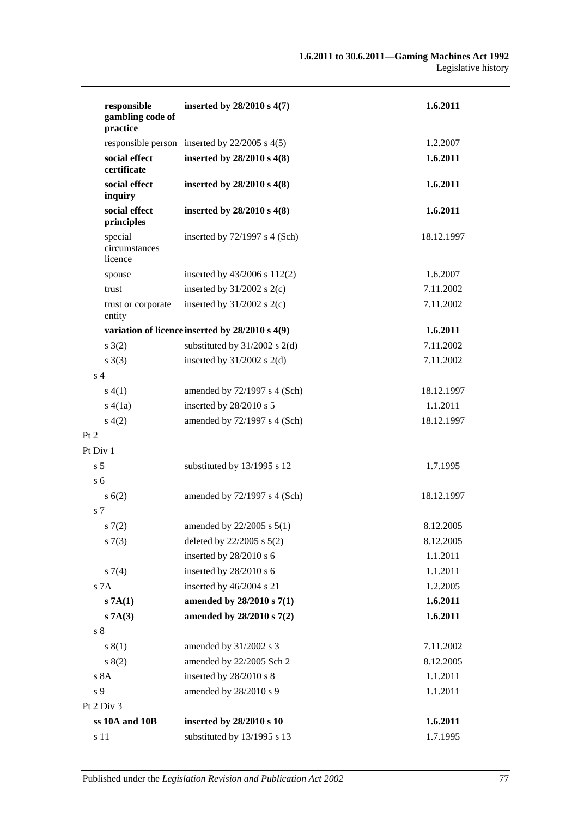| responsible<br>gambling code of<br>practice | inserted by 28/2010 s 4(7)                        | 1.6.2011   |
|---------------------------------------------|---------------------------------------------------|------------|
|                                             | responsible person inserted by $22/2005$ s $4(5)$ | 1.2.2007   |
| social effect<br>certificate                | inserted by 28/2010 s 4(8)                        | 1.6.2011   |
| social effect<br>inquiry                    | inserted by $28/2010 s 4(8)$                      | 1.6.2011   |
| social effect<br>principles                 | inserted by 28/2010 s 4(8)                        | 1.6.2011   |
| special<br>circumstances<br>licence         | inserted by $72/1997$ s 4 (Sch)                   | 18.12.1997 |
| spouse                                      | inserted by 43/2006 s 112(2)                      | 1.6.2007   |
| trust                                       | inserted by $31/2002$ s $2(c)$                    | 7.11.2002  |
| trust or corporate<br>entity                | inserted by $31/2002$ s $2(c)$                    | 7.11.2002  |
|                                             | variation of licence inserted by 28/2010 s 4(9)   | 1.6.2011   |
| s(2)                                        | substituted by $31/2002$ s $2(d)$                 | 7.11.2002  |
| s(3)                                        | inserted by $31/2002$ s $2(d)$                    | 7.11.2002  |
| s <sub>4</sub>                              |                                                   |            |
| s(4(1))                                     | amended by $72/1997$ s 4 (Sch)                    | 18.12.1997 |
| s(4(1a))                                    | inserted by 28/2010 s 5                           | 1.1.2011   |
| s(4(2)                                      | amended by 72/1997 s 4 (Sch)                      | 18.12.1997 |
| Pt 2                                        |                                                   |            |
| Pt Div 1                                    |                                                   |            |
| s <sub>5</sub>                              | substituted by 13/1995 s 12                       | 1.7.1995   |
| s <sub>6</sub>                              |                                                   |            |
| s(6(2))                                     | amended by $72/1997$ s 4 (Sch)                    | 18.12.1997 |
| s 7                                         |                                                   |            |
| s(7(2)                                      | amended by $22/2005$ s $5(1)$                     | 8.12.2005  |
| s(7(3))                                     | deleted by 22/2005 s 5(2)                         | 8.12.2005  |
|                                             | inserted by 28/2010 s 6                           | 1.1.2011   |
| s7(4)                                       | inserted by 28/2010 s 6                           | 1.1.2011   |
| s 7A                                        | inserted by 46/2004 s 21                          | 1.2.2005   |
| s 7A(1)                                     | amended by 28/2010 s 7(1)                         | 1.6.2011   |
| s 7A(3)                                     | amended by 28/2010 s 7(2)                         | 1.6.2011   |
| $s8$                                        |                                                   |            |
| s(1)                                        | amended by 31/2002 s 3                            | 7.11.2002  |
| 8(2)                                        | amended by 22/2005 Sch 2                          | 8.12.2005  |
| s 8A                                        | inserted by 28/2010 s 8                           | 1.1.2011   |
| s 9                                         | amended by 28/2010 s 9                            | 1.1.2011   |
| Pt 2 Div 3                                  |                                                   |            |
| ss 10A and 10B                              | inserted by 28/2010 s 10                          | 1.6.2011   |
| s 11                                        | substituted by 13/1995 s 13                       | 1.7.1995   |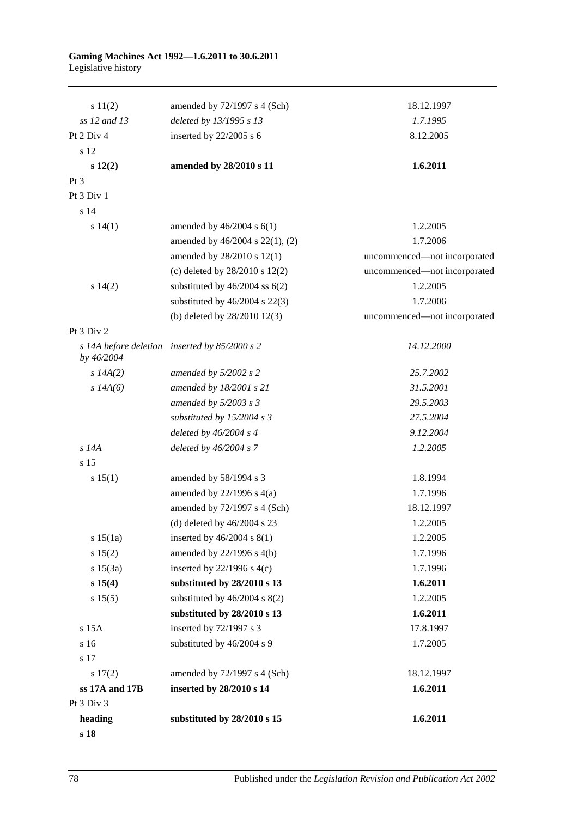| s 18           |                                                                  |                              |
|----------------|------------------------------------------------------------------|------------------------------|
| heading        | substituted by 28/2010 s 15                                      | 1.6.2011                     |
| Pt 3 Div 3     |                                                                  |                              |
| ss 17A and 17B | inserted by 28/2010 s 14                                         | 1.6.2011                     |
| 17(2)          | amended by 72/1997 s 4 (Sch)                                     | 18.12.1997                   |
| s 17           |                                                                  |                              |
| s 16           | substituted by 46/2004 s 9                                       | 1.7.2005                     |
| s 15A          | inserted by 72/1997 s 3                                          | 17.8.1997                    |
| s 15(5)        | substituted by $46/2004$ s $8(2)$<br>substituted by 28/2010 s 13 | 1.6.2011                     |
| s 15(4)        | substituted by 28/2010 s 13                                      | 1.2.2005                     |
| s 15(3a)       | inserted by $22/1996$ s 4(c)                                     | 1.7.1996<br>1.6.2011         |
| s 15(2)        | amended by 22/1996 s 4(b)                                        | 1.7.1996                     |
| s 15(1a)       | inserted by $46/2004$ s $8(1)$                                   | 1.2.2005                     |
|                | (d) deleted by $46/2004$ s 23                                    | 1.2.2005                     |
|                | amended by 72/1997 s 4 (Sch)                                     | 18.12.1997                   |
|                | amended by $22/1996$ s $4(a)$                                    | 1.7.1996                     |
| s 15(1)        | amended by 58/1994 s 3                                           | 1.8.1994                     |
| s 15           |                                                                  |                              |
| $s$ 14A        | deleted by $46/2004 s$ 7                                         | 1.2.2005                     |
|                | deleted by $46/2004$ s 4                                         | 9.12.2004                    |
|                | substituted by $15/2004$ s 3                                     | 27.5.2004                    |
|                | amended by $5/2003$ s 3                                          | 29.5.2003                    |
| s $14A(6)$     | amended by 18/2001 s 21                                          | 31.5.2001                    |
| $s$ 14A(2)     | amended by $5/2002$ s 2                                          | 25.7.2002                    |
| by 46/2004     | s 14A before deletion inserted by 85/2000 s 2                    | 14.12.2000                   |
| Pt 3 Div 2     |                                                                  |                              |
|                | (b) deleted by 28/2010 12(3)                                     | uncommenced-not incorporated |
|                | substituted by $46/2004$ s $22(3)$                               | 1.7.2006                     |
| s 14(2)        | substituted by $46/2004$ ss $6(2)$                               | 1.2.2005                     |
|                | (c) deleted by $28/2010$ s $12(2)$                               | uncommenced-not incorporated |
|                | amended by 28/2010 s 12(1)                                       | uncommenced-not incorporated |
|                | amended by 46/2004 s 22(1), (2)                                  | 1.7.2006                     |
| s 14(1)        | amended by $46/2004$ s $6(1)$                                    | 1.2.2005                     |
| s 14           |                                                                  |                              |
| Pt $3$ Div $1$ |                                                                  |                              |
| $Pt\,3$        |                                                                  |                              |
| s 12(2)        | amended by 28/2010 s 11                                          | 1.6.2011                     |
| s 12           |                                                                  |                              |
| Pt 2 Div 4     | inserted by $22/2005$ s 6                                        | 8.12.2005                    |
| ss 12 and 13   | deleted by 13/1995 s 13                                          | 1.7.1995                     |
| s 11(2)        | amended by $72/1997$ s 4 (Sch)                                   | 18.12.1997                   |
|                |                                                                  |                              |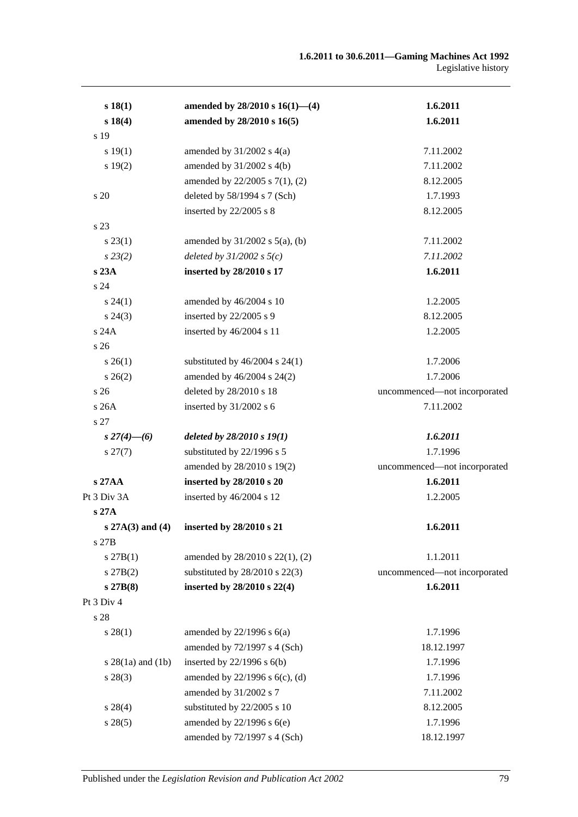| s 18(1)               | amended by $28/2010$ s $16(1)$ —(4) | 1.6.2011                     |
|-----------------------|-------------------------------------|------------------------------|
| s 18(4)               | amended by 28/2010 s 16(5)          | 1.6.2011                     |
| s 19                  |                                     |                              |
| s 19(1)               | amended by $31/2002$ s $4(a)$       | 7.11.2002                    |
| s 19(2)               | amended by $31/2002$ s $4(b)$       | 7.11.2002                    |
|                       | amended by 22/2005 s 7(1), (2)      | 8.12.2005                    |
| s 20                  | deleted by 58/1994 s 7 (Sch)        | 1.7.1993                     |
|                       | inserted by 22/2005 s 8             | 8.12.2005                    |
| s 23                  |                                     |                              |
| $s\,23(1)$            | amended by $31/2002$ s $5(a)$ , (b) | 7.11.2002                    |
| $s\,23(2)$            | deleted by $31/2002$ s $5(c)$       | 7.11.2002                    |
| s 23A                 | inserted by 28/2010 s 17            | 1.6.2011                     |
| s 24                  |                                     |                              |
| $s\,24(1)$            | amended by 46/2004 s 10             | 1.2.2005                     |
| $s\,24(3)$            | inserted by 22/2005 s 9             | 8.12.2005                    |
| s 24A                 | inserted by 46/2004 s 11            | 1.2.2005                     |
| s <sub>26</sub>       |                                     |                              |
| $s \; 26(1)$          | substituted by $46/2004$ s $24(1)$  | 1.7.2006                     |
| $s \, 26(2)$          | amended by 46/2004 s 24(2)          | 1.7.2006                     |
| s 26                  | deleted by 28/2010 s 18             | uncommenced-not incorporated |
| s 26A                 | inserted by 31/2002 s 6             | 7.11.2002                    |
| s 27                  |                                     |                              |
| s $27(4)$ —(6)        | deleted by $28/2010 s 19(1)$        | 1.6.2011                     |
| $s\,27(7)$            | substituted by 22/1996 s 5          | 1.7.1996                     |
|                       | amended by 28/2010 s 19(2)          | uncommenced-not incorporated |
| s 27AA                | inserted by 28/2010 s 20            | 1.6.2011                     |
| Pt 3 Div 3A           | inserted by 46/2004 s 12            | 1.2.2005                     |
| s 27A                 |                                     |                              |
| $s 27A(3)$ and (4)    | inserted by 28/2010 s 21            | 1.6.2011                     |
| s 27B                 |                                     |                              |
| s 27B(1)              | amended by 28/2010 s 22(1), (2)     | 1.1.2011                     |
| $s\ 27B(2)$           | substituted by $28/2010$ s $22(3)$  | uncommenced-not incorporated |
| s 27B(8)              | inserted by 28/2010 s 22(4)         | 1.6.2011                     |
| Pt 3 Div 4            |                                     |                              |
| s 28                  |                                     |                              |
| s 28(1)               | amended by $22/1996$ s $6(a)$       | 1.7.1996                     |
|                       | amended by 72/1997 s 4 (Sch)        | 18.12.1997                   |
| s $28(1a)$ and $(1b)$ | inserted by $22/1996$ s $6(b)$      | 1.7.1996                     |
| $s\,28(3)$            | amended by $22/1996$ s $6(c)$ , (d) | 1.7.1996                     |
|                       | amended by 31/2002 s 7              | 7.11.2002                    |
| $s\,28(4)$            | substituted by 22/2005 s 10         | 8.12.2005                    |
| s 28(5)               | amended by $22/1996$ s $6(e)$       | 1.7.1996                     |
|                       | amended by 72/1997 s 4 (Sch)        | 18.12.1997                   |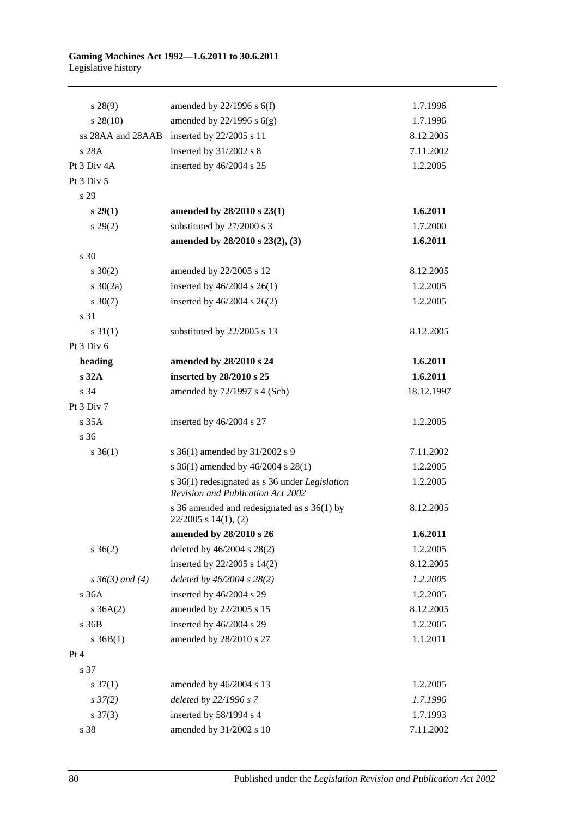| $s\,28(9)$           | amended by $22/1996$ s $6(f)$                                                                     | 1.7.1996   |
|----------------------|---------------------------------------------------------------------------------------------------|------------|
| $s\,28(10)$          | amended by $22/1996$ s $6(g)$                                                                     | 1.7.1996   |
|                      | ss 28AA and 28AAB inserted by 22/2005 s 11                                                        | 8.12.2005  |
| s 28A                | inserted by 31/2002 s 8                                                                           | 7.11.2002  |
| Pt 3 Div 4A          | inserted by 46/2004 s 25                                                                          | 1.2.2005   |
| Pt $3$ Div $5$       |                                                                                                   |            |
| s 29                 |                                                                                                   |            |
| $s\,29(1)$           | amended by 28/2010 s 23(1)                                                                        | 1.6.2011   |
| $s\,29(2)$           | substituted by 27/2000 s 3                                                                        | 1.7.2000   |
|                      | amended by 28/2010 s 23(2), (3)                                                                   | 1.6.2011   |
| s 30                 |                                                                                                   |            |
| $s \ 30(2)$          | amended by 22/2005 s 12                                                                           | 8.12.2005  |
| s $30(2a)$           | inserted by $46/2004$ s $26(1)$                                                                   | 1.2.2005   |
| $s \ 30(7)$          | inserted by $46/2004$ s $26(2)$                                                                   | 1.2.2005   |
| s 31                 |                                                                                                   |            |
| $s \, 31(1)$         | substituted by 22/2005 s 13                                                                       | 8.12.2005  |
| Pt 3 Div 6           |                                                                                                   |            |
| heading              | amended by 28/2010 s 24                                                                           | 1.6.2011   |
| s32A                 | inserted by 28/2010 s 25                                                                          | 1.6.2011   |
| s 34                 | amended by 72/1997 s 4 (Sch)                                                                      | 18.12.1997 |
| Pt 3 Div 7           |                                                                                                   |            |
| s35A                 | inserted by 46/2004 s 27                                                                          | 1.2.2005   |
| s 36                 |                                                                                                   |            |
| $s \, 36(1)$         | s 36(1) amended by 31/2002 s 9                                                                    | 7.11.2002  |
|                      | s 36(1) amended by 46/2004 s 28(1)                                                                | 1.2.2005   |
|                      | s 36(1) redesignated as s 36 under <i>Legislation</i><br><b>Revision and Publication Act 2002</b> | 1.2.2005   |
|                      | s 36 amended and redesignated as s 36(1) by<br>$22/2005$ s $14(1)$ , $(2)$                        | 8.12.2005  |
|                      | amended by 28/2010 s 26                                                                           | 1.6.2011   |
| $s \; 36(2)$         | deleted by 46/2004 s 28(2)                                                                        | 1.2.2005   |
|                      | inserted by $22/2005$ s $14(2)$                                                                   | 8.12.2005  |
| $s \, 36(3)$ and (4) | deleted by 46/2004 s 28(2)                                                                        | 1.2.2005   |
| s 36A                | inserted by 46/2004 s 29                                                                          | 1.2.2005   |
| $s \; 36A(2)$        | amended by 22/2005 s 15                                                                           | 8.12.2005  |
| s 36B                | inserted by 46/2004 s 29                                                                          | 1.2.2005   |
| $s \, 36B(1)$        | amended by 28/2010 s 27                                                                           | 1.1.2011   |
| Pt 4                 |                                                                                                   |            |
| s 37                 |                                                                                                   |            |
| $s \frac{37(1)}{2}$  | amended by 46/2004 s 13                                                                           | 1.2.2005   |
| $s\,37(2)$           | deleted by 22/1996 s 7                                                                            | 1.7.1996   |
| $s \frac{37(3)}{2}$  | inserted by 58/1994 s 4                                                                           | 1.7.1993   |
| s 38                 | amended by 31/2002 s 10                                                                           | 7.11.2002  |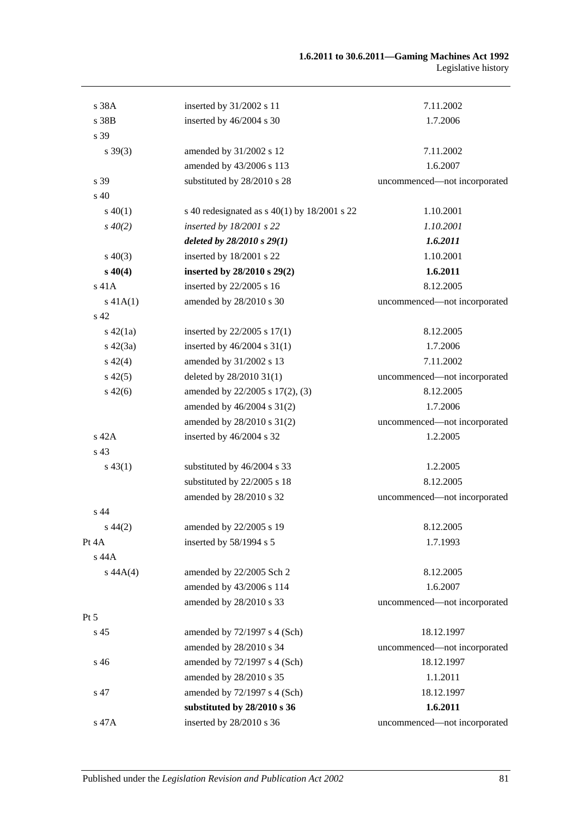| s 38A           | inserted by 31/2002 s 11                       | 7.11.2002                    |
|-----------------|------------------------------------------------|------------------------------|
| s 38B           | inserted by 46/2004 s 30                       | 1.7.2006                     |
| s 39            |                                                |                              |
| $s \, 39(3)$    | amended by 31/2002 s 12                        | 7.11.2002                    |
|                 | amended by 43/2006 s 113                       | 1.6.2007                     |
| s 39            | substituted by 28/2010 s 28                    | uncommenced-not incorporated |
| s 40            |                                                |                              |
| $s\ 40(1)$      | s 40 redesignated as $s$ 40(1) by 18/2001 s 22 | 1.10.2001                    |
| $s\,40(2)$      | inserted by 18/2001 s 22                       | 1.10.2001                    |
|                 | deleted by $28/2010 s 29(1)$                   | 1.6.2011                     |
| $s\ 40(3)$      | inserted by 18/2001 s 22                       | 1.10.2001                    |
| $s\,40(4)$      | inserted by 28/2010 s 29(2)                    | 1.6.2011                     |
| s 41A           | inserted by 22/2005 s 16                       | 8.12.2005                    |
| $s\ 41A(1)$     | amended by 28/2010 s 30                        | uncommenced-not incorporated |
| s <sub>42</sub> |                                                |                              |
| $s\ 42(1a)$     | inserted by $22/2005$ s $17(1)$                | 8.12.2005                    |
| $s\ 42(3a)$     | inserted by 46/2004 s 31(1)                    | 1.7.2006                     |
| $s\ 42(4)$      | amended by 31/2002 s 13                        | 7.11.2002                    |
| $s\,42(5)$      | deleted by 28/2010 31(1)                       | uncommenced-not incorporated |
| $s\ 42(6)$      | amended by 22/2005 s 17(2), (3)                | 8.12.2005                    |
|                 | amended by 46/2004 s 31(2)                     | 1.7.2006                     |
|                 | amended by 28/2010 s 31(2)                     | uncommenced-not incorporated |
| s 42A           | inserted by 46/2004 s 32                       | 1.2.2005                     |
| s 43            |                                                |                              |
| $s\,43(1)$      | substituted by 46/2004 s 33                    | 1.2.2005                     |
|                 | substituted by 22/2005 s 18                    | 8.12.2005                    |
|                 | amended by 28/2010 s 32                        | uncommenced-not incorporated |
| s 44            |                                                |                              |
| $s\,44(2)$      | amended by 22/2005 s 19                        | 8.12.2005                    |
| Pt 4A           | inserted by 58/1994 s 5                        | 1.7.1993                     |
| s 44A           |                                                |                              |
| $s\,44A(4)$     | amended by 22/2005 Sch 2                       | 8.12.2005                    |
|                 | amended by 43/2006 s 114                       | 1.6.2007                     |
|                 | amended by 28/2010 s 33                        | uncommenced-not incorporated |
| $Pt\,5$         |                                                |                              |
| s 45            | amended by 72/1997 s 4 (Sch)                   | 18.12.1997                   |
|                 | amended by 28/2010 s 34                        | uncommenced—not incorporated |
| s 46            | amended by 72/1997 s 4 (Sch)                   | 18.12.1997                   |
|                 | amended by 28/2010 s 35                        | 1.1.2011                     |
| s 47            | amended by 72/1997 s 4 (Sch)                   | 18.12.1997                   |
|                 | substituted by 28/2010 s 36                    | 1.6.2011                     |
| s 47A           | inserted by 28/2010 s 36                       | uncommenced-not incorporated |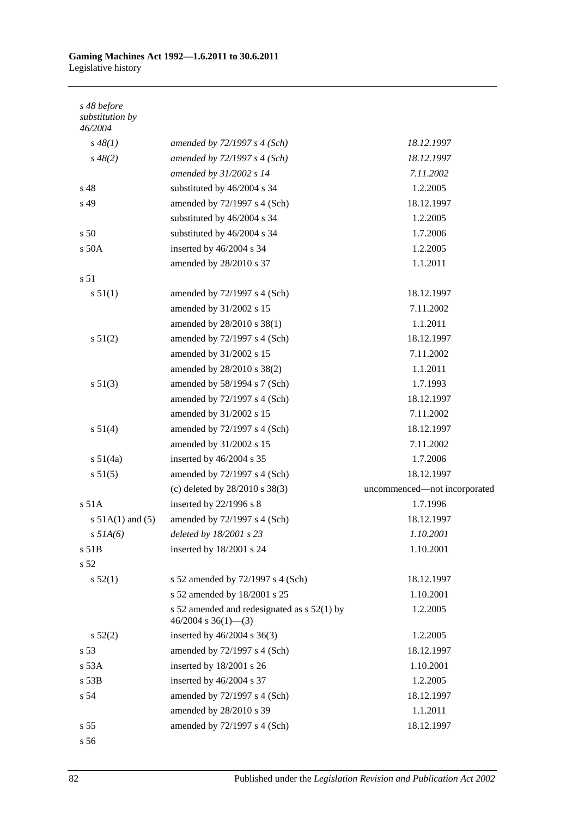| s 48 before<br>substitution by<br>46/2004 |                                                                        |                              |
|-------------------------------------------|------------------------------------------------------------------------|------------------------------|
| $s\,48(1)$                                | amended by 72/1997 s 4 (Sch)                                           | 18.12.1997                   |
| $s\,48(2)$                                | amended by $72/1997 s 4 (Sch)$                                         | 18.12.1997                   |
|                                           | amended by 31/2002 s 14                                                | 7.11.2002                    |
| s 48                                      | substituted by 46/2004 s 34                                            | 1.2.2005                     |
| s 49                                      | amended by 72/1997 s 4 (Sch)                                           | 18.12.1997                   |
|                                           | substituted by 46/2004 s 34                                            | 1.2.2005                     |
| s 50                                      | substituted by 46/2004 s 34                                            | 1.7.2006                     |
| s 50A                                     | inserted by 46/2004 s 34                                               | 1.2.2005                     |
|                                           | amended by 28/2010 s 37                                                | 1.1.2011                     |
| s 51                                      |                                                                        |                              |
| s 51(1)                                   | amended by 72/1997 s 4 (Sch)                                           | 18.12.1997                   |
|                                           | amended by 31/2002 s 15                                                | 7.11.2002                    |
|                                           | amended by 28/2010 s 38(1)                                             | 1.1.2011                     |
| s 51(2)                                   | amended by 72/1997 s 4 (Sch)                                           | 18.12.1997                   |
|                                           | amended by 31/2002 s 15                                                | 7.11.2002                    |
|                                           | amended by 28/2010 s 38(2)                                             | 1.1.2011                     |
| s 51(3)                                   | amended by 58/1994 s 7 (Sch)                                           | 1.7.1993                     |
|                                           | amended by 72/1997 s 4 (Sch)                                           | 18.12.1997                   |
|                                           | amended by 31/2002 s 15                                                | 7.11.2002                    |
| s 51(4)                                   | amended by 72/1997 s 4 (Sch)                                           | 18.12.1997                   |
|                                           | amended by 31/2002 s 15                                                | 7.11.2002                    |
| s 51(4a)                                  | inserted by 46/2004 s 35                                               | 1.7.2006                     |
| s 51(5)                                   | amended by 72/1997 s 4 (Sch)                                           | 18.12.1997                   |
|                                           | (c) deleted by 28/2010 s 38(3)                                         | uncommenced-not incorporated |
| s 51A                                     | inserted by 22/1996 s 8                                                | 1.7.1996                     |
| s $51A(1)$ and $(5)$                      | amended by 72/1997 s 4 (Sch)                                           | 18.12.1997                   |
| $s$ 51A(6)                                | deleted by 18/2001 s 23                                                | 1.10.2001                    |
| $s$ 51 $B$                                | inserted by 18/2001 s 24                                               | 1.10.2001                    |
| s 52                                      |                                                                        |                              |
| s 52(1)                                   | s 52 amended by 72/1997 s 4 (Sch)                                      | 18.12.1997                   |
|                                           | s 52 amended by 18/2001 s 25                                           | 1.10.2001                    |
|                                           | s 52 amended and redesignated as $s$ 52(1) by<br>$46/2004$ s 36(1)–(3) | 1.2.2005                     |
| s 52(2)                                   | inserted by $46/2004$ s $36(3)$                                        | 1.2.2005                     |
| s 53                                      | amended by 72/1997 s 4 (Sch)                                           | 18.12.1997                   |
| s 53A                                     | inserted by 18/2001 s 26                                               | 1.10.2001                    |
| s 53B                                     | inserted by 46/2004 s 37                                               | 1.2.2005                     |
| s 54                                      | amended by 72/1997 s 4 (Sch)                                           | 18.12.1997                   |
|                                           | amended by 28/2010 s 39                                                | 1.1.2011                     |
| s 55                                      | amended by 72/1997 s 4 (Sch)                                           | 18.12.1997                   |
|                                           |                                                                        |                              |

s 56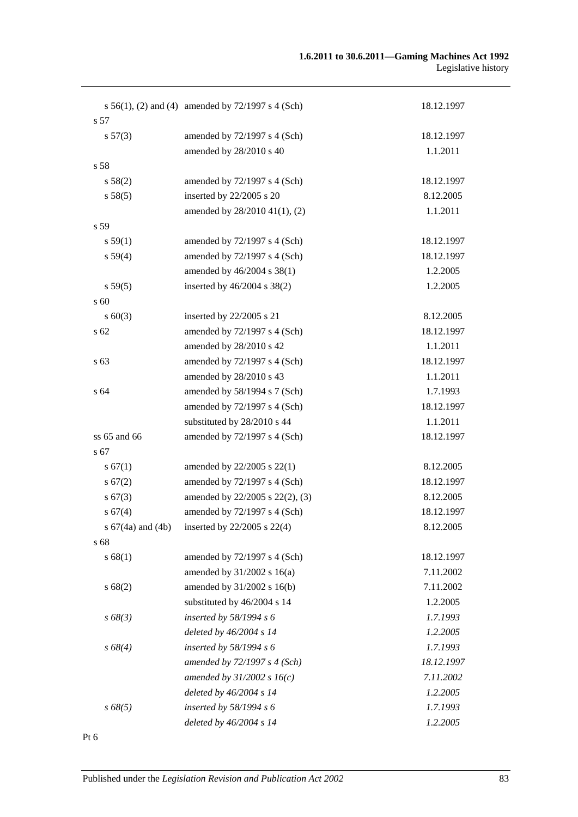|                 | s $56(1)$ , (2) and (4) amended by $72/1997$ s 4 (Sch) | 18.12.1997 |
|-----------------|--------------------------------------------------------|------------|
| s 57            |                                                        |            |
| s 57(3)         | amended by 72/1997 s 4 (Sch)                           | 18.12.1997 |
|                 | amended by 28/2010 s 40                                | 1.1.2011   |
| s 58            |                                                        |            |
| s 58(2)         | amended by $72/1997$ s 4 (Sch)                         | 18.12.1997 |
| s 58(5)         | inserted by 22/2005 s 20                               | 8.12.2005  |
|                 | amended by 28/2010 41(1), (2)                          | 1.1.2011   |
| s 59            |                                                        |            |
| s 59(1)         | amended by 72/1997 s 4 (Sch)                           | 18.12.1997 |
| s 59(4)         | amended by 72/1997 s 4 (Sch)                           | 18.12.1997 |
|                 | amended by 46/2004 s 38(1)                             | 1.2.2005   |
| s 59(5)         | inserted by 46/2004 s 38(2)                            | 1.2.2005   |
| s 60            |                                                        |            |
| $s \ 60(3)$     | inserted by 22/2005 s 21                               | 8.12.2005  |
| s <sub>62</sub> | amended by 72/1997 s 4 (Sch)                           | 18.12.1997 |
|                 | amended by 28/2010 s 42                                | 1.1.2011   |
| s 63            | amended by 72/1997 s 4 (Sch)                           | 18.12.1997 |
|                 | amended by 28/2010 s 43                                | 1.1.2011   |
| s 64            | amended by 58/1994 s 7 (Sch)                           | 1.7.1993   |
|                 | amended by 72/1997 s 4 (Sch)                           | 18.12.1997 |
|                 | substituted by 28/2010 s 44                            | 1.1.2011   |
| ss 65 and 66    | amended by 72/1997 s 4 (Sch)                           | 18.12.1997 |
| s 67            |                                                        |            |
| s 67(1)         | amended by 22/2005 s 22(1)                             | 8.12.2005  |
| s 67(2)         | amended by 72/1997 s 4 (Sch)                           | 18.12.1997 |
| s 67(3)         | amended by 22/2005 s 22(2), (3)                        | 8.12.2005  |
| s 67(4)         | amended by 72/1997 s 4 (Sch)                           | 18.12.1997 |
|                 | s $67(4a)$ and $(4b)$ inserted by $22/2005$ s $22(4)$  | 8.12.2005  |
| s 68            |                                                        |            |
| s 68(1)         | amended by 72/1997 s 4 (Sch)                           | 18.12.1997 |
|                 | amended by $31/2002$ s $16(a)$                         | 7.11.2002  |
| s 68(2)         | amended by 31/2002 s 16(b)                             | 7.11.2002  |
|                 | substituted by 46/2004 s 14                            | 1.2.2005   |
| $s\,68(3)$      | inserted by 58/1994 s 6                                | 1.7.1993   |
|                 | deleted by 46/2004 s 14                                | 1.2.2005   |
| s 68(4)         | inserted by $58/1994 s 6$                              | 1.7.1993   |
|                 | amended by 72/1997 s 4 (Sch)                           | 18.12.1997 |
|                 | amended by $31/2002 s 16(c)$                           | 7.11.2002  |
|                 | deleted by 46/2004 s 14                                | 1.2.2005   |
|                 |                                                        | 1.7.1993   |
| $s\,68(5)$      | inserted by $58/1994 s 6$                              |            |
|                 | deleted by 46/2004 s 14                                | 1.2.2005   |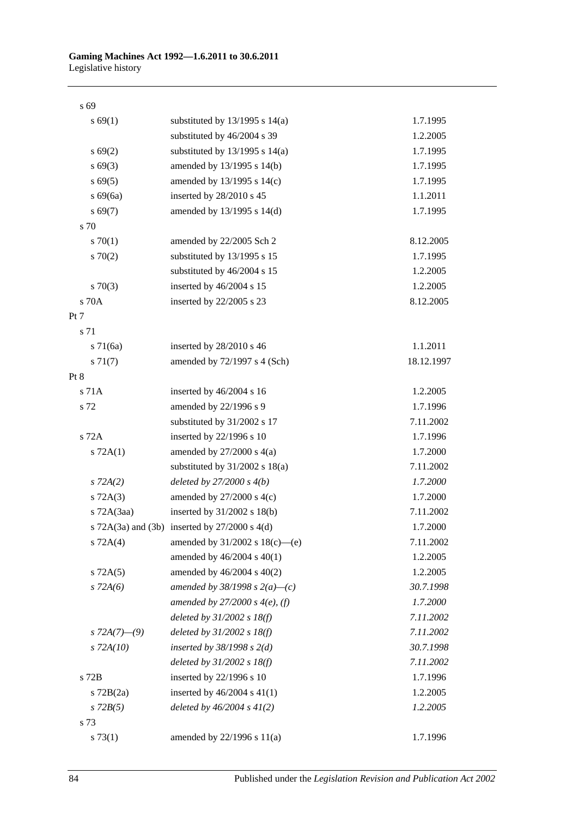#### s 69

| s 69(1)         | substituted by $13/1995$ s $14(a)$                    | 1.7.1995   |
|-----------------|-------------------------------------------------------|------------|
|                 | substituted by 46/2004 s 39                           | 1.2.2005   |
| s 69(2)         | substituted by 13/1995 s 14(a)                        | 1.7.1995   |
| $s\,69(3)$      | amended by 13/1995 s 14(b)                            | 1.7.1995   |
| $s\,69(5)$      | amended by $13/1995$ s $14(c)$                        | 1.7.1995   |
| $s\,69(6a)$     | inserted by 28/2010 s 45                              | 1.1.2011   |
| s 69(7)         | amended by 13/1995 s 14(d)                            | 1.7.1995   |
| s 70            |                                                       |            |
| 570(1)          | amended by 22/2005 Sch 2                              | 8.12.2005  |
| 570(2)          | substituted by 13/1995 s 15                           | 1.7.1995   |
|                 | substituted by 46/2004 s 15                           | 1.2.2005   |
| $s \, 70(3)$    | inserted by 46/2004 s 15                              | 1.2.2005   |
| s 70A           | inserted by 22/2005 s 23                              | 8.12.2005  |
| Pt 7            |                                                       |            |
| s 71            |                                                       |            |
| $s \, 71(6a)$   | inserted by 28/2010 s 46                              | 1.1.2011   |
| $s \, 71(7)$    | amended by 72/1997 s 4 (Sch)                          | 18.12.1997 |
| Pt 8            |                                                       |            |
| s 71A           | inserted by 46/2004 s 16                              | 1.2.2005   |
| s 72            | amended by 22/1996 s 9                                | 1.7.1996   |
|                 | substituted by 31/2002 s 17                           | 7.11.2002  |
| s 72A           | inserted by 22/1996 s 10                              | 1.7.1996   |
| $s$ 72A(1)      | amended by $27/2000$ s $4(a)$                         | 1.7.2000   |
|                 | substituted by $31/2002$ s $18(a)$                    | 7.11.2002  |
| $s$ 72A $(2)$   | deleted by $27/2000 s 4(b)$                           | 1.7.2000   |
| $s$ 72A(3)      | amended by $27/2000$ s $4(c)$                         | 1.7.2000   |
| $s$ 72A $(3aa)$ | inserted by $31/2002$ s $18(b)$                       | 7.11.2002  |
|                 | s $72A(3a)$ and $(3b)$ inserted by $27/2000$ s $4(d)$ | 1.7.2000   |
| $s$ 72A(4)      | amended by 31/2002 s 18(c)-(e)                        | 7.11.2002  |
|                 | amended by 46/2004 s 40(1)                            | 1.2.2005   |
| $s$ 72A $(5)$   | amended by 46/2004 s 40(2)                            | 1.2.2005   |
| $s$ 72A(6)      | amended by 38/1998 s $2(a)$ —(c)                      | 30.7.1998  |
|                 | amended by 27/2000 s $4(e)$ , (f)                     | 1.7.2000   |
|                 | deleted by $31/2002$ s $18(f)$                        | 7.11.2002  |
| s $72A(7)$ —(9) | deleted by $31/2002$ s $18(f)$                        | 7.11.2002  |
| $s$ 72A(10)     | inserted by $38/1998$ s $2(d)$                        | 30.7.1998  |
|                 | deleted by $31/2002$ s $18(f)$                        | 7.11.2002  |
| s 72B           | inserted by 22/1996 s 10                              | 1.7.1996   |
| $s$ 72B $(2a)$  | inserted by $46/2004$ s $41(1)$                       | 1.2.2005   |
| $s$ 72 $B(5)$   | deleted by $46/2004 s 41(2)$                          | 1.2.2005   |
| s 73            |                                                       |            |
| s 73(1)         | amended by 22/1996 s 11(a)                            | 1.7.1996   |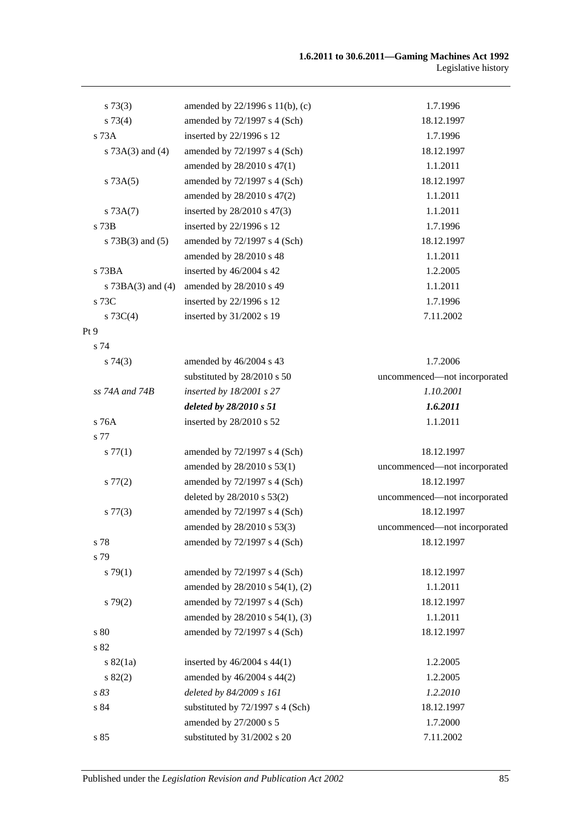| $s \, 73(3)$          | amended by 22/1996 s 11(b), (c)  | 1.7.1996                     |
|-----------------------|----------------------------------|------------------------------|
| s 73(4)               | amended by 72/1997 s 4 (Sch)     | 18.12.1997                   |
| s 73A                 | inserted by 22/1996 s 12         | 1.7.1996                     |
| s $73A(3)$ and $(4)$  | amended by 72/1997 s 4 (Sch)     | 18.12.1997                   |
|                       | amended by 28/2010 s 47(1)       | 1.1.2011                     |
| s 73A(5)              | amended by 72/1997 s 4 (Sch)     | 18.12.1997                   |
|                       | amended by 28/2010 s 47(2)       | 1.1.2011                     |
| s 73A(7)              | inserted by 28/2010 s 47(3)      | 1.1.2011                     |
| $s$ 73 $B$            | inserted by 22/1996 s 12         | 1.7.1996                     |
| s $73B(3)$ and $(5)$  | amended by 72/1997 s 4 (Sch)     | 18.12.1997                   |
|                       | amended by 28/2010 s 48          | 1.1.2011                     |
| s 73BA                | inserted by 46/2004 s 42         | 1.2.2005                     |
| s $73BA(3)$ and $(4)$ | amended by 28/2010 s 49          | 1.1.2011                     |
| s 73C                 | inserted by 22/1996 s 12         | 1.7.1996                     |
| s $73C(4)$            | inserted by 31/2002 s 19         | 7.11.2002                    |
| Pt <sub>9</sub>       |                                  |                              |
| s 74                  |                                  |                              |
| s74(3)                | amended by 46/2004 s 43          | 1.7.2006                     |
|                       | substituted by 28/2010 s 50      | uncommenced-not incorporated |
| ss 74A and 74B        | inserted by 18/2001 s 27         | 1.10.2001                    |
|                       | deleted by 28/2010 s 51          | 1.6.2011                     |
| s 76A                 | inserted by 28/2010 s 52         | 1.1.2011                     |
| s 77                  |                                  |                              |
| s 77(1)               | amended by $72/1997$ s 4 (Sch)   | 18.12.1997                   |
|                       | amended by 28/2010 s 53(1)       | uncommenced-not incorporated |
| $s\,77(2)$            | amended by $72/1997$ s 4 (Sch)   | 18.12.1997                   |
|                       | deleted by 28/2010 s 53(2)       | uncommenced-not incorporated |
| $s\,77(3)$            | amended by 72/1997 s 4 (Sch)     | 18.12.1997                   |
|                       | amended by 28/2010 s 53(3)       | uncommenced-not incorporated |
| s 78                  | amended by 72/1997 s 4 (Sch)     | 18.12.1997                   |
| s 79                  |                                  |                              |
| s79(1)                | amended by $72/1997$ s 4 (Sch)   | 18.12.1997                   |
|                       | amended by 28/2010 s 54(1), (2)  | 1.1.2011                     |
| s79(2)                | amended by 72/1997 s 4 (Sch)     | 18.12.1997                   |
|                       | amended by 28/2010 s 54(1), (3)  | 1.1.2011                     |
| $\sqrt{s}$ 80         | amended by 72/1997 s 4 (Sch)     | 18.12.1997                   |
| s 82                  |                                  |                              |
| s 82(1a)              | inserted by $46/2004$ s $44(1)$  | 1.2.2005                     |
| s 82(2)               | amended by 46/2004 s 44(2)       | 1.2.2005                     |
| s 83                  | deleted by 84/2009 s 161         | 1.2.2010                     |
| s 84                  | substituted by 72/1997 s 4 (Sch) | 18.12.1997                   |
|                       | amended by 27/2000 s 5           | 1.7.2000                     |
| s 85                  | substituted by 31/2002 s 20      | 7.11.2002                    |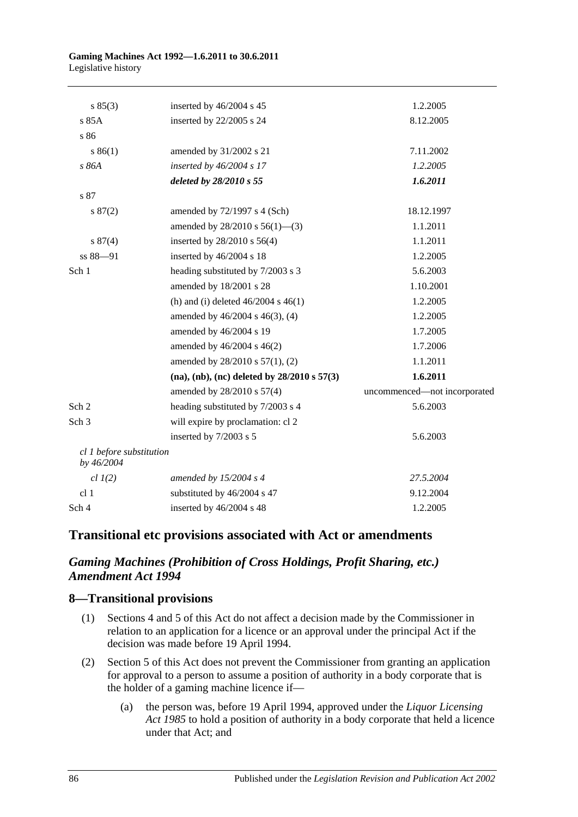| s 85(3)                                | inserted by 46/2004 s 45                            | 1.2.2005                     |
|----------------------------------------|-----------------------------------------------------|------------------------------|
| s 85A                                  | inserted by 22/2005 s 24                            | 8.12.2005                    |
| $\sqrt{86}$                            |                                                     |                              |
| s 86(1)                                | amended by 31/2002 s 21                             | 7.11.2002                    |
| s 86A                                  | inserted by $46/2004$ s 17                          | 1.2.2005                     |
|                                        | deleted by 28/2010 s 55                             | 1.6.2011                     |
| s 87                                   |                                                     |                              |
| s 87(2)                                | amended by $72/1997$ s 4 (Sch)                      | 18.12.1997                   |
|                                        | amended by $28/2010$ s $56(1)$ —(3)                 | 1.1.2011                     |
| s 87(4)                                | inserted by 28/2010 s 56(4)                         | 1.1.2011                     |
| ss 88-91                               | inserted by 46/2004 s 18                            | 1.2.2005                     |
| Sch 1                                  | heading substituted by 7/2003 s 3                   | 5.6.2003                     |
|                                        | amended by 18/2001 s 28                             | 1.10.2001                    |
|                                        | (h) and (i) deleted $46/2004$ s $46(1)$             | 1.2.2005                     |
|                                        | amended by 46/2004 s 46(3), (4)                     | 1.2.2005                     |
|                                        | amended by 46/2004 s 19                             | 1.7.2005                     |
|                                        | amended by 46/2004 s 46(2)                          | 1.7.2006                     |
|                                        | amended by 28/2010 s 57(1), (2)                     | 1.1.2011                     |
|                                        | $(na)$ , $(nb)$ , $(nc)$ deleted by 28/2010 s 57(3) | 1.6.2011                     |
|                                        | amended by 28/2010 s 57(4)                          | uncommenced-not incorporated |
| Sch 2                                  | heading substituted by 7/2003 s 4                   | 5.6.2003                     |
| Sch <sub>3</sub>                       | will expire by proclamation: cl 2                   |                              |
|                                        | inserted by 7/2003 s 5                              | 5.6.2003                     |
| cl 1 before substitution<br>by 46/2004 |                                                     |                              |
| $cl$ $I(2)$                            | amended by $15/2004$ s 4                            | 27.5.2004                    |
| cl <sub>1</sub>                        | substituted by 46/2004 s 47                         | 9.12.2004                    |
| Sch 4                                  | inserted by 46/2004 s 48                            | 1.2.2005                     |

## **Transitional etc provisions associated with Act or amendments**

## *Gaming Machines (Prohibition of Cross Holdings, Profit Sharing, etc.) Amendment Act 1994*

#### **8—Transitional provisions**

- (1) Sections 4 and 5 of this Act do not affect a decision made by the Commissioner in relation to an application for a licence or an approval under the principal Act if the decision was made before 19 April 1994.
- (2) Section 5 of this Act does not prevent the Commissioner from granting an application for approval to a person to assume a position of authority in a body corporate that is the holder of a gaming machine licence if—
	- (a) the person was, before 19 April 1994, approved under the *[Liquor Licensing](http://www.legislation.sa.gov.au/index.aspx?action=legref&type=act&legtitle=Liquor%20Licensing%20Act%201985)  Act [1985](http://www.legislation.sa.gov.au/index.aspx?action=legref&type=act&legtitle=Liquor%20Licensing%20Act%201985)* to hold a position of authority in a body corporate that held a licence under that Act; and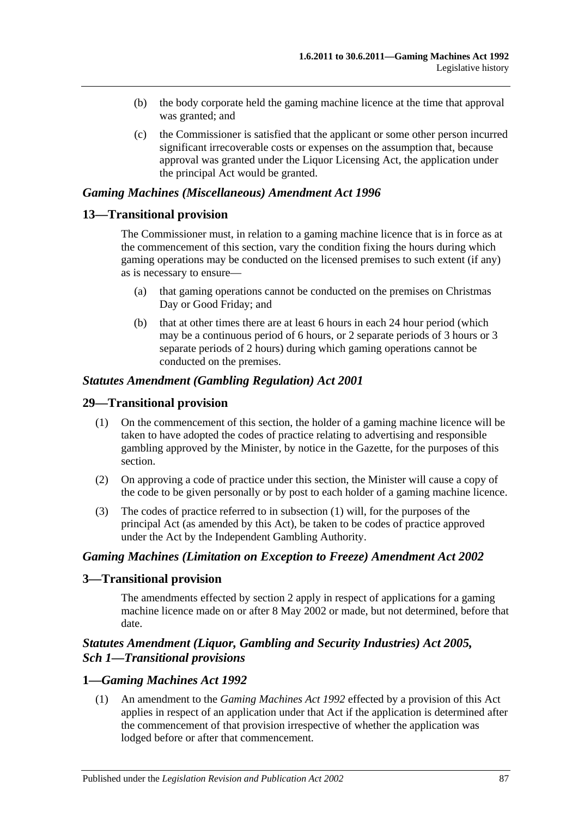- (b) the body corporate held the gaming machine licence at the time that approval was granted; and
- (c) the Commissioner is satisfied that the applicant or some other person incurred significant irrecoverable costs or expenses on the assumption that, because approval was granted under the Liquor Licensing Act, the application under the principal Act would be granted.

#### *Gaming Machines (Miscellaneous) Amendment Act 1996*

#### **13—Transitional provision**

The Commissioner must, in relation to a gaming machine licence that is in force as at the commencement of this section, vary the condition fixing the hours during which gaming operations may be conducted on the licensed premises to such extent (if any) as is necessary to ensure—

- (a) that gaming operations cannot be conducted on the premises on Christmas Day or Good Friday; and
- (b) that at other times there are at least 6 hours in each 24 hour period (which may be a continuous period of 6 hours, or 2 separate periods of 3 hours or 3 separate periods of 2 hours) during which gaming operations cannot be conducted on the premises.

#### *Statutes Amendment (Gambling Regulation) Act 2001*

#### **29—Transitional provision**

- (1) On the commencement of this section, the holder of a gaming machine licence will be taken to have adopted the codes of practice relating to advertising and responsible gambling approved by the Minister, by notice in the Gazette, for the purposes of this section.
- (2) On approving a code of practice under this section, the Minister will cause a copy of the code to be given personally or by post to each holder of a gaming machine licence.
- (3) The codes of practice referred to in subsection (1) will, for the purposes of the principal Act (as amended by this Act), be taken to be codes of practice approved under the Act by the Independent Gambling Authority.

#### *Gaming Machines (Limitation on Exception to Freeze) Amendment Act 2002*

#### **3—Transitional provision**

The amendments effected by section 2 apply in respect of applications for a gaming machine licence made on or after 8 May 2002 or made, but not determined, before that date.

#### *Statutes Amendment (Liquor, Gambling and Security Industries) Act 2005, Sch 1—Transitional provisions*

#### **1—***Gaming Machines Act 1992*

(1) An amendment to the *[Gaming Machines Act](http://www.legislation.sa.gov.au/index.aspx?action=legref&type=act&legtitle=Gaming%20Machines%20Act%201992) 1992* effected by a provision of this Act applies in respect of an application under that Act if the application is determined after the commencement of that provision irrespective of whether the application was lodged before or after that commencement.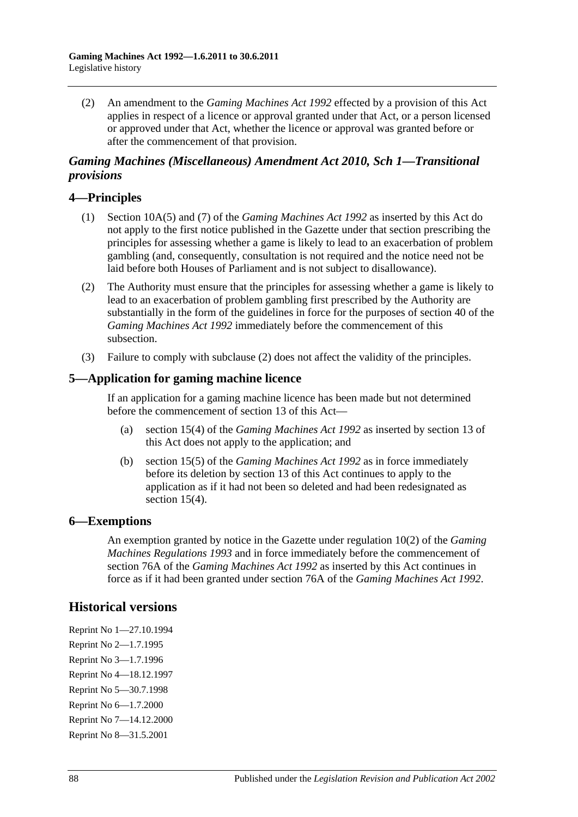(2) An amendment to the *[Gaming Machines Act](http://www.legislation.sa.gov.au/index.aspx?action=legref&type=act&legtitle=Gaming%20Machines%20Act%201992) 1992* effected by a provision of this Act applies in respect of a licence or approval granted under that Act, or a person licensed or approved under that Act, whether the licence or approval was granted before or after the commencement of that provision.

#### *Gaming Machines (Miscellaneous) Amendment Act 2010, Sch 1—Transitional provisions*

### **4—Principles**

- (1) Section 10A(5) and (7) of the *[Gaming Machines Act](http://www.legislation.sa.gov.au/index.aspx?action=legref&type=act&legtitle=Gaming%20Machines%20Act%201992) 1992* as inserted by this Act do not apply to the first notice published in the Gazette under that section prescribing the principles for assessing whether a game is likely to lead to an exacerbation of problem gambling (and, consequently, consultation is not required and the notice need not be laid before both Houses of Parliament and is not subject to disallowance).
- <span id="page-87-0"></span>(2) The Authority must ensure that the principles for assessing whether a game is likely to lead to an exacerbation of problem gambling first prescribed by the Authority are substantially in the form of the guidelines in force for the purposes of section 40 of the *[Gaming Machines Act](http://www.legislation.sa.gov.au/index.aspx?action=legref&type=act&legtitle=Gaming%20Machines%20Act%201992) 1992* immediately before the commencement of this subsection.
- (3) Failure to comply with [subclause](#page-87-0) (2) does not affect the validity of the principles.

#### **5—Application for gaming machine licence**

If an application for a gaming machine licence has been made but not determined before the commencement of section 13 of this Act—

- (a) section 15(4) of the *[Gaming Machines Act](http://www.legislation.sa.gov.au/index.aspx?action=legref&type=act&legtitle=Gaming%20Machines%20Act%201992) 1992* as inserted by section 13 of this Act does not apply to the application; and
- (b) section 15(5) of the *[Gaming Machines Act](http://www.legislation.sa.gov.au/index.aspx?action=legref&type=act&legtitle=Gaming%20Machines%20Act%201992) 1992* as in force immediately before its deletion by section 13 of this Act continues to apply to the application as if it had not been so deleted and had been redesignated as section 15(4).

#### **6—Exemptions**

An exemption granted by notice in the Gazette under regulation 10(2) of the *[Gaming](http://www.legislation.sa.gov.au/index.aspx?action=legref&type=subordleg&legtitle=Gaming%20Machines%20Regulations%201993)  [Machines Regulations](http://www.legislation.sa.gov.au/index.aspx?action=legref&type=subordleg&legtitle=Gaming%20Machines%20Regulations%201993) 1993* and in force immediately before the commencement of section 76A of the *[Gaming Machines Act](http://www.legislation.sa.gov.au/index.aspx?action=legref&type=act&legtitle=Gaming%20Machines%20Act%201992) 1992* as inserted by this Act continues in force as if it had been granted under section 76A of the *Gaming [Machines Act](http://www.legislation.sa.gov.au/index.aspx?action=legref&type=act&legtitle=Gaming%20Machines%20Act%201992) 1992*.

## **Historical versions**

Reprint No 1—27.10.1994 Reprint No 2—1.7.1995 Reprint No 3—1.7.1996 Reprint No 4—18.12.1997 Reprint No 5—30.7.1998 Reprint No 6—1.7.2000 Reprint No 7—14.12.2000 Reprint No 8—31.5.2001